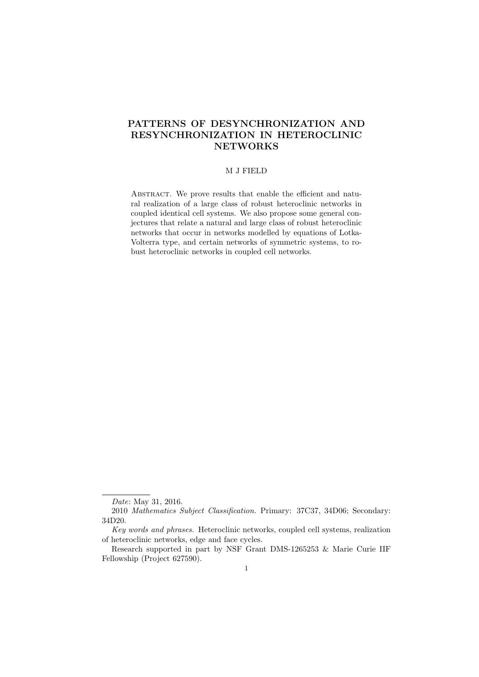## PATTERNS OF DESYNCHRONIZATION AND RESYNCHRONIZATION IN HETEROCLINIC **NETWORKS**

#### M J FIELD

ABSTRACT. We prove results that enable the efficient and natural realization of a large class of robust heteroclinic networks in coupled identical cell systems. We also propose some general conjectures that relate a natural and large class of robust heteroclinic networks that occur in networks modelled by equations of Lotka-Volterra type, and certain networks of symmetric systems, to robust heteroclinic networks in coupled cell networks.

Date: May 31, 2016.

<sup>2010</sup> Mathematics Subject Classification. Primary: 37C37, 34D06; Secondary: 34D20.

Key words and phrases. Heteroclinic networks, coupled cell systems, realization of heteroclinic networks, edge and face cycles.

Research supported in part by NSF Grant DMS-1265253 & Marie Curie IIF Fellowship (Project 627590).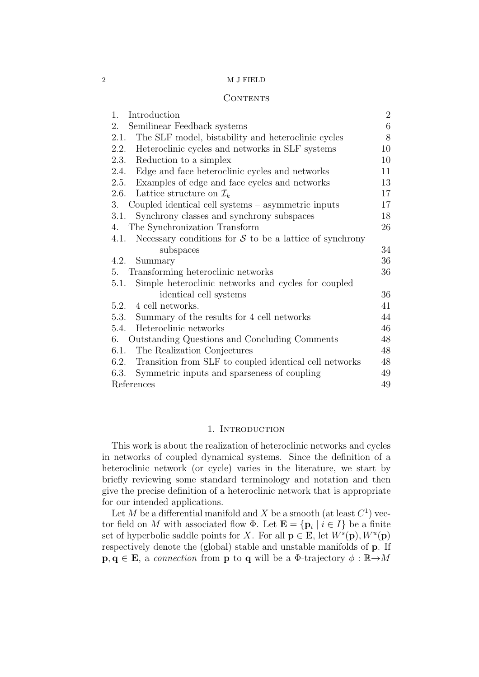## **CONTENTS**

| Introduction<br>1.                                                | $\overline{2}$ |
|-------------------------------------------------------------------|----------------|
| Semilinear Feedback systems<br>2.                                 | 6              |
| The SLF model, bistability and heteroclinic cycles<br>2.1.        | 8              |
| Heteroclinic cycles and networks in SLF systems<br>2.2.           | 10             |
| Reduction to a simplex<br>2.3.                                    | 10             |
| Edge and face heteroclinic cycles and networks<br>2.4.            | 11             |
| 2.5. Examples of edge and face cycles and networks                | 13             |
| 2.6. Lattice structure on $\mathcal{I}_k$                         | 17             |
| Coupled identical cell systems – asymmetric inputs<br>3.          | 17             |
| Synchrony classes and synchrony subspaces<br>3.1.                 | 18             |
| The Synchronization Transform<br>4.                               | 26             |
| Necessary conditions for $S$ to be a lattice of synchrony<br>4.1. |                |
| subspaces                                                         | 34             |
| 4.2.<br>Summary                                                   | 36             |
| Transforming heteroclinic networks<br>5.                          | 36             |
| Simple heteroclinic networks and cycles for coupled<br>5.1.       |                |
| identical cell systems                                            | 36             |
| 5.2. 4 cell networks.                                             | 41             |
| 5.3. Summary of the results for 4 cell networks                   | 44             |
| Heteroclinic networks<br>5.4.                                     | 46             |
| Outstanding Questions and Concluding Comments<br>6.               | 48             |
| The Realization Conjectures<br>6.1.                               | 48             |
| 6.2. Transition from SLF to coupled identical cell networks       | 48             |
| 6.3.<br>Symmetric inputs and sparseness of coupling               | 49             |
| References                                                        | 49             |

## 1. INTRODUCTION

This work is about the realization of heteroclinic networks and cycles in networks of coupled dynamical systems. Since the definition of a heteroclinic network (or cycle) varies in the literature, we start by briefly reviewing some standard terminology and notation and then give the precise definition of a heteroclinic network that is appropriate for our intended applications.

Let M be a differential manifold and X be a smooth (at least  $C<sup>1</sup>$ ) vector field on M with associated flow  $\Phi$ . Let  $\mathbf{E} = {\{\mathbf{p}_i \mid i \in I\}}$  be a finite set of hyperbolic saddle points for X. For all  $\mathbf{p} \in \mathbf{E}$ , let  $W^s(\mathbf{p}), W^u(\mathbf{p})$ respectively denote the (global) stable and unstable manifolds of p. If  $\mathbf{p}, \mathbf{q} \in \mathbf{E}$ , a connection from **p** to **q** will be a  $\Phi$ -trajectory  $\phi : \mathbb{R} \rightarrow M$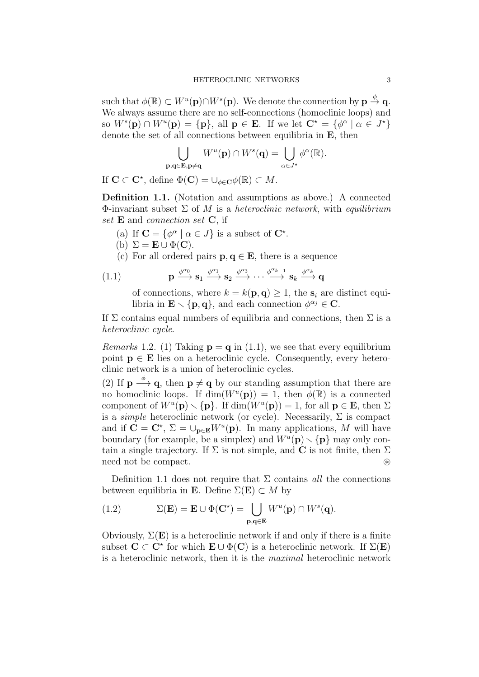such that  $\phi(\mathbb{R}) \subset W^u(\mathbf{p}) \cap W^s(\mathbf{p})$ . We denote the connection by  $\mathbf{p} \stackrel{\phi}{\to} \mathbf{q}$ . We always assume there are no self-connections (homoclinic loops) and so  $W^s(\mathbf{p}) \cap W^u(\mathbf{p}) = {\mathbf{p}},$  all  $\mathbf{p} \in \mathbf{E}$ . If we let  $\mathbf{C}^* = {\phi^{\alpha} | \alpha \in J^* }$ denote the set of all connections between equilibria in **E**, then

$$
\bigcup_{\mathbf{p},\mathbf{q}\in\mathbf{E},\mathbf{p}\neq\mathbf{q}}W^u(\mathbf{p})\cap W^s(\mathbf{q})=\bigcup_{\alpha\in J^\star}\phi^\alpha(\mathbb{R}).
$$

If  $\mathbf{C} \subset \mathbf{C}^*$ , define  $\Phi(\mathbf{C}) = \cup_{\phi \in \mathbf{C}} \phi(\mathbb{R}) \subset M$ .

Definition 1.1. (Notation and assumptions as above.) A connected Φ-invariant subset  $\Sigma$  of M is a heteroclinic network, with equilibrium set **E** and *connection set* **C**, if

- (a) If  $\mathbf{C} = {\phi^{\alpha} \mid \alpha \in J}$  is a subset of  $\mathbf{C}^*$ .
- (b)  $\Sigma = \mathbf{E} \cup \Phi(\mathbf{C}).$
- (c) For all ordered pairs  $p, q \in E$ , there is a sequence

(1.1) 
$$
\mathbf{p} \xrightarrow{\phi^{\alpha_0}} \mathbf{s}_1 \xrightarrow{\phi^{\alpha_1}} \mathbf{s}_2 \xrightarrow{\phi^{\alpha_3}} \cdots \xrightarrow{\phi^{\alpha_{k-1}}} \mathbf{s}_k \xrightarrow{\phi^{\alpha_k}} \mathbf{q}
$$

of connections, where  $k = k(\mathbf{p}, \mathbf{q}) \geq 1$ , the  $s_i$  are distinct equilibria in  $\mathbf{E} \setminus {\bf p}, {\bf q}$ , and each connection  $\phi^{\alpha_j} \in \mathbf{C}$ .

If  $\Sigma$  contains equal numbers of equilibria and connections, then  $\Sigma$  is a heteroclinic cycle.

*Remarks* 1.2. (1) Taking  $\mathbf{p} = \mathbf{q}$  in (1.1), we see that every equilibrium point  $p \in E$  lies on a heteroclinic cycle. Consequently, every heteroclinic network is a union of heteroclinic cycles.

(2) If  $\mathbf{p} \stackrel{\phi}{\longrightarrow} \mathbf{q}$ , then  $\mathbf{p} \neq \mathbf{q}$  by our standing assumption that there are no homoclinic loops. If  $\dim(W^u(\mathbf{p})) = 1$ , then  $\phi(\mathbb{R})$  is a connected component of  $W^u(\mathbf{p}) \setminus {\{\mathbf{p}}\}$ . If  $\dim(W^u(\mathbf{p})) = 1$ , for all  $\mathbf{p} \in \mathbf{E}$ , then  $\Sigma$ is a *simple* heteroclinic network (or cycle). Necessarily,  $\Sigma$  is compact and if  $\mathbf{C} = \mathbf{C}^*$ ,  $\Sigma = \bigcup_{\mathbf{p} \in \mathbf{E}} W^u(\mathbf{p})$ . In many applications, M will have boundary (for example, be a simplex) and  $W^u(\mathbf{p}) \setminus {\{\mathbf{p}\}}$  may only contain a single trajectory. If  $\Sigma$  is not simple, and C is not finite, then  $\Sigma$ need not be compact.

Definition 1.1 does not require that  $\Sigma$  contains all the connections between equilibria in **E**. Define  $\Sigma(E) \subset M$  by

(1.2) 
$$
\Sigma(\mathbf{E}) = \mathbf{E} \cup \Phi(\mathbf{C}^*) = \bigcup_{\mathbf{p}, \mathbf{q} \in \mathbf{E}} W^u(\mathbf{p}) \cap W^s(\mathbf{q}).
$$

Obviously,  $\Sigma(E)$  is a heteroclinic network if and only if there is a finite subset  $C \subset C^*$  for which  $E \cup \Phi(C)$  is a heteroclinic network. If  $\Sigma(E)$ is a heteroclinic network, then it is the maximal heteroclinic network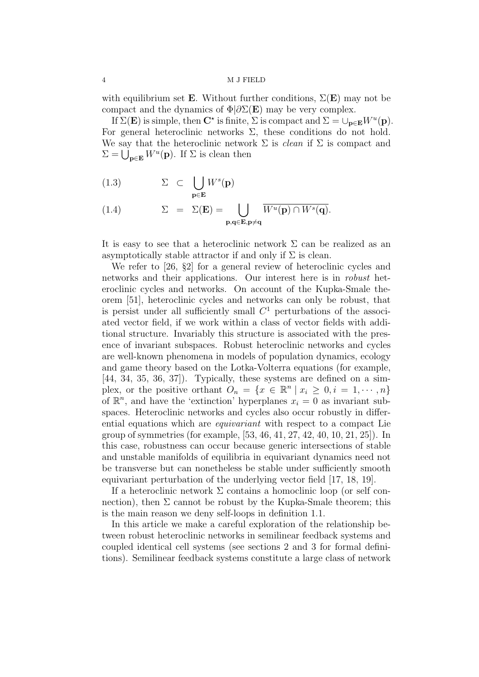with equilibrium set **E**. Without further conditions,  $\Sigma(E)$  may not be compact and the dynamics of  $\Phi/\partial\Sigma(E)$  may be very complex.

If  $\Sigma(E)$  is simple, then  $C^*$  is finite,  $\Sigma$  is compact and  $\Sigma = \bigcup_{\mathbf{p} \in \mathbf{E}} W^u(\mathbf{p})$ . For general heteroclinic networks  $\Sigma$ , these conditions do not hold. We say that the heteroclinic network  $\Sigma$  is *clean* if  $\Sigma$  is compact and  $\Sigma = \bigcup_{\mathbf{p} \in \mathbf{E}} W^u(\mathbf{p})$ . If  $\Sigma$  is clean then

(1.3) 
$$
\Sigma \subset \bigcup_{\mathbf{p} \in \mathbf{E}} W^s(\mathbf{p})
$$

(1.4) 
$$
\Sigma = \Sigma(\mathbf{E}) = \bigcup_{\mathbf{p}, \mathbf{q} \in \mathbf{E}, \mathbf{p} \neq \mathbf{q}} \overline{W^u(\mathbf{p}) \cap W^s(\mathbf{q})}.
$$

It is easy to see that a heteroclinic network  $\Sigma$  can be realized as an asymptotically stable attractor if and only if  $\Sigma$  is clean.

We refer to [26, §2] for a general review of heteroclinic cycles and networks and their applications. Our interest here is in robust heteroclinic cycles and networks. On account of the Kupka-Smale theorem [51], heteroclinic cycles and networks can only be robust, that is persist under all sufficiently small  $C<sup>1</sup>$  perturbations of the associated vector field, if we work within a class of vector fields with additional structure. Invariably this structure is associated with the presence of invariant subspaces. Robust heteroclinic networks and cycles are well-known phenomena in models of population dynamics, ecology and game theory based on the Lotka-Volterra equations (for example, [44, 34, 35, 36, 37]). Typically, these systems are defined on a simplex, or the positive orthant  $O_n = \{x \in \mathbb{R}^n \mid x_i \geq 0, i = 1, \dots, n\}$ of  $\mathbb{R}^n$ , and have the 'extinction' hyperplanes  $x_i = 0$  as invariant subspaces. Heteroclinic networks and cycles also occur robustly in differential equations which are equivariant with respect to a compact Lie group of symmetries (for example, [53, 46, 41, 27, 42, 40, 10, 21, 25]). In this case, robustness can occur because generic intersections of stable and unstable manifolds of equilibria in equivariant dynamics need not be transverse but can nonetheless be stable under sufficiently smooth equivariant perturbation of the underlying vector field [17, 18, 19].

If a heteroclinic network  $\Sigma$  contains a homoclinic loop (or self connection), then  $\Sigma$  cannot be robust by the Kupka-Smale theorem; this is the main reason we deny self-loops in definition 1.1.

In this article we make a careful exploration of the relationship between robust heteroclinic networks in semilinear feedback systems and coupled identical cell systems (see sections 2 and 3 for formal definitions). Semilinear feedback systems constitute a large class of network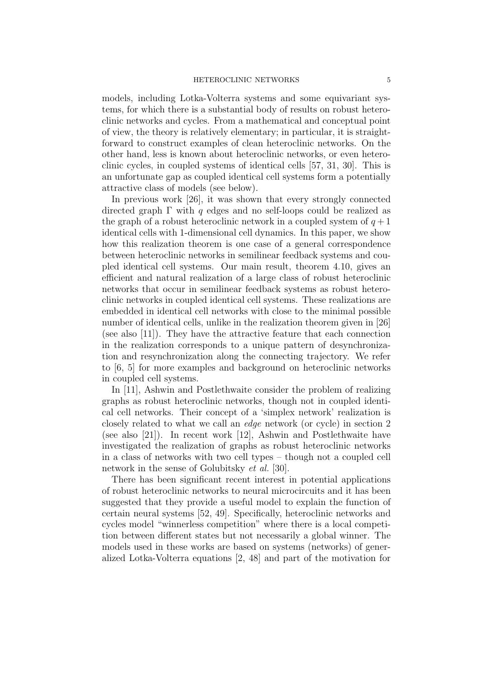models, including Lotka-Volterra systems and some equivariant systems, for which there is a substantial body of results on robust heteroclinic networks and cycles. From a mathematical and conceptual point of view, the theory is relatively elementary; in particular, it is straightforward to construct examples of clean heteroclinic networks. On the other hand, less is known about heteroclinic networks, or even heteroclinic cycles, in coupled systems of identical cells [57, 31, 30]. This is an unfortunate gap as coupled identical cell systems form a potentially attractive class of models (see below).

In previous work [26], it was shown that every strongly connected directed graph  $\Gamma$  with q edges and no self-loops could be realized as the graph of a robust heteroclinic network in a coupled system of  $q+1$ identical cells with 1-dimensional cell dynamics. In this paper, we show how this realization theorem is one case of a general correspondence between heteroclinic networks in semilinear feedback systems and coupled identical cell systems. Our main result, theorem 4.10, gives an efficient and natural realization of a large class of robust heteroclinic networks that occur in semilinear feedback systems as robust heteroclinic networks in coupled identical cell systems. These realizations are embedded in identical cell networks with close to the minimal possible number of identical cells, unlike in the realization theorem given in [26] (see also [11]). They have the attractive feature that each connection in the realization corresponds to a unique pattern of desynchronization and resynchronization along the connecting trajectory. We refer to [6, 5] for more examples and background on heteroclinic networks in coupled cell systems.

In [11], Ashwin and Postlethwaite consider the problem of realizing graphs as robust heteroclinic networks, though not in coupled identical cell networks. Their concept of a 'simplex network' realization is closely related to what we call an edge network (or cycle) in section 2 (see also [21]). In recent work [12], Ashwin and Postlethwaite have investigated the realization of graphs as robust heteroclinic networks in a class of networks with two cell types – though not a coupled cell network in the sense of Golubitsky *et al.* [30].

There has been significant recent interest in potential applications of robust heteroclinic networks to neural microcircuits and it has been suggested that they provide a useful model to explain the function of certain neural systems [52, 49]. Specifically, heteroclinic networks and cycles model "winnerless competition" where there is a local competition between different states but not necessarily a global winner. The models used in these works are based on systems (networks) of generalized Lotka-Volterra equations [2, 48] and part of the motivation for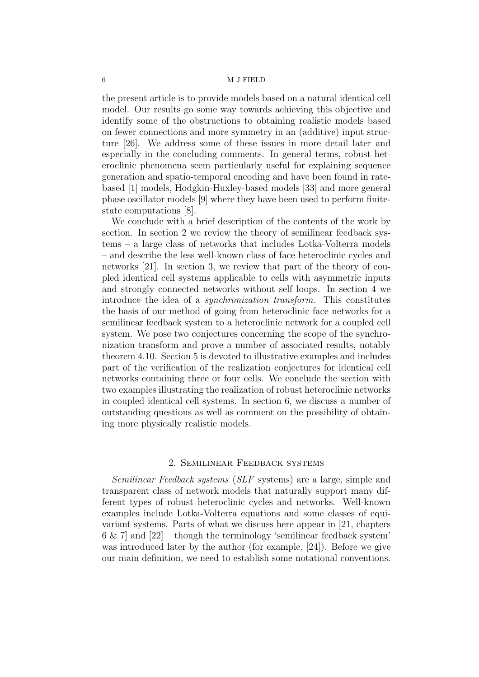the present article is to provide models based on a natural identical cell model. Our results go some way towards achieving this objective and identify some of the obstructions to obtaining realistic models based on fewer connections and more symmetry in an (additive) input structure [26]. We address some of these issues in more detail later and especially in the concluding comments. In general terms, robust heteroclinic phenomena seem particularly useful for explaining sequence generation and spatio-temporal encoding and have been found in ratebased [1] models, Hodgkin-Huxley-based models [33] and more general phase oscillator models [9] where they have been used to perform finitestate computations [8].

We conclude with a brief description of the contents of the work by section. In section 2 we review the theory of semilinear feedback systems – a large class of networks that includes Lotka-Volterra models – and describe the less well-known class of face heteroclinic cycles and networks [21]. In section 3, we review that part of the theory of coupled identical cell systems applicable to cells with asymmetric inputs and strongly connected networks without self loops. In section 4 we introduce the idea of a synchronization transform. This constitutes the basis of our method of going from heteroclinic face networks for a semilinear feedback system to a heteroclinic network for a coupled cell system. We pose two conjectures concerning the scope of the synchronization transform and prove a number of associated results, notably theorem 4.10. Section 5 is devoted to illustrative examples and includes part of the verification of the realization conjectures for identical cell networks containing three or four cells. We conclude the section with two examples illustrating the realization of robust heteroclinic networks in coupled identical cell systems. In section 6, we discuss a number of outstanding questions as well as comment on the possibility of obtaining more physically realistic models.

## 2. Semilinear Feedback systems

Semilinear Feedback systems (SLF systems) are a large, simple and transparent class of network models that naturally support many different types of robust heteroclinic cycles and networks. Well-known examples include Lotka-Volterra equations and some classes of equivariant systems. Parts of what we discuss here appear in [21, chapters  $6 \& 7$  and  $[22]$  – though the terminology 'semilinear feedback system' was introduced later by the author (for example, [24]). Before we give our main definition, we need to establish some notational conventions.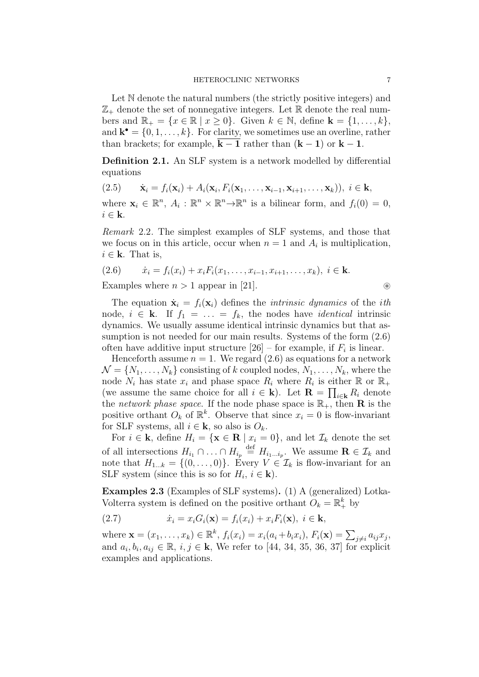Let N denote the natural numbers (the strictly positive integers) and  $\mathbb{Z}_+$  denote the set of nonnegative integers. Let  $\mathbb R$  denote the real numbers and  $\mathbb{R}_+ = \{x \in \mathbb{R} \mid x \geq 0\}$ . Given  $k \in \mathbb{N}$ , define  $\mathbf{k} = \{1, \ldots, k\}$ , and  $\mathbf{k}^{\bullet} = \{0, 1, \ldots, k\}$ . For clarity, we sometimes use an overline, rather than brackets; for example,  $k - 1$  rather than  $(k - 1)$  or  $k - 1$ .

**Definition 2.1.** An SLF system is a network modelled by differential equations

$$
(2.5) \qquad \dot{\mathbf{x}}_i = f_i(\mathbf{x}_i) + A_i(\mathbf{x}_i, F_i(\mathbf{x}_1, \dots, \mathbf{x}_{i-1}, \mathbf{x}_{i+1}, \dots, \mathbf{x}_k)), \ i \in \mathbf{k},
$$

where  $\mathbf{x}_i \in \mathbb{R}^n$ ,  $A_i : \mathbb{R}^n \times \mathbb{R}^n \to \mathbb{R}^n$  is a bilinear form, and  $f_i(0) = 0$ ,  $i \in \mathbf{k}$ .

Remark 2.2. The simplest examples of SLF systems, and those that we focus on in this article, occur when  $n = 1$  and  $A_i$  is multiplication,  $i \in \mathbf{k}$ . That is,

(2.6) 
$$
\dot{x}_i = f_i(x_i) + x_i F_i(x_1, \dots, x_{i-1}, x_{i+1}, \dots, x_k), \ i \in \mathbf{k}.
$$

Examples where  $n > 1$  appear in [21]. <br>
⊗

The equation  $\dot{\mathbf{x}}_i = f_i(\mathbf{x}_i)$  defines the *intrinsic dynamics* of the *ith* node,  $i \in \mathbf{k}$ . If  $f_1 = \ldots = f_k$ , the nodes have *identical* intrinsic dynamics. We usually assume identical intrinsic dynamics but that assumption is not needed for our main results. Systems of the form (2.6) often have additive input structure  $[26]$  – for example, if  $F_i$  is linear.

Henceforth assume  $n = 1$ . We regard  $(2.6)$  as equations for a network  $\mathcal{N} = \{N_1, \ldots, N_k\}$  consisting of k coupled nodes,  $N_1, \ldots, N_k$ , where the node  $N_i$  has state  $x_i$  and phase space  $R_i$  where  $R_i$  is either  $\mathbb{R}$  or  $\mathbb{R}_+$ (we assume the same choice for all  $i \in \mathbf{k}$ ). Let  $\mathbf{R} = \prod_{i \in \mathbf{k}} R_i$  denote the *network phase space*. If the node phase space is  $\mathbb{R}_+$ , then **R** is the positive orthant  $O_k$  of  $\mathbb{R}^k$ . Observe that since  $x_i = 0$  is flow-invariant for SLF systems, all  $i \in \mathbf{k}$ , so also is  $O_k$ .

For  $i \in \mathbf{k}$ , define  $H_i = \{ \mathbf{x} \in \mathbf{R} \mid x_i = 0 \}$ , and let  $\mathcal{I}_k$  denote the set of all intersections  $H_{i_1} \cap \ldots \cap H_{i_p} \stackrel{\text{def}}{=} H_{i_1 \ldots i_p}$ . We assume  $\mathbf{R} \in \mathcal{I}_k$  and note that  $H_{1...k} = \{(0, \ldots, 0)\}$ . Every  $V \in \mathcal{I}_k$  is flow-invariant for an SLF system (since this is so for  $H_i$ ,  $i \in \mathbf{k}$ ).

Examples 2.3 (Examples of SLF systems). (1) A (generalized) Lotka-Volterra system is defined on the positive orthant  $O_k = \mathbb{R}^k_+$  by

(2.7) 
$$
\dot{x}_i = x_i G_i(\mathbf{x}) = f_i(x_i) + x_i F_i(\mathbf{x}), \ i \in \mathbf{k},
$$

where  $\mathbf{x} = (x_1, ..., x_k) \in \mathbb{R}^k$ ,  $f_i(x_i) = x_i(a_i + b_i x_i)$ ,  $F_i(\mathbf{x}) = \sum_{j \neq i} a_{ij} x_j$ , and  $a_i, b_i, a_{ij} \in \mathbb{R}, i, j \in \mathbf{k}$ , We refer to [44, 34, 35, 36, 37] for explicit examples and applications.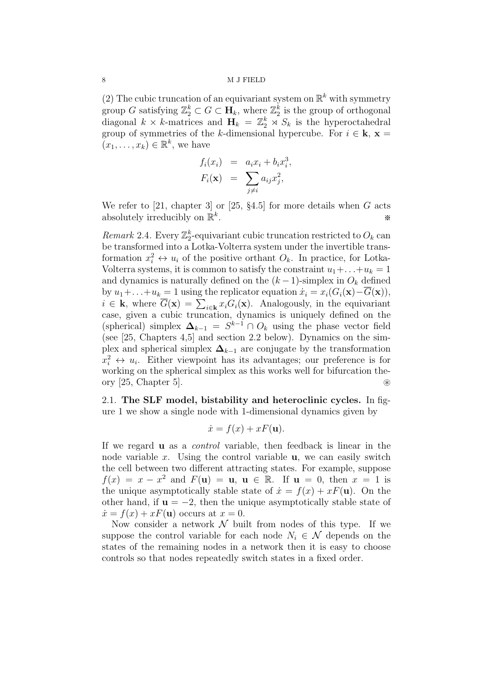(2) The cubic truncation of an equivariant system on  $\mathbb{R}^k$  with symmetry group G satisfying  $\mathbb{Z}_2^k \subset G \subset \mathbf{H}_k$ , where  $\mathbb{Z}_2^k$  $_2^k$  is the group of orthogonal diagonal  $k \times k$ -matrices and  $\mathbf{H}_k = \mathbb{Z}_2^k \rtimes S_k$  is the hyperoctahedral group of symmetries of the k-dimensional hypercube. For  $i \in \mathbf{k}$ ,  $\mathbf{x} =$  $(x_1, \ldots, x_k) \in \mathbb{R}^k$ , we have

$$
f_i(x_i) = a_i x_i + b_i x_i^3
$$
  

$$
F_i(\mathbf{x}) = \sum_{j \neq i} a_{ij} x_j^2,
$$

,

We refer to [21, chapter 3] or [25,  $\S 4.5$ ] for more details when G acts absolutely irreducibly on  $\mathbb{R}^k$ . ※

*Remark* 2.4. Every  $\mathbb{Z}_2^k$ <sup> $k$ </sup>-equivariant cubic truncation restricted to  $O_k$  can be transformed into a Lotka-Volterra system under the invertible transformation  $x_i^2 \leftrightarrow u_i$  of the positive orthant  $O_k$ . In practice, for Lotka-Volterra systems, it is common to satisfy the constraint  $u_1 + \ldots + u_k = 1$ and dynamics is naturally defined on the  $(k-1)$ -simplex in  $O_k$  defined by  $u_1+\ldots+u_k=1$  using the replicator equation  $\dot{x}_i=x_i(G_i(\mathbf{x})-\overline{G}(\mathbf{x})),$  $i \in \mathbf{k}$ , where  $\overline{G}(\mathbf{x}) = \sum_{i \in \mathbf{k}} x_i G_i(\mathbf{x})$ . Analogously, in the equivariant case, given a cubic truncation, dynamics is uniquely defined on the (spherical) simplex  $\Delta_{k-1} = S^{k-1} \cap O_k$  using the phase vector field (see [25, Chapters 4,5] and section 2.2 below). Dynamics on the simplex and spherical simplex  $\Delta_{k-1}$  are conjugate by the transformation  $x_i^2 \leftrightarrow u_i$ . Either viewpoint has its advantages; our preference is for working on the spherical simplex as this works well for bifurcation theory [25, Chapter 5]. ⊛

2.1. The SLF model, bistability and heteroclinic cycles. In figure 1 we show a single node with 1-dimensional dynamics given by

$$
\dot{x} = f(x) + xF(\mathbf{u}).
$$

If we regard u as a control variable, then feedback is linear in the node variable x. Using the control variable  $\bf{u}$ , we can easily switch the cell between two different attracting states. For example, suppose  $f(x) = x - x^2$  and  $F(\mathbf{u}) = \mathbf{u}$ ,  $\mathbf{u} \in \mathbb{R}$ . If  $\mathbf{u} = 0$ , then  $x = 1$  is the unique asymptotically stable state of  $\dot{x} = f(x) + xF(\mathbf{u})$ . On the other hand, if  $\mathbf{u} = -2$ , then the unique asymptotically stable state of  $\dot{x} = f(x) + xF(\mathbf{u})$  occurs at  $x = 0$ .

Now consider a network  $\mathcal N$  built from nodes of this type. If we suppose the control variable for each node  $N_i \in \mathcal{N}$  depends on the states of the remaining nodes in a network then it is easy to choose controls so that nodes repeatedly switch states in a fixed order.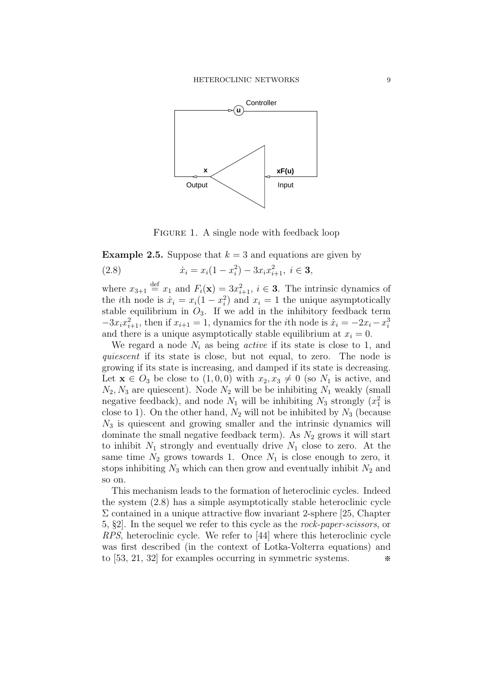

FIGURE 1. A single node with feedback loop

**Example 2.5.** Suppose that  $k = 3$  and equations are given by 2

(2.8) 
$$
\dot{x}_i = x_i(1 - x_i^2) - 3x_ix_{i+1}^2, \ i \in \mathbf{3},
$$

where  $x_{3+1} \stackrel{\text{def}}{=} x_1$  and  $F_i(\mathbf{x}) = 3x_{i+1}^2$ ,  $i \in \mathbf{3}$ . The intrinsic dynamics of the *i*th node is  $\dot{x}_i = x_i(1 - x_i^2)$  and  $x_i = 1$  the unique asymptotically stable equilibrium in  $O_3$ . If we add in the inhibitory feedback term  $-3x_ix_{i+1}^2$ , then if  $x_{i+1} = 1$ , dynamics for the *i*th node is  $\dot{x}_i = -2x_i - x_i^3$ and there is a unique asymptotically stable equilibrium at  $x_i = 0$ .

We regard a node  $N_i$  as being *active* if its state is close to 1, and quiescent if its state is close, but not equal, to zero. The node is growing if its state is increasing, and damped if its state is decreasing. Let  $\mathbf{x} \in O_3$  be close to  $(1, 0, 0)$  with  $x_2, x_3 \neq 0$  (so  $N_1$  is active, and  $N_2, N_3$  are quiescent). Node  $N_2$  will be be inhibiting  $N_1$  weakly (small negative feedback), and node  $N_1$  will be inhibiting  $N_3$  strongly  $(x_1^2)$  is close to 1). On the other hand,  $N_2$  will not be inhibited by  $N_3$  (because  $N_3$  is quiescent and growing smaller and the intrinsic dynamics will dominate the small negative feedback term). As  $N_2$  grows it will start to inhibit  $N_1$  strongly and eventually drive  $N_1$  close to zero. At the same time  $N_2$  grows towards 1. Once  $N_1$  is close enough to zero, it stops inhibiting  $N_3$  which can then grow and eventually inhibit  $N_2$  and so on.

This mechanism leads to the formation of heteroclinic cycles. Indeed the system (2.8) has a simple asymptotically stable heteroclinic cycle  $\Sigma$  contained in a unique attractive flow invariant 2-sphere [25, Chapter 5, §2]. In the sequel we refer to this cycle as the rock-paper-scissors, or RPS, heteroclinic cycle. We refer to [44] where this heteroclinic cycle was first described (in the context of Lotka-Volterra equations) and to [53, 21, 32] for examples occurring in symmetric systems. ※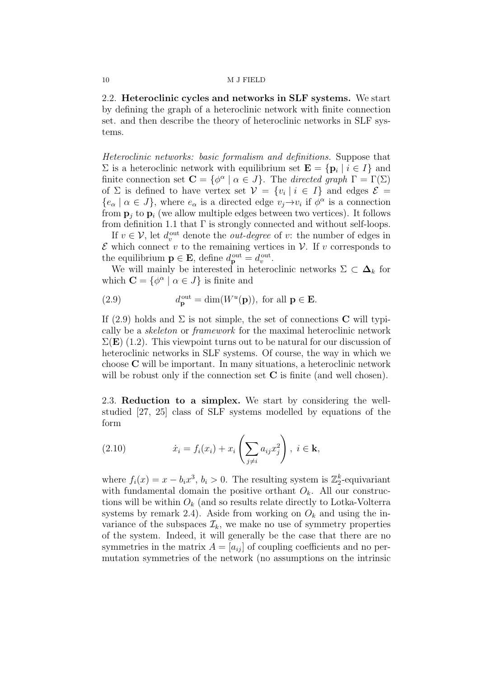2.2. Heteroclinic cycles and networks in SLF systems. We start by defining the graph of a heteroclinic network with finite connection set. and then describe the theory of heteroclinic networks in SLF systems.

Heteroclinic networks: basic formalism and definitions. Suppose that  $\Sigma$  is a heteroclinic network with equilibrium set  $\mathbf{E} = {\mathbf{p}_i \mid i \in I}$  and finite connection set  $\mathbf{C} = {\phi^{\alpha} \mid \alpha \in J}$ . The directed graph  $\Gamma = \Gamma(\Sigma)$ of  $\Sigma$  is defined to have vertex set  $V = \{v_i \mid i \in I\}$  and edges  $\mathcal{E} =$  $\{e_{\alpha} \mid \alpha \in J\}$ , where  $e_{\alpha}$  is a directed edge  $v_j \rightarrow v_i$  if  $\phi^{\alpha}$  is a connection from  $\mathbf{p}_i$  to  $\mathbf{p}_i$  (we allow multiple edges between two vertices). It follows from definition 1.1 that  $\Gamma$  is strongly connected and without self-loops.

If  $v \in V$ , let  $d_v^{\text{out}}$  denote the *out-degree* of v: the number of edges in  $\mathcal E$  which connect v to the remaining vertices in  $\mathcal V$ . If v corresponds to the equilibrium  $\mathbf{p} \in \mathbf{E}$ , define  $d_{\mathbf{p}}^{\text{out}} = d_v^{\text{out}}$ .

We will mainly be interested in heteroclinic networks  $\Sigma \subset \Delta_k$  for which  $\mathbf{C} = \{ \phi^{\alpha} \mid \alpha \in J \}$  is finite and

(2.9) 
$$
d_{\mathbf{p}}^{\text{out}} = \dim(W^u(\mathbf{p})), \text{ for all } \mathbf{p} \in \mathbf{E}.
$$

If (2.9) holds and  $\Sigma$  is not simple, the set of connections **C** will typically be a skeleton or framework for the maximal heteroclinic network  $\Sigma(E)$  (1.2). This viewpoint turns out to be natural for our discussion of heteroclinic networks in SLF systems. Of course, the way in which we choose C will be important. In many situations, a heteroclinic network will be robust only if the connection set  $C$  is finite (and well chosen).

2.3. Reduction to a simplex. We start by considering the wellstudied [27, 25] class of SLF systems modelled by equations of the form

(2.10) 
$$
\dot{x}_i = f_i(x_i) + x_i \left( \sum_{j \neq i} a_{ij} x_j^2 \right), \ i \in \mathbf{k},
$$

where  $f_i(x) = x - b_i x^3$ ,  $b_i > 0$ . The resulting system is  $\mathbb{Z}_2^k$  $2^k$ -equivariant with fundamental domain the positive orthant  $O_k$ . All our constructions will be within  $O_k$  (and so results relate directly to Lotka-Volterra systems by remark 2.4). Aside from working on  $O_k$  and using the invariance of the subspaces  $\mathcal{I}_k$ , we make no use of symmetry properties of the system. Indeed, it will generally be the case that there are no symmetries in the matrix  $A = [a_{ij}]$  of coupling coefficients and no permutation symmetries of the network (no assumptions on the intrinsic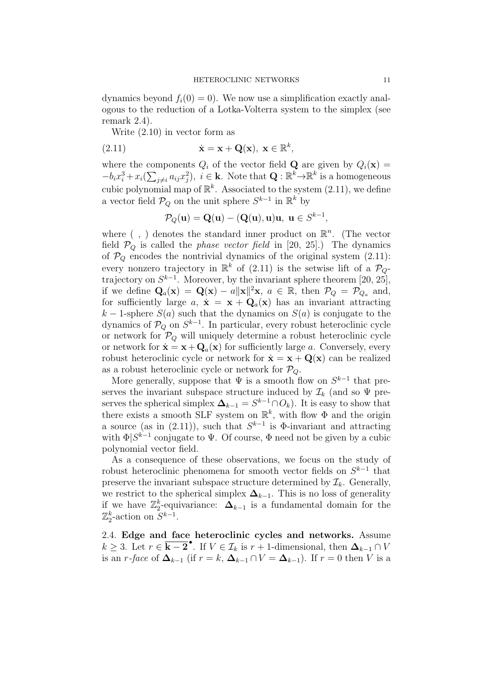dynamics beyond  $f_i(0) = 0$ . We now use a simplification exactly analogous to the reduction of a Lotka-Volterra system to the simplex (see remark 2.4).

Write (2.10) in vector form as

(2.11) 
$$
\dot{\mathbf{x}} = \mathbf{x} + \mathbf{Q}(\mathbf{x}), \ \mathbf{x} \in \mathbb{R}^k,
$$

where the components  $Q_i$  of the vector field **Q** are given by  $Q_i(\mathbf{x}) =$  $-b_i x_i^3 + x_i \left( \sum_{j \neq i} a_{ij} x_j^2 \right), i \in \mathbf{k}$ . Note that  $\mathbf{Q} : \mathbb{R}^k \to \mathbb{R}^k$  is a homogeneous cubic polynomial map of  $\mathbb{R}^k$ . Associated to the system  $(2.11)$ , we define a vector field  $\mathcal{P}_Q$  on the unit sphere  $S^{k-1}$  in  $\mathbb{R}^k$  by

$$
\mathcal{P}_Q(\mathbf{u}) = \mathbf{Q}(\mathbf{u}) - (\mathbf{Q}(\mathbf{u}), \mathbf{u})\mathbf{u}, \ \mathbf{u} \in S^{k-1},
$$

where  $( , )$  denotes the standard inner product on  $\mathbb{R}^n$ . (The vector field  $P_Q$  is called the *phase vector field* in [20, 25].) The dynamics of  $\mathcal{P}_Q$  encodes the nontrivial dynamics of the original system (2.11): every nonzero trajectory in  $\mathbb{R}^k$  of (2.11) is the setwise lift of a  $\mathcal{P}_Q$ trajectory on  $S^{k-1}$ . Moreover, by the invariant sphere theorem [20, 25], if we define  $\mathbf{Q}_a(\mathbf{x}) = \mathbf{Q}(\mathbf{x}) - a \|\mathbf{x}\|^2 \mathbf{x}, a \in \mathbb{R}$ , then  $\mathcal{P}_Q = \mathcal{P}_{Q_a}$  and, for sufficiently large a,  $\dot{\mathbf{x}} = \mathbf{x} + \mathbf{Q}_a(\mathbf{x})$  has an invariant attracting k – 1-sphere  $S(a)$  such that the dynamics on  $S(a)$  is conjugate to the dynamics of  $\mathcal{P}_Q$  on  $S^{k-1}$ . In particular, every robust heteroclinic cycle or network for  $\mathcal{P}_Q$  will uniquely determine a robust heteroclinic cycle or network for  $\dot{\mathbf{x}} = \mathbf{x} + \mathbf{Q}_a(\mathbf{x})$  for sufficiently large a. Conversely, every robust heteroclinic cycle or network for  $\dot{\mathbf{x}} = \mathbf{x} + \mathbf{Q}(\mathbf{x})$  can be realized as a robust heteroclinic cycle or network for  $P_Q$ .

More generally, suppose that  $\Psi$  is a smooth flow on  $S^{k-1}$  that preserves the invariant subspace structure induced by  $\mathcal{I}_k$  (and so  $\Psi$  preserves the spherical simplex  $\Delta_{k-1} = S^{k-1} \cap O_k$ . It is easy to show that there exists a smooth SLF system on  $\mathbb{R}^k$ , with flow  $\Phi$  and the origin a source (as in (2.11)), such that  $S^{k-1}$  is  $\Phi$ -invariant and attracting with  $\Phi|S^{k-1}$  conjugate to  $\Psi$ . Of course,  $\Phi$  need not be given by a cubic polynomial vector field.

As a consequence of these observations, we focus on the study of robust heteroclinic phenomena for smooth vector fields on  $S^{k-1}$  that preserve the invariant subspace structure determined by  $\mathcal{I}_k$ . Generally, we restrict to the spherical simplex  $\Delta_{k-1}$ . This is no loss of generality if we have  $\mathbb{Z}_2^k$ <sup>k</sup>-equivariance:  $\mathbf{\Delta}_{k-1}$  is a fundamental domain for the  $\mathbb{Z}_2^k$  $k<sub>2</sub>$ -action on  $S^{k-1}$ .

2.4. Edge and face heteroclinic cycles and networks. Assume  $k \geq 3$ . Let  $r \in \overline{\mathbf{k-2}}^{\bullet}$ . If  $V \in \mathcal{I}_k$  is  $r+1$ -dimensional, then  $\Delta_{k-1} \cap V$ is an r-face of  $\Delta_{k-1}$  (if  $r = k$ ,  $\Delta_{k-1} \cap V = \Delta_{k-1}$ ). If  $r = 0$  then V is a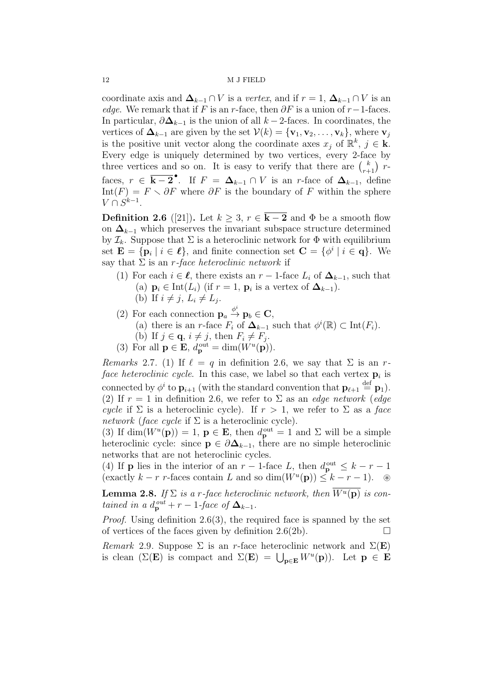coordinate axis and  $\Delta_{k-1} \cap V$  is a vertex, and if  $r = 1$ ,  $\Delta_{k-1} \cap V$  is an edge. We remark that if F is an r-face, then  $\partial F$  is a union of r-1-faces. In particular,  $\partial \Delta_{k-1}$  is the union of all  $k-2$ -faces. In coordinates, the vertices of  $\Delta_{k-1}$  are given by the set  $\mathcal{V}(k) = {\mathbf{v}_1, \mathbf{v}_2, \dots, \mathbf{v}_k}$ , where  $\mathbf{v}_j$ is the positive unit vector along the coordinate axes  $x_j$  of  $\mathbb{R}^k$ ,  $j \in \mathbf{k}$ . Every edge is uniquely determined by two vertices, every 2-face by three vertices and so on. It is easy to verify that there are  $\binom{k}{r+1}$  rfaces,  $r \in \overline{\mathbf{k-2}}^{\bullet}$ . If  $F = \Delta_{k-1} \cap V$  is an r-face of  $\Delta_{k-1}$ , define Int(F) =  $F \setminus \partial F$  where  $\partial F$  is the boundary of F within the sphere  $V \cap S^{k-1}$ .

**Definition 2.6** ([21]). Let  $k > 3$ ,  $r \in \overline{k-2}$  and  $\Phi$  be a smooth flow on  $\Delta_{k-1}$  which preserves the invariant subspace structure determined by  $\mathcal{I}_k$ . Suppose that  $\Sigma$  is a heteroclinic network for  $\Phi$  with equilibrium set  $\mathbf{E} = {\mathbf{p}_i \mid i \in \ell},$  and finite connection set  $\mathbf{C} = {\phi^i \mid i \in \mathbf{q}}.$  We say that  $\Sigma$  is an r-face heteroclinic network if

- (1) For each  $i \in \ell$ , there exists an  $r-1$ -face  $L_i$  of  $\Delta_{k-1}$ , such that (a)  $\mathbf{p}_i \in \text{Int}(L_i)$  (if  $r = 1$ ,  $\mathbf{p}_i$  is a vertex of  $\mathbf{\Delta}_{k-1}$ ).
	- (b) If  $i \neq j$ ,  $L_i \neq L_j$ .
- (2) For each connection  $\mathbf{p}_a \stackrel{\phi^i}{\rightarrow} \mathbf{p}_b \in \mathbf{C}$ ,
	- (a) there is an r-face  $F_i$  of  $\Delta_{k-1}$  such that  $\phi^i(\mathbb{R}) \subset \text{Int}(F_i)$ .
	- (b) If  $j \in \mathbf{q}, i \neq j$ , then  $F_i \neq F_j$ .
- (3) For all  $\mathbf{p} \in \mathbf{E}$ ,  $d_{\mathbf{p}}^{\text{out}} = \dim(W^u(\mathbf{p})).$

*Remarks* 2.7. (1) If  $\ell = q$  in definition 2.6, we say that  $\Sigma$  is an rface heteroclinic cycle. In this case, we label so that each vertex  $p_i$  is connected by  $\phi^i$  to  $\mathbf{p}_{i+1}$  (with the standard convention that  $\mathbf{p}_{\ell+1} \stackrel{\text{def}}{=} \mathbf{p}_1$ ). (2) If  $r = 1$  in definition 2.6, we refer to  $\Sigma$  as an *edge network* (*edge* cycle if  $\Sigma$  is a heteroclinic cycle). If  $r > 1$ , we refer to  $\Sigma$  as a face network (face cycle if  $\Sigma$  is a heteroclinic cycle).

(3) If  $\dim(W^u(\mathbf{p})) = 1$ ,  $\mathbf{p} \in \mathbf{E}$ , then  $d_{\mathbf{p}}^{\text{out}} = 1$  and  $\Sigma$  will be a simple heteroclinic cycle: since  $p \in \partial \Delta_{k-1}$ , there are no simple heteroclinic networks that are not heteroclinic cycles.

(4) If **p** lies in the interior of an  $r - 1$ -face L, then  $d_{\mathbf{p}}^{\text{out}} \leq k - r - 1$ (exactly  $k - r$  r-faces contain L and so  $\dim(W^u(\mathbf{p})) \leq k - r - 1$ ). <sup>®</sup>

**Lemma 2.8.** If  $\Sigma$  is a r-face heteroclinic network, then  $\overline{W^u(\mathbf{p})}$  is contained in a  $d_{\mathbf{p}}^{out} + r - 1$ -face of  $\mathbf{\Delta}_{k-1}$ .

Proof. Using definition 2.6(3), the required face is spanned by the set of vertices of the faces given by definition 2.6(2b).  $\Box$ 

Remark 2.9. Suppose  $\Sigma$  is an r-face heteroclinic network and  $\Sigma(E)$ is clean ( $\Sigma(E)$  is compact and  $\Sigma(E) = \bigcup_{\mathbf{p} \in E} W^u(\mathbf{p})$ ). Let  $\mathbf{p} \in E$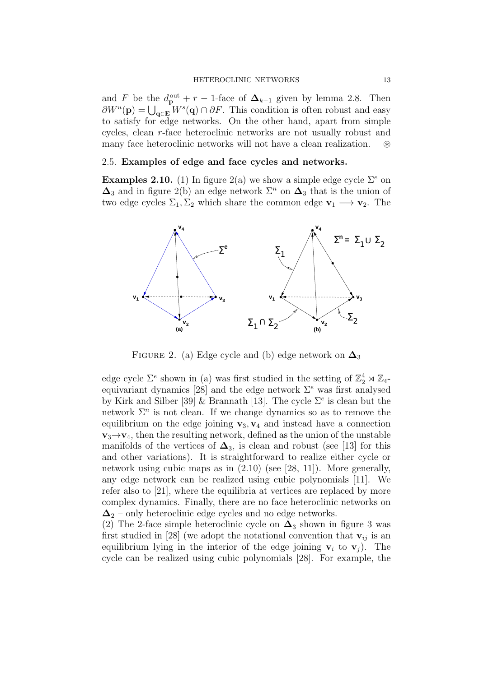and F be the  $d_{\mathbf{p}}^{\text{out}} + r - 1$ -face of  $\Delta_{k-1}$  given by lemma 2.8. Then  $\partial W^u(\mathbf{p}) = \bigcup_{\mathbf{q} \in \mathbf{E}} W^s(\mathbf{q}) \cap \partial F$ . This condition is often robust and easy to satisfy for edge networks. On the other hand, apart from simple cycles, clean r-face heteroclinic networks are not usually robust and many face heteroclinic networks will not have a clean realization. ⊛

## 2.5. Examples of edge and face cycles and networks.

**Examples 2.10.** (1) In figure 2(a) we show a simple edge cycle  $\Sigma^e$  on  $\Delta_3$  and in figure 2(b) an edge network  $\Sigma^n$  on  $\Delta_3$  that is the union of two edge cycles  $\Sigma_1, \Sigma_2$  which share the common edge  $\mathbf{v}_1 \longrightarrow \mathbf{v}_2$ . The



FIGURE 2. (a) Edge cycle and (b) edge network on  $\Delta_3$ 

edge cycle  $\Sigma^e$  shown in (a) was first studied in the setting of  $\mathbb{Z}_2^4 \rtimes \mathbb{Z}_4$ equivariant dynamics [28] and the edge network  $\Sigma^e$  was first analysed by Kirk and Silber [39] & Brannath [13]. The cycle  $\Sigma^e$  is clean but the network  $\Sigma^n$  is not clean. If we change dynamics so as to remove the equilibrium on the edge joining  $v_3$ ,  $v_4$  and instead have a connection  $v_3 \rightarrow v_4$ , then the resulting network, defined as the union of the unstable manifolds of the vertices of  $\Delta_3$ , is clean and robust (see [13] for this and other variations). It is straightforward to realize either cycle or network using cubic maps as in (2.10) (see [28, 11]). More generally, any edge network can be realized using cubic polynomials [11]. We refer also to [21], where the equilibria at vertices are replaced by more complex dynamics. Finally, there are no face heteroclinic networks on  $\Delta_2$  – only heteroclinic edge cycles and no edge networks.

(2) The 2-face simple heteroclinic cycle on  $\Delta_3$  shown in figure 3 was first studied in [28] (we adopt the notational convention that  $v_{ij}$  is an equilibrium lying in the interior of the edge joining  $v_i$  to  $v_j$ ). The cycle can be realized using cubic polynomials [28]. For example, the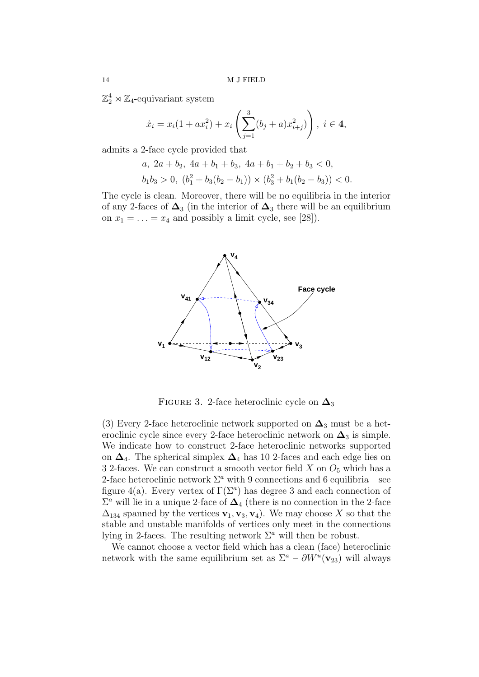$\mathbb{Z}_2^4 \rtimes \mathbb{Z}_4$ -equivariant system

$$
\dot{x}_i = x_i(1 + ax_i^2) + x_i \left( \sum_{j=1}^3 (b_j + a)x_{i+j}^2) \right), \ i \in 4,
$$

admits a 2-face cycle provided that

a, 
$$
2a + b_2
$$
,  $4a + b_1 + b_3$ ,  $4a + b_1 + b_2 + b_3 < 0$ ,  
\n $b_1b_3 > 0$ ,  $(b_1^2 + b_3(b_2 - b_1)) \times (b_3^2 + b_1(b_2 - b_3)) < 0$ .

The cycle is clean. Moreover, there will be no equilibria in the interior of any 2-faces of  $\Delta_3$  (in the interior of  $\Delta_3$  there will be an equilibrium on  $x_1 = \ldots = x_4$  and possibly a limit cycle, see [28]).



FIGURE 3. 2-face heteroclinic cycle on  $\Delta_3$ 

(3) Every 2-face heteroclinic network supported on  $\Delta_3$  must be a heteroclinic cycle since every 2-face heteroclinic network on  $\Delta_3$  is simple. We indicate how to construct 2-face heteroclinic networks supported on  $\Delta_4$ . The spherical simplex  $\Delta_4$  has 10 2-faces and each edge lies on 3 2-faces. We can construct a smooth vector field  $X$  on  $O<sub>5</sub>$  which has a 2-face heteroclinic network  $\Sigma^a$  with 9 connections and 6 equilibria – see figure 4(a). Every vertex of  $\Gamma(\Sigma^a)$  has degree 3 and each connection of  $\Sigma^a$  will lie in a unique 2-face of  $\Delta_4$  (there is no connection in the 2-face  $\Delta_{134}$  spanned by the vertices  $\mathbf{v}_1, \mathbf{v}_3, \mathbf{v}_4$ . We may choose X so that the stable and unstable manifolds of vertices only meet in the connections lying in 2-faces. The resulting network  $\Sigma^a$  will then be robust.

We cannot choose a vector field which has a clean (face) heteroclinic network with the same equilibrium set as  $\Sigma^a - \partial W^u(\mathbf{v}_{23})$  will always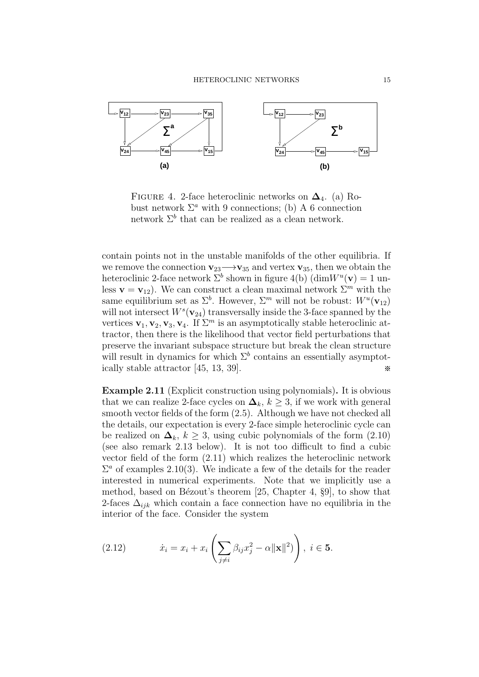

FIGURE 4. 2-face heteroclinic networks on  $\Delta_4$ . (a) Robust network  $\Sigma^a$  with 9 connections; (b) A 6 connection network  $\Sigma^b$  that can be realized as a clean network.

contain points not in the unstable manifolds of the other equilibria. If we remove the connection  $\mathbf{v}_{23} \rightarrow \mathbf{v}_{35}$  and vertex  $\mathbf{v}_{35}$ , then we obtain the heteroclinic 2-face network  $\Sigma^b$  shown in figure 4(b)  $(\dim W^u(\mathbf{v}) = 1$  unless  $\mathbf{v} = \mathbf{v}_{12}$ . We can construct a clean maximal network  $\Sigma^m$  with the same equilibrium set as  $\Sigma^b$ . However,  $\Sigma^m$  will not be robust:  $W^u(\mathbf{v}_{12})$ will not intersect  $W^s(\mathbf{v}_{24})$  transversally inside the 3-face spanned by the vertices  $\mathbf{v}_1, \mathbf{v}_2, \mathbf{v}_3, \mathbf{v}_4$ . If  $\Sigma^m$  is an asymptotically stable heteroclinic attractor, then there is the likelihood that vector field perturbations that preserve the invariant subspace structure but break the clean structure will result in dynamics for which  $\Sigma^b$  contains an essentially asymptotically stable attractor  $[45, 13, 39]$ .

Example 2.11 (Explicit construction using polynomials). It is obvious that we can realize 2-face cycles on  $\Delta_k$ ,  $k \geq 3$ , if we work with general smooth vector fields of the form (2.5). Although we have not checked all the details, our expectation is every 2-face simple heteroclinic cycle can be realized on  $\Delta_k$ ,  $k \geq 3$ , using cubic polynomials of the form (2.10) (see also remark 2.13 below). It is not too difficult to find a cubic vector field of the form (2.11) which realizes the heteroclinic network  $\Sigma^a$  of examples 2.10(3). We indicate a few of the details for the reader interested in numerical experiments. Note that we implicitly use a method, based on Bézout's theorem  $[25, Chapter 4, §9]$ , to show that 2-faces  $\Delta_{ijk}$  which contain a face connection have no equilibria in the interior of the face. Consider the system

(2.12) 
$$
\dot{x}_i = x_i + x_i \left( \sum_{j \neq i} \beta_{ij} x_j^2 - \alpha ||\mathbf{x}||^2) \right), \ i \in \mathbf{5}.
$$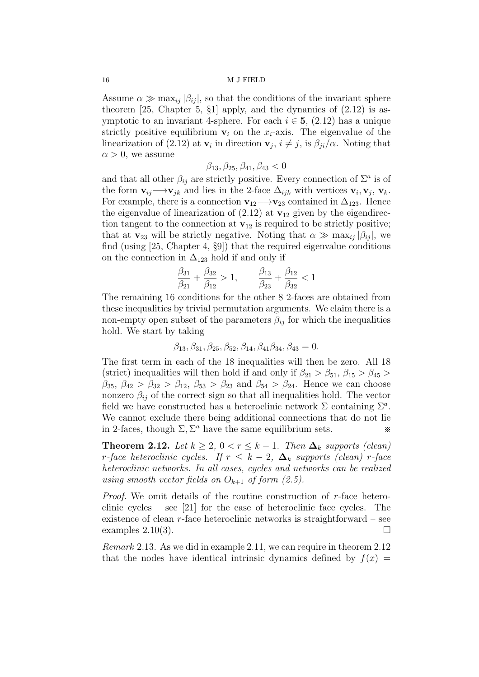Assume  $\alpha \gg \max_{ij} |\beta_{ij}|$ , so that the conditions of the invariant sphere theorem  $[25, Chapter 5, §1]$  apply, and the dynamics of  $(2.12)$  is asymptotic to an invariant 4-sphere. For each  $i \in 5$ , (2.12) has a unique strictly positive equilibrium  $v_i$  on the  $x_i$ -axis. The eigenvalue of the linearization of (2.12) at  $\mathbf{v}_i$  in direction  $\mathbf{v}_j$ ,  $i \neq j$ , is  $\beta_{ji}/\alpha$ . Noting that  $\alpha > 0$ , we assume

$$
\beta_{13}, \beta_{25}, \beta_{41}, \beta_{43} < 0
$$

and that all other  $\beta_{ij}$  are strictly positive. Every connection of  $\Sigma^a$  is of the form  $\mathbf{v}_{ij} \longrightarrow \mathbf{v}_{jk}$  and lies in the 2-face  $\Delta_{ijk}$  with vertices  $\mathbf{v}_i, \mathbf{v}_j, \mathbf{v}_k$ . For example, there is a connection  $\mathbf{v}_{12} \rightarrow \mathbf{v}_{23}$  contained in  $\Delta_{123}$ . Hence the eigenvalue of linearization of  $(2.12)$  at  $\mathbf{v}_{12}$  given by the eigendirection tangent to the connection at  $\mathbf{v}_{12}$  is required to be strictly positive; that at  $\mathbf{v}_{23}$  will be strictly negative. Noting that  $\alpha \gg \max_{i,j} |\beta_{ij}|$ , we find (using [25, Chapter 4, §9]) that the required eigenvalue conditions on the connection in  $\Delta_{123}$  hold if and only if

$$
\frac{\beta_{31}}{\beta_{21}} + \frac{\beta_{32}}{\beta_{12}} > 1, \qquad \frac{\beta_{13}}{\beta_{23}} + \frac{\beta_{12}}{\beta_{32}} < 1
$$

The remaining 16 conditions for the other 8 2-faces are obtained from these inequalities by trivial permutation arguments. We claim there is a non-empty open subset of the parameters  $\beta_{ij}$  for which the inequalities hold. We start by taking

$$
\beta_{13}, \beta_{31}, \beta_{25}, \beta_{52}, \beta_{14}, \beta_{41}\beta_{34}, \beta_{43} = 0.
$$

The first term in each of the 18 inequalities will then be zero. All 18 (strict) inequalities will then hold if and only if  $\beta_{21} > \beta_{51}$ ,  $\beta_{15} > \beta_{45}$  $\beta_{35}$ ,  $\beta_{42} > \beta_{32} > \beta_{12}$ ,  $\beta_{53} > \beta_{23}$  and  $\beta_{54} > \beta_{24}$ . Hence we can choose nonzero  $\beta_{ij}$  of the correct sign so that all inequalities hold. The vector field we have constructed has a heteroclinic network  $\Sigma$  containing  $\Sigma^a$ . We cannot exclude there being additional connections that do not lie in 2-faces, though  $\Sigma$ ,  $\Sigma^a$  have the same equilibrium sets.  $\ast$ 

**Theorem 2.12.** Let  $k \geq 2$ ,  $0 < r \leq k-1$ . Then  $\Delta_k$  supports (clean) r-face heteroclinic cycles. If  $r \leq k-2$ ,  $\Delta_k$  supports (clean) r-face heteroclinic networks. In all cases, cycles and networks can be realized using smooth vector fields on  $O_{k+1}$  of form (2.5).

*Proof.* We omit details of the routine construction of  $r$ -face heteroclinic cycles – see [21] for the case of heteroclinic face cycles. The existence of clean  $r$ -face heteroclinic networks is straightforward – see examples  $2.10(3)$ .

Remark 2.13. As we did in example 2.11, we can require in theorem 2.12 that the nodes have identical intrinsic dynamics defined by  $f(x) =$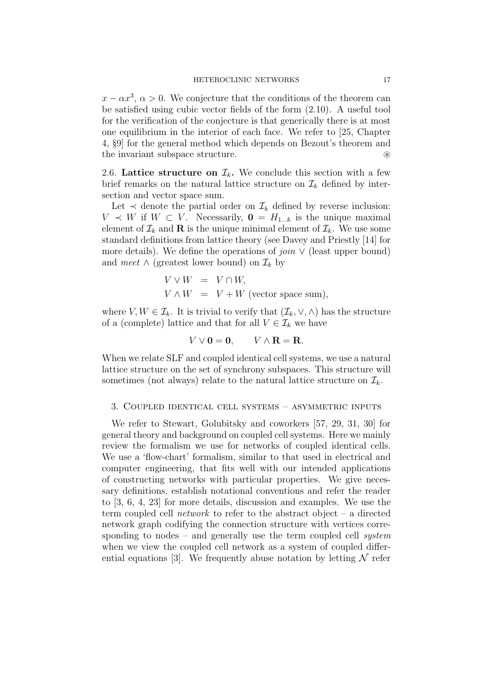$x - \alpha x^3$ ,  $\alpha > 0$ . We conjecture that the conditions of the theorem can be satisfied using cubic vector fields of the form (2.10). A useful tool for the verification of the conjecture is that generically there is at most one equilibrium in the interior of each face. We refer to [25, Chapter 4, §9] for the general method which depends on Bezout's theorem and the invariant subspace structure. ⊛

2.6. Lattice structure on  $\mathcal{I}_k$ . We conclude this section with a few brief remarks on the natural lattice structure on  $\mathcal{I}_k$  defined by intersection and vector space sum.

Let  $\prec$  denote the partial order on  $\mathcal{I}_k$  defined by reverse inclusion:  $V \prec W$  if  $W \subset V$ . Necessarily,  $\mathbf{0} = H_{1...k}$  is the unique maximal element of  $\mathcal{I}_k$  and **R** is the unique minimal element of  $\mathcal{I}_k$ . We use some standard definitions from lattice theory (see Davey and Priestly [14] for more details). We define the operations of *join*  $\vee$  (least upper bound) and meet  $\wedge$  (greatest lower bound) on  $\mathcal{I}_k$  by

$$
V \vee W = V \cap W,
$$
  

$$
V \wedge W = V + W \text{ (vector space sum)},
$$

where  $V, W \in \mathcal{I}_k$ . It is trivial to verify that  $(\mathcal{I}_k, \vee, \wedge)$  has the structure of a (complete) lattice and that for all  $V \in \mathcal{I}_k$  we have

$$
V \vee \mathbf{0} = \mathbf{0}, \qquad V \wedge \mathbf{R} = \mathbf{R}.
$$

When we relate SLF and coupled identical cell systems, we use a natural lattice structure on the set of synchrony subspaces. This structure will sometimes (not always) relate to the natural lattice structure on  $\mathcal{I}_k$ .

### 3. Coupled identical cell systems – asymmetric inputs

We refer to Stewart, Golubitsky and coworkers [57, 29, 31, 30] for general theory and background on coupled cell systems. Here we mainly review the formalism we use for networks of coupled identical cells. We use a 'flow-chart' formalism, similar to that used in electrical and computer engineering, that fits well with our intended applications of constructing networks with particular properties. We give necessary definitions, establish notational conventions and refer the reader to [3, 6, 4, 23] for more details, discussion and examples. We use the term coupled cell *network* to refer to the abstract object – a directed network graph codifying the connection structure with vertices corresponding to nodes – and generally use the term coupled cell *system* when we view the coupled cell network as a system of coupled differential equations [3]. We frequently abuse notation by letting  $\mathcal N$  refer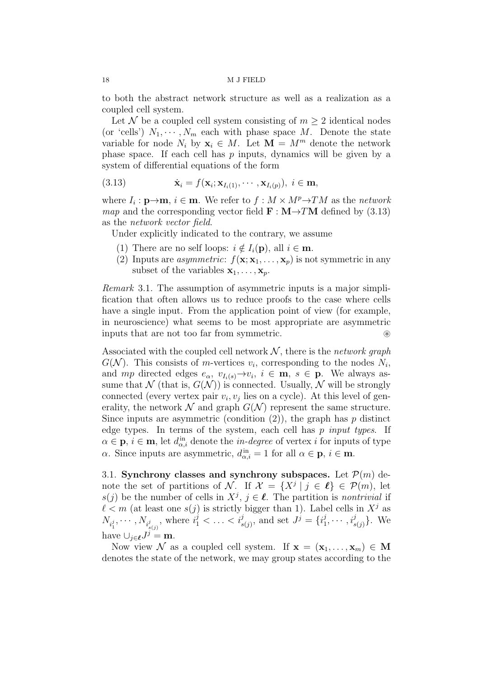to both the abstract network structure as well as a realization as a coupled cell system.

Let N be a coupled cell system consisting of  $m \geq 2$  identical nodes (or 'cells')  $N_1, \dots, N_m$  each with phase space M. Denote the state variable for node  $N_i$  by  $\mathbf{x}_i \in M$ . Let  $\mathbf{M} = M^m$  denote the network phase space. If each cell has p inputs, dynamics will be given by a system of differential equations of the form

(3.13) 
$$
\dot{\mathbf{x}}_i = f(\mathbf{x}_i; \mathbf{x}_{I_i(1)}, \cdots, \mathbf{x}_{I_i(p)}), \ i \in \mathbf{m},
$$

where  $I_i: \mathbf{p}\rightarrow\mathbf{m}, i \in \mathbf{m}$ . We refer to  $f: M \times M^p \rightarrow TM$  as the network *map* and the corresponding vector field  $\mathbf{F} : \mathbf{M} \rightarrow TM$  defined by (3.13) as the network vector field.

Under explicitly indicated to the contrary, we assume

- (1) There are no self loops:  $i \notin I_i(\mathbf{p})$ , all  $i \in \mathbf{m}$ .
- (2) Inputs are *asymmetric*:  $f(\mathbf{x}; \mathbf{x}_1, ..., \mathbf{x}_p)$  is not symmetric in any subset of the variables  $x_1, \ldots, x_p$ .

Remark 3.1. The assumption of asymmetric inputs is a major simplification that often allows us to reduce proofs to the case where cells have a single input. From the application point of view (for example, in neuroscience) what seems to be most appropriate are asymmetric inputs that are not too far from symmetric.

Associated with the coupled cell network  $N$ , there is the network graph  $G(N)$ . This consists of *m*-vertices  $v_i$ , corresponding to the nodes  $N_i$ , and mp directed edges  $e_{\alpha}$ ,  $v_{I_i(s)} \rightarrow v_i$ ,  $i \in \mathbf{m}$ ,  $s \in \mathbf{p}$ . We always assume that N (that is,  $G(N)$ ) is connected. Usually, N will be strongly connected (every vertex pair  $v_i, v_j$  lies on a cycle). At this level of generality, the network  $\mathcal N$  and graph  $G(\mathcal N)$  represent the same structure. Since inputs are asymmetric (condition  $(2)$ ), the graph has p distinct edge types. In terms of the system, each cell has  $p$  input types. If  $\alpha \in \mathbf{p}, i \in \mathbf{m}$ , let  $d_{\alpha,i}^{in}$  denote the *in-degree* of vertex *i* for inputs of type  $\alpha$ . Since inputs are asymmetric,  $d_{\alpha,i}^{\text{in}} = 1$  for all  $\alpha \in \mathbf{p}, i \in \mathbf{m}$ .

3.1. Synchrony classes and synchrony subspaces. Let  $\mathcal{P}(m)$  denote the set of partitions of N. If  $\mathcal{X} = \{X^j \mid j \in \ell\} \in \mathcal{P}(m)$ , let  $s(j)$  be the number of cells in  $X^j$ ,  $j \in \ell$ . The partition is nontrivial if  $\ell < m$  (at least one  $s(j)$  is strictly bigger than 1). Label cells in  $X^j$  as  $N_{i_1^j}, \cdots, N_{i_{s(j)}^j}$ , where  $i_1^j < \ldots < i_{s(j)}^j$ , and set  $J^j = \{i_1^j\}$  $i_1^j, \cdots, i_{s(j)}^j$ . We have  $\bigcup_{j\in\ell}J^j=\mathbf{m}$ .

Now view N as a coupled cell system. If  $x = (x_1, \ldots, x_m) \in M$ denotes the state of the network, we may group states according to the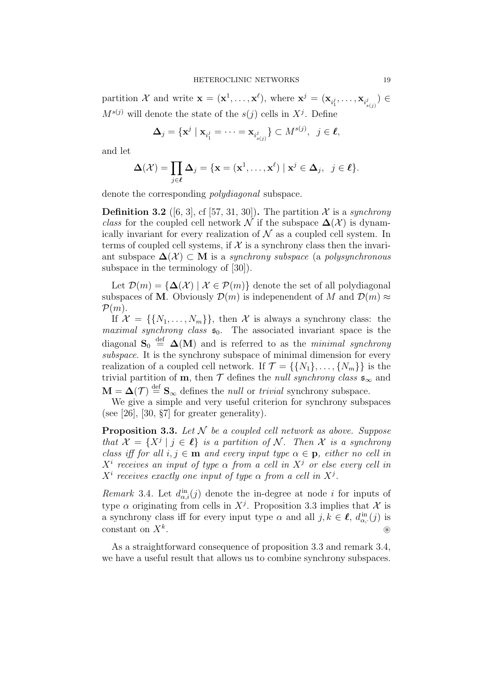partition X and write  $\mathbf{x} = (\mathbf{x}^1, \dots, \mathbf{x}^\ell)$ , where  $\mathbf{x}^j = (\mathbf{x}_{i_1^j}, \dots, \mathbf{x}_{i_{s(j)}^j}) \in$  $M^{s(j)}$  will denote the state of the  $s(j)$  cells in  $X^j$ . Define

$$
\Delta_j = \{ \mathbf{x}^j \mid \mathbf{x}_{i_1^j} = \cdots = \mathbf{x}_{i_{s(j)}^j} \} \subset M^{s(j)}, \ \ j \in \ell,
$$

and let

$$
\Delta(\mathcal{X}) = \prod_{j \in \ell} \Delta_j = \{ \mathbf{x} = (\mathbf{x}^1, \dots, \mathbf{x}^\ell) \mid \mathbf{x}^j \in \Delta_j, \ j \in \ell \}.
$$

denote the corresponding polydiagonal subspace.

**Definition 3.2** ([6, 3], cf [57, 31, 30]). The partition X is a synchrony class for the coupled cell network N if the subspace  $\Delta(\mathcal{X})$  is dynamically invariant for every realization of  $\mathcal N$  as a coupled cell system. In terms of coupled cell systems, if  $X$  is a synchrony class then the invariant subspace  $\Delta(\mathcal{X}) \subset M$  is a *synchrony subspace* (a *polysynchronous* subspace in the terminology of [30]).

Let  $\mathcal{D}(m) = {\{\Delta(\mathcal{X}) \mid \mathcal{X} \in \mathcal{P}(m)\}\$  denote the set of all polydiagonal subspaces of M. Obviously  $\mathcal{D}(m)$  is indepenendent of M and  $\mathcal{D}(m) \approx$  $\mathcal{P}(m)$ .

If  $\mathcal{X} = \{\{N_1, \ldots, N_m\}\}\$ , then  $\mathcal{X}$  is always a synchrony class: the maximal synchrony class  $\mathfrak{s}_0$ . The associated invariant space is the diagonal  $\mathbf{S}_0 \stackrel{\text{def}}{=} \mathbf{\Delta}(\mathbf{M})$  and is referred to as the minimal synchrony subspace. It is the synchrony subspace of minimal dimension for every realization of a coupled cell network. If  $\mathcal{T} = \{\{N_1\}, \ldots, \{N_m\}\}\$ is the trivial partition of **m**, then  $\mathcal T$  defines the *null synchrony class*  $\mathfrak{s}_{\infty}$  and  $\mathbf{M} = \Delta(\mathcal{T}) \stackrel{\text{def}}{=} \mathbf{S}_{\infty}$  defines the *null* or *trivial* synchrony subspace.

We give a simple and very useful criterion for synchrony subspaces (see [26], [30,  $\S7$ ] for greater generality).

**Proposition 3.3.** Let  $N$  be a coupled cell network as above. Suppose that  $\mathcal{X} = \{X^j \mid j \in \ell\}$  is a partition of N. Then X is a synchrony class iff for all  $i, j \in \mathbf{m}$  and every input type  $\alpha \in \mathbf{p}$ , either no cell in  $X^i$  receives an input of type  $\alpha$  from a cell in  $X^j$  or else every cell in  $X^i$  receives exactly one input of type  $\alpha$  from a cell in  $X^j$ .

Remark 3.4. Let  $d_{\alpha,i}^{in}(j)$  denote the in-degree at node i for inputs of type  $\alpha$  originating from cells in  $X^j$ . Proposition 3.3 implies that  $\mathcal X$  is a synchrony class iff for every input type  $\alpha$  and all  $j, k \in \ell$ ,  $d_{\alpha,\cdot}^{\text{in}}(j)$  is constant on  $X^k$ . . ⊛

As a straightforward consequence of proposition 3.3 and remark 3.4, we have a useful result that allows us to combine synchrony subspaces.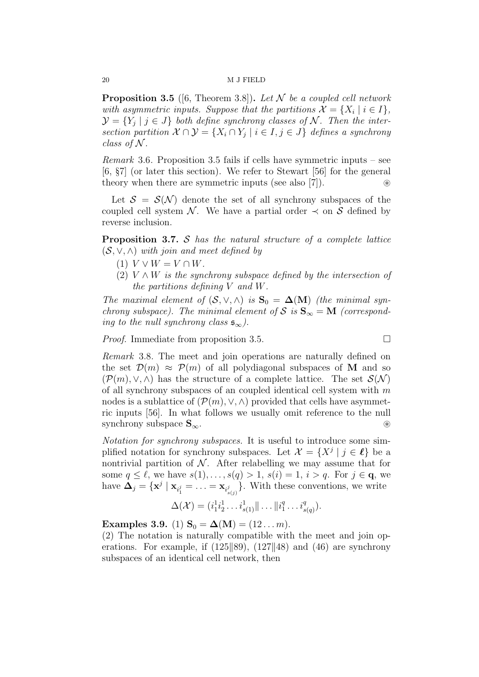**Proposition 3.5** ([6, Theorem 3.8]). Let N be a coupled cell network with asymmetric inputs. Suppose that the partitions  $\mathcal{X} = \{X_i \mid i \in I\},\$  $\mathcal{Y} = \{Y_j \mid j \in J\}$  both define synchrony classes of N. Then the intersection partition  $\mathcal{X} \cap \mathcal{Y} = \{X_i \cap Y_j \mid i \in I, j \in J\}$  defines a synchrony class of  $N$ .

*Remark* 3.6. Proposition 3.5 fails if cells have symmetric inputs – see [6, §7] (or later this section). We refer to Stewart [56] for the general theory when there are symmetric inputs (see also [7]).  $\otimes$ 

Let  $S = S(N)$  denote the set of all synchrony subspaces of the coupled cell system N. We have a partial order  $\prec$  on S defined by reverse inclusion.

**Proposition 3.7.** S has the natural structure of a complete lattice  $(S, \vee, \wedge)$  with join and meet defined by

- (1)  $V \vee W = V \cap W$ .
- (2)  $V \wedge W$  is the synchrony subspace defined by the intersection of the partitions defining V and W.

The maximal element of  $(S, \vee, \wedge)$  is  $S_0 = \Delta(M)$  (the minimal synchrony subspace). The minimal element of S is  $S_{\infty} = M$  (corresponding to the null synchrony class  $\mathfrak{s}_{\infty}$ ).

*Proof.* Immediate from proposition 3.5.

Remark 3.8. The meet and join operations are naturally defined on the set  $\mathcal{D}(m) \approx \mathcal{P}(m)$  of all polydiagonal subspaces of M and so  $(\mathcal{P}(m), \vee, \wedge)$  has the structure of a complete lattice. The set  $\mathcal{S}(\mathcal{N})$ of all synchrony subspaces of an coupled identical cell system with  $m$ nodes is a sublattice of  $(\mathcal{P}(m), \vee, \wedge)$  provided that cells have asymmetric inputs [56]. In what follows we usually omit reference to the null synchrony subspace  $S_{\infty}$ .

Notation for synchrony subspaces. It is useful to introduce some simplified notation for synchrony subspaces. Let  $\mathcal{X} = \{X^j \mid j \in \ell\}$  be a nontrivial partition of  $\mathcal N$ . After relabelling we may assume that for some  $q \leq \ell$ , we have  $s(1), \ldots, s(q) > 1$ ,  $s(i) = 1$ ,  $i > q$ . For  $j \in \mathbf{q}$ , we have  $\Delta_j = \{ \mathbf{x}^j \mid \mathbf{x}_{i_1^j} = \ldots = \mathbf{x}_{i_{s(j)}^j} \}$ . With these conventions, we write

$$
\Delta(\mathcal{X}) = (i_1^1 i_2^1 \dots i_{s(1)}^1 || \dots || i_1^q \dots i_{s(q)}^q).
$$

Examples 3.9. (1)  $S_0 = \Delta(M) = (12...m)$ .

(2) The notation is naturally compatible with the meet and join operations. For example, if  $(125||89)$ ,  $(127||48)$  and  $(46)$  are synchrony subspaces of an identical cell network, then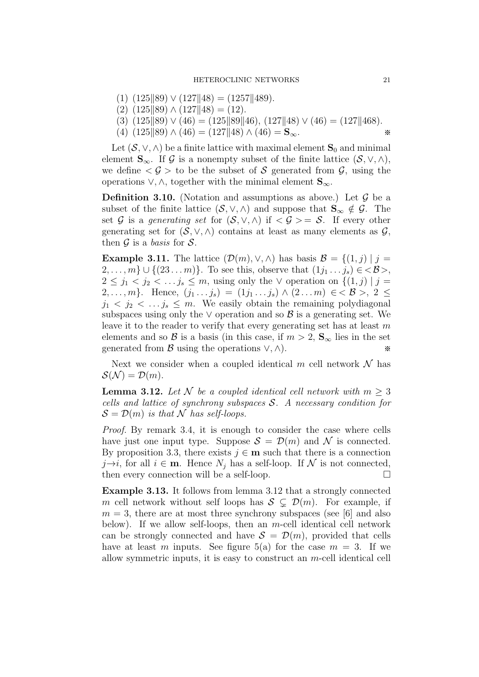- $(1)$   $(125||89) \vee (127||48) = (1257||489).$
- $(2)$   $(125||89) \wedge (127||48) = (12).$
- (3)  $(125||89) \vee (46) = (125||89||46), (127||48) \vee (46) = (127||468).$
- (4)  $(125||89) \wedge (46) = (127||48) \wedge (46) = S_{\infty}$ . \*\*

Let  $(S, \vee, \wedge)$  be a finite lattice with maximal element  $S_0$  and minimal element  $\mathbf{S}_{\infty}$ . If G is a nonempty subset of the finite lattice  $(S, \vee, \wedge),$ we define  $\langle \mathcal{G} \rangle$  to be the subset of S generated from  $\mathcal{G}$ , using the operations  $\vee$ ,  $\wedge$ , together with the minimal element  $\mathbf{S}_{\infty}$ .

**Definition 3.10.** (Notation and assumptions as above.) Let  $\mathcal{G}$  be a subset of the finite lattice  $(S, \vee, \wedge)$  and suppose that  $\mathbf{S}_{\infty} \notin \mathcal{G}$ . The set G is a generating set for  $(S, \vee, \wedge)$  if  $\langle \mathcal{G} \rangle = S$ . If every other generating set for  $(S, \vee, \wedge)$  contains at least as many elements as  $\mathcal{G}$ , then  $\mathcal G$  is a basis for  $\mathcal S$ .

**Example 3.11.** The lattice  $(\mathcal{D}(m), \vee, \wedge)$  has basis  $\mathcal{B} = \{(1, j) | j =$  $2, \ldots, m\} \cup \{(23 \ldots m)\}.$  To see this, observe that  $(1j_1 \ldots j_s) \in \langle \mathcal{B} \rangle,$  $2 \leq j_1 < j_2 < \ldots j_s \leq m$ , using only the  $\vee$  operation on  $\{(1, j) | j = j_s \}$ 2, ..., m}. Hence,  $(j_1 \tildes j_s) = (1j_1 \tildes j_s) \wedge (2 \tildes m) \in \mathcal{B} >, 2 \leq$  $j_1 < j_2 < \ldots j_s \leq m$ . We easily obtain the remaining polydiagonal subspaces using only the  $\vee$  operation and so  $\beta$  is a generating set. We leave it to the reader to verify that every generating set has at least  $m$ elements and so B is a basis (in this case, if  $m > 2$ ,  $S_{\infty}$  lies in the set generated from  $\mathcal{B}$  using the operations  $\vee$ ,  $\wedge$ ).

Next we consider when a coupled identical m cell network  $\mathcal N$  has  $\mathcal{S}(\mathcal{N}) = \mathcal{D}(m).$ 

**Lemma 3.12.** Let N be a coupled identical cell network with  $m > 3$ cells and lattice of synchrony subspaces  $S$ . A necessary condition for  $\mathcal{S} = \mathcal{D}(m)$  is that N has self-loops.

Proof. By remark 3.4, it is enough to consider the case where cells have just one input type. Suppose  $S = \mathcal{D}(m)$  and N is connected. By proposition 3.3, there exists  $j \in \mathbf{m}$  such that there is a connection  $j\rightarrow i$ , for all  $i \in \mathbf{m}$ . Hence  $N_j$  has a self-loop. If  $N$  is not connected, then every connection will be a self-loop.  $\Box$ then every connection will be a self-loop.

Example 3.13. It follows from lemma 3.12 that a strongly connected m cell network without self loops has  $S \subseteq \mathcal{D}(m)$ . For example, if  $m = 3$ , there are at most three synchrony subspaces (see [6] and also below). If we allow self-loops, then an  $m$ -cell identical cell network can be strongly connected and have  $S = \mathcal{D}(m)$ , provided that cells have at least m inputs. See figure 5(a) for the case  $m = 3$ . If we allow symmetric inputs, it is easy to construct an m-cell identical cell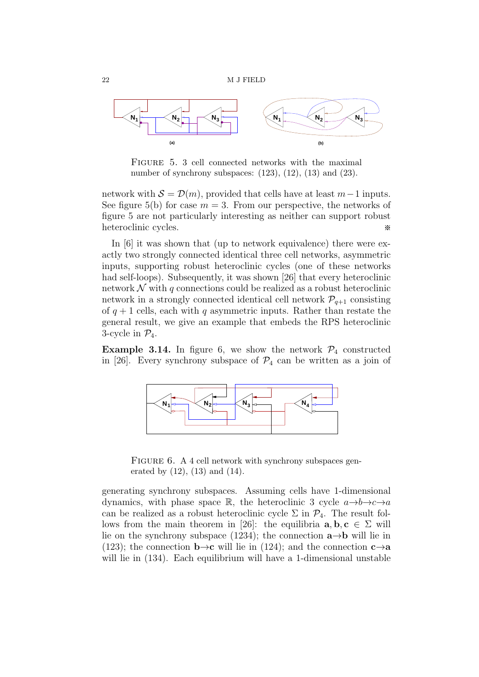

FIGURE 5. 3 cell connected networks with the maximal number of synchrony subspaces:  $(123)$ ,  $(12)$ ,  $(13)$  and  $(23)$ .

network with  $S = \mathcal{D}(m)$ , provided that cells have at least  $m-1$  inputs. See figure 5(b) for case  $m = 3$ . From our perspective, the networks of figure 5 are not particularly interesting as neither can support robust heteroclinic cycles. ※

In [6] it was shown that (up to network equivalence) there were exactly two strongly connected identical three cell networks, asymmetric inputs, supporting robust heteroclinic cycles (one of these networks had self-loops). Subsequently, it was shown [26] that every heteroclinic network  $\mathcal N$  with q connections could be realized as a robust heteroclinic network in a strongly connected identical cell network  $P_{q+1}$  consisting of  $q + 1$  cells, each with q asymmetric inputs. Rather than restate the general result, we give an example that embeds the RPS heteroclinic 3-cycle in  $\mathcal{P}_4$ .

**Example 3.14.** In figure 6, we show the network  $P_4$  constructed in [26]. Every synchrony subspace of  $\mathcal{P}_4$  can be written as a join of



FIGURE 6. A 4 cell network with synchrony subspaces generated by (12), (13) and (14).

generating synchrony subspaces. Assuming cells have 1-dimensional dynamics, with phase space R, the heteroclinic 3 cycle  $a \rightarrow b \rightarrow c \rightarrow a$ can be realized as a robust heteroclinic cycle  $\Sigma$  in  $\mathcal{P}_4$ . The result follows from the main theorem in [26]: the equilibria  $\mathbf{a}, \mathbf{b}, \mathbf{c} \in \Sigma$  will lie on the synchrony subspace (1234); the connection  $\mathbf{a}\rightarrow\mathbf{b}$  will lie in (123); the connection  $\mathbf{b} \rightarrow \mathbf{c}$  will lie in (124); and the connection  $\mathbf{c} \rightarrow \mathbf{a}$ will lie in  $(134)$ . Each equilibrium will have a 1-dimensional unstable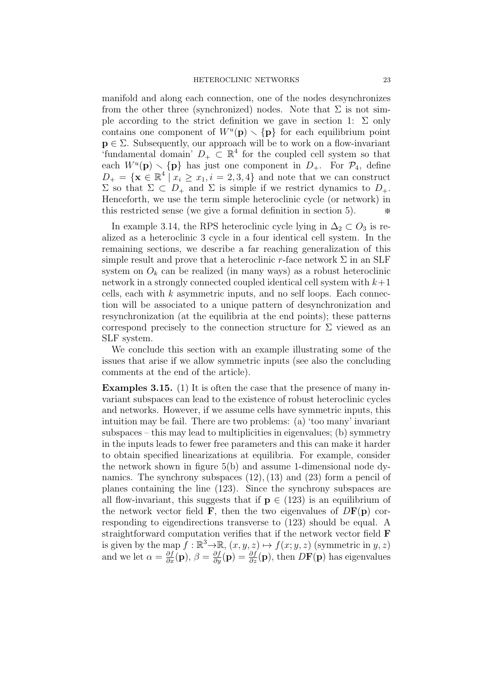manifold and along each connection, one of the nodes desynchronizes from the other three (synchronized) nodes. Note that  $\Sigma$  is not simple according to the strict definition we gave in section 1:  $\Sigma$  only contains one component of  $W^u(\mathbf{p}) \setminus {\{\mathbf{p}\}}$  for each equilibrium point  $p \in \Sigma$ . Subsequently, our approach will be to work on a flow-invariant 'fundamental domain'  $D_+ \subset \mathbb{R}^4$  for the coupled cell system so that each  $W^u(\mathbf{p}) \setminus {\{\mathbf{p}\}}$  has just one component in  $D_+$ . For  $\mathcal{P}_4$ , define  $D_+ = {\mathbf{x} \in \mathbb{R}^4 \mid x_i \geq x_1, i = 2, 3, 4}$  and note that we can construct  $Σ$  so that  $Σ ⊂ D<sub>+</sub>$  and  $Σ$  is simple if we restrict dynamics to  $D<sub>+</sub>$ . Henceforth, we use the term simple heteroclinic cycle (or network) in this restricted sense (we give a formal definition in section  $5$ ).

In example 3.14, the RPS heteroclinic cycle lying in  $\Delta_2 \subset O_3$  is realized as a heteroclinic 3 cycle in a four identical cell system. In the remaining sections, we describe a far reaching generalization of this simple result and prove that a heteroclinic r-face network  $\Sigma$  in an SLF system on  $O_k$  can be realized (in many ways) as a robust heteroclinic network in a strongly connected coupled identical cell system with  $k+1$ cells, each with  $k$  asymmetric inputs, and no self loops. Each connection will be associated to a unique pattern of desynchronization and resynchronization (at the equilibria at the end points); these patterns correspond precisely to the connection structure for  $\Sigma$  viewed as an SLF system.

We conclude this section with an example illustrating some of the issues that arise if we allow symmetric inputs (see also the concluding comments at the end of the article).

Examples 3.15. (1) It is often the case that the presence of many invariant subspaces can lead to the existence of robust heteroclinic cycles and networks. However, if we assume cells have symmetric inputs, this intuition may be fail. There are two problems: (a) 'too many' invariant subspaces – this may lead to multiplicities in eigenvalues; (b) symmetry in the inputs leads to fewer free parameters and this can make it harder to obtain specified linearizations at equilibria. For example, consider the network shown in figure 5(b) and assume 1-dimensional node dynamics. The synchrony subspaces  $(12)$ ,  $(13)$  and  $(23)$  form a pencil of planes containing the line (123). Since the synchrony subspaces are all flow-invariant, this suggests that if  $p \in (123)$  is an equilibrium of the network vector field **F**, then the two eigenvalues of  $D\mathbf{F}(\mathbf{p})$  corresponding to eigendirections transverse to (123) should be equal. A straightforward computation verifies that if the network vector field F is given by the map  $f : \mathbb{R}^3 \to \mathbb{R}$ ,  $(x, y, z) \mapsto f(x; y, z)$  (symmetric in  $y, z$ ) and we let  $\alpha = \frac{\partial f}{\partial x}(\mathbf{p}), \beta = \frac{\partial f}{\partial y}(\mathbf{p}) = \frac{\partial f}{\partial z}(\mathbf{p}),$  then  $D\mathbf{F}(\mathbf{p})$  has eigenvalues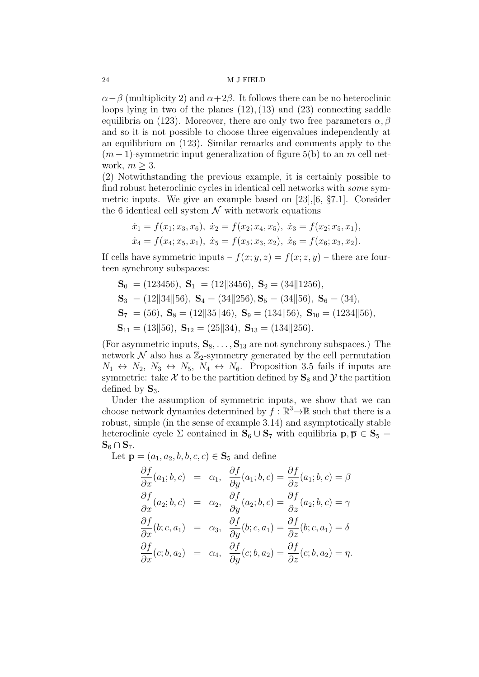$\alpha-\beta$  (multiplicity 2) and  $\alpha+2\beta$ . It follows there can be no heteroclinic loops lying in two of the planes  $(12)$ ,  $(13)$  and  $(23)$  connecting saddle equilibria on (123). Moreover, there are only two free parameters  $\alpha, \beta$ and so it is not possible to choose three eigenvalues independently at an equilibrium on (123). Similar remarks and comments apply to the  $(m-1)$ -symmetric input generalization of figure 5(b) to an m cell network,  $m \geq 3$ .

(2) Notwithstanding the previous example, it is certainly possible to find robust heteroclinic cycles in identical cell networks with some symmetric inputs. We give an example based on [23],[6, §7.1]. Consider the 6 identical cell system  $\mathcal N$  with network equations

$$
\dot{x}_1 = f(x_1; x_3, x_6), \ \dot{x}_2 = f(x_2; x_4, x_5), \ \dot{x}_3 = f(x_2; x_5, x_1),
$$
  

$$
\dot{x}_4 = f(x_4; x_5, x_1), \ \dot{x}_5 = f(x_5; x_3, x_2), \ \dot{x}_6 = f(x_6; x_3, x_2).
$$

If cells have symmetric inputs  $-f(x; y, z) = f(x; z, y)$  – there are fourteen synchrony subspaces:

 $S_0 = (123456), S_1 = (12||3456), S_2 = (34||1256),$  $S_3 = (12||34||56), S_4 = (34||256), S_5 = (34||56), S_6 = (34),$  $S_7 = (56), S_8 = (12||35||46), S_9 = (134||56), S_{10} = (1234||56),$  $S_{11} = (13||56), S_{12} = (25||34), S_{13} = (134||256).$ 

(For asymmetric inputs,  $S_8, \ldots, S_{13}$  are not synchrony subspaces.) The network  $\mathcal N$  also has a  $\mathbb Z_2$ -symmetry generated by the cell permutation  $N_1 \leftrightarrow N_2$ ,  $N_3 \leftrightarrow N_5$ ,  $N_4 \leftrightarrow N_6$ . Proposition 3.5 fails if inputs are symmetric: take  $\mathcal X$  to be the partition defined by  $S_8$  and  $\mathcal Y$  the partition defined by  $S_3$ .

Under the assumption of symmetric inputs, we show that we can choose network dynamics determined by  $f : \mathbb{R}^3 \to \mathbb{R}$  such that there is a robust, simple (in the sense of example 3.14) and asymptotically stable heteroclinic cycle  $\Sigma$  contained in  $\mathbf{S}_6 \cup \mathbf{S}_7$  with equilibria  $\mathbf{p}, \overline{\mathbf{p}} \in \mathbf{S}_5 =$  $S_6 \cap S_7$ .

Let  ${\bf p} = (a_1, a_2, b, b, c, c) \in {\bf S}_5$  and define

$$
\frac{\partial f}{\partial x}(a_1; b, c) = \alpha_1, \quad \frac{\partial f}{\partial y}(a_1; b, c) = \frac{\partial f}{\partial z}(a_1; b, c) = \beta
$$
  

$$
\frac{\partial f}{\partial x}(a_2; b, c) = \alpha_2, \quad \frac{\partial f}{\partial y}(a_2; b, c) = \frac{\partial f}{\partial z}(a_2; b, c) = \gamma
$$
  

$$
\frac{\partial f}{\partial x}(b; c, a_1) = \alpha_3, \quad \frac{\partial f}{\partial y}(b; c, a_1) = \frac{\partial f}{\partial z}(b; c, a_1) = \delta
$$
  

$$
\frac{\partial f}{\partial x}(c; b, a_2) = \alpha_4, \quad \frac{\partial f}{\partial y}(c; b, a_2) = \frac{\partial f}{\partial z}(c; b, a_2) = \eta.
$$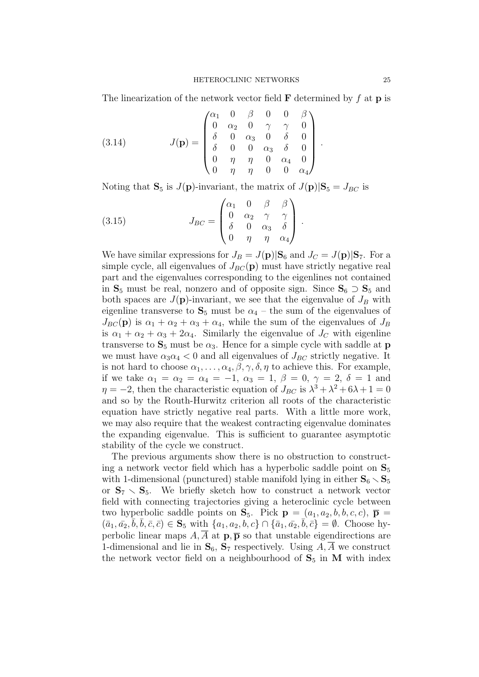The linearization of the network vector field  $\bf{F}$  determined by  $f$  at  $\bf{p}$  is

(3.14) 
$$
J(\mathbf{p}) = \begin{pmatrix} \alpha_1 & 0 & \beta & 0 & 0 & \beta \\ 0 & \alpha_2 & 0 & \gamma & \gamma & 0 \\ \delta & 0 & \alpha_3 & 0 & \delta & 0 \\ \delta & 0 & 0 & \alpha_3 & \delta & 0 \\ 0 & \eta & \eta & 0 & \alpha_4 & 0 \\ 0 & \eta & \eta & 0 & 0 & \alpha_4 \end{pmatrix}.
$$

Noting that  $S_5$  is  $J(p)$ -invariant, the matrix of  $J(p)|S_5 = J_{BC}$  is

(3.15) 
$$
J_{BC} = \begin{pmatrix} \alpha_1 & 0 & \beta & \beta \\ 0 & \alpha_2 & \gamma & \gamma \\ \delta & 0 & \alpha_3 & \delta \\ 0 & \eta & \eta & \alpha_4 \end{pmatrix}.
$$

We have similar expressions for  $J_B = J(\mathbf{p})|\mathbf{S}_6$  and  $J_C = J(\mathbf{p})|\mathbf{S}_7$ . For a simple cycle, all eigenvalues of  $J_{BC}(\mathbf{p})$  must have strictly negative real part and the eigenvalues corresponding to the eigenlines not contained in  $S_5$  must be real, nonzero and of opposite sign. Since  $S_6 \supset S_5$  and both spaces are  $J(\mathbf{p})$ -invariant, we see that the eigenvalue of  $J_B$  with eigenline transverse to  $S_5$  must be  $\alpha_4$  – the sum of the eigenvalues of  $J_{BC}(\mathbf{p})$  is  $\alpha_1 + \alpha_2 + \alpha_3 + \alpha_4$ , while the sum of the eigenvalues of  $J_B$ is  $\alpha_1 + \alpha_2 + \alpha_3 + 2\alpha_4$ . Similarly the eigenvalue of  $J_C$  with eigenline transverse to  $S_5$  must be  $\alpha_3$ . Hence for a simple cycle with saddle at **p** we must have  $\alpha_3 \alpha_4 < 0$  and all eigenvalues of  $J_{BC}$  strictly negative. It is not hard to choose  $\alpha_1, \ldots, \alpha_4, \beta, \gamma, \delta, \eta$  to achieve this. For example, if we take  $\alpha_1 = \alpha_2 = \alpha_4 = -1$ ,  $\alpha_3 = 1$ ,  $\beta = 0$ ,  $\gamma = 2$ ,  $\delta = 1$  and  $\eta = -2$ , then the characteristic equation of  $J_{BC}$  is  $\lambda^3 + \lambda^2 + 6\lambda + 1 = 0$ and so by the Routh-Hurwitz criterion all roots of the characteristic equation have strictly negative real parts. With a little more work, we may also require that the weakest contracting eigenvalue dominates the expanding eigenvalue. This is sufficient to guarantee asymptotic stability of the cycle we construct.

The previous arguments show there is no obstruction to constructing a network vector field which has a hyperbolic saddle point on  $S_5$ with 1-dimensional (punctured) stable manifold lying in either  $S_6 \setminus S_5$ or  $S_7 \setminus S_5$ . We briefly sketch how to construct a network vector field with connecting trajectories giving a heteroclinic cycle between two hyperbolic saddle points on  $S_5$ . Pick  $p = (a_1, a_2, b, b, c, c)$ ,  $\bar{p} =$  $(\bar{a}_1, \bar{a}_2, \bar{b}, \bar{b}, \bar{c}, \bar{c}) \in \mathbf{S}_5 \text{ with } \{a_1, a_2, b, c\} \cap \{\bar{a}_1, \bar{a}_2, \bar{b}, \bar{c}\} = \emptyset. \text{ Choose hy-}$ perbolic linear maps  $A, \overline{A}$  at  $\mathbf{p}, \overline{\mathbf{p}}$  so that unstable eigendirections are 1-dimensional and lie in  $S_6$ ,  $S_7$  respectively. Using A, A we construct the network vector field on a neighbourhood of  $S_5$  in M with index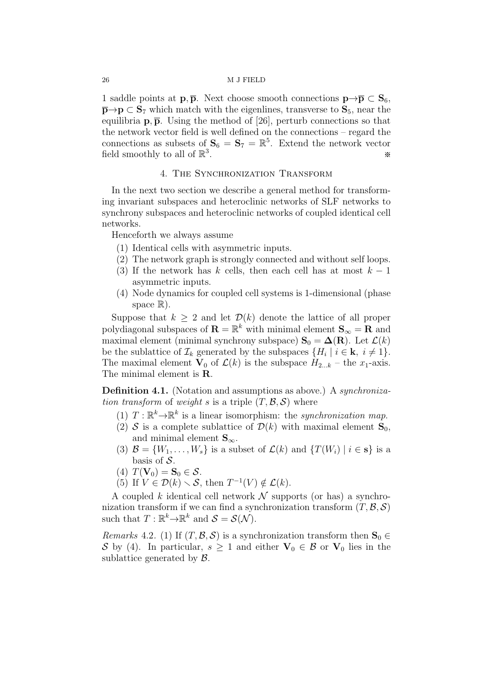1 saddle points at  $\mathbf{p}, \overline{\mathbf{p}}$ . Next choose smooth connections  $\mathbf{p} \to \overline{\mathbf{p}} \subset \mathbf{S}_6$ ,  $\bar{\mathbf{p}} \to \mathbf{p} \subset \mathbf{S}_7$  which match with the eigenlines, transverse to  $\mathbf{S}_5$ , near the equilibria  $\mathbf{p}, \overline{\mathbf{p}}$ . Using the method of [26], perturb connections so that the network vector field is well defined on the connections – regard the connections as subsets of  $S_6 = S_7 = \mathbb{R}^5$ . Extend the network vector field smoothly to all of  $\mathbb{R}^3$ . **※**<br>※

## 4. THE SYNCHRONIZATION TRANSFORM

In the next two section we describe a general method for transforming invariant subspaces and heteroclinic networks of SLF networks to synchrony subspaces and heteroclinic networks of coupled identical cell networks.

Henceforth we always assume

- (1) Identical cells with asymmetric inputs.
- (2) The network graph is strongly connected and without self loops.
- (3) If the network has k cells, then each cell has at most  $k-1$ asymmetric inputs.
- (4) Node dynamics for coupled cell systems is 1-dimensional (phase space  $\mathbb{R}$ ).

Suppose that  $k \geq 2$  and let  $\mathcal{D}(k)$  denote the lattice of all proper polydiagonal subspaces of  $\mathbf{R} = \mathbb{R}^k$  with minimal element  $\mathbf{S}_{\infty} = \mathbf{R}$  and maximal element (minimal synchrony subspace)  $\mathbf{S}_0 = \mathbf{\Delta}(\mathbf{R})$ . Let  $\mathcal{L}(k)$ be the sublattice of  $\mathcal{I}_k$  generated by the subspaces  $\{H_i \mid i \in \mathbf{k}, i \neq 1\}.$ The maximal element  $\mathbf{V}_0$  of  $\mathcal{L}(k)$  is the subspace  $H_{2...k}$  – the  $x_1$ -axis. The minimal element is **R**.

Definition 4.1. (Notation and assumptions as above.) A *synchroniza*tion transform of weight s is a triple  $(T, \mathcal{B}, \mathcal{S})$  where

- $(1)$   $T : \mathbb{R}^k \to \mathbb{R}^k$  is a linear isomorphism: the *synchronization map*.
- (2) S is a complete sublattice of  $\mathcal{D}(k)$  with maximal element  $\mathbf{S}_0$ , and minimal element  $S_{\infty}$ .
- (3)  $\mathcal{B} = \{W_1, \ldots, W_s\}$  is a subset of  $\mathcal{L}(k)$  and  $\{T(W_i) \mid i \in \mathbf{s}\}\$ is a basis of  $S$ .
- (4)  $T(\mathbf{V}_0) = \mathbf{S}_0 \in \mathcal{S}$ .
- (5) If  $V \in \mathcal{D}(k) \setminus \mathcal{S}$ , then  $T^{-1}(V) \notin \mathcal{L}(k)$ .

A coupled k identical cell network  $\mathcal N$  supports (or has) a synchronization transform if we can find a synchronization transform  $(T, \mathcal{B}, \mathcal{S})$ such that  $T: \mathbb{R}^k \to \mathbb{R}^k$  and  $\mathcal{S} = \mathcal{S}(\mathcal{N})$ .

*Remarks* 4.2. (1) If  $(T, \mathcal{B}, \mathcal{S})$  is a synchronization transform then  $\mathbf{S}_0 \in$ S by (4). In particular,  $s \geq 1$  and either  $V_0 \in \mathcal{B}$  or  $V_0$  lies in the sublattice generated by  $\mathcal{B}$ .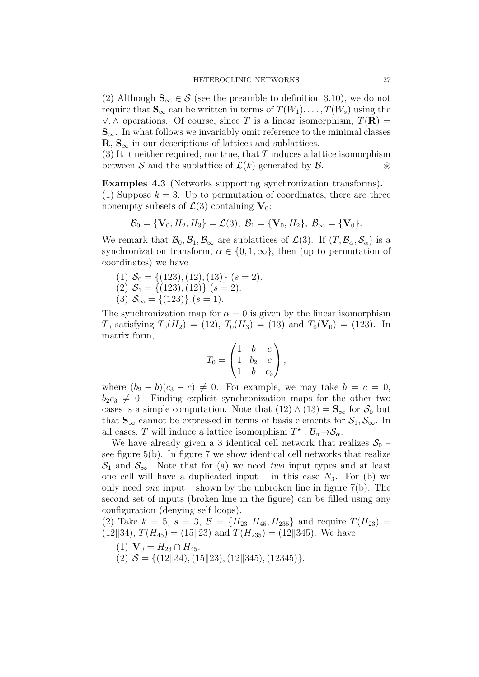(2) Although  $\mathbf{S}_{\infty} \in \mathcal{S}$  (see the preamble to definition 3.10), we do not require that  $\mathbf{S}_{\infty}$  can be written in terms of  $T(W_1), \ldots, T(W_s)$  using the  $\vee$ ,  $\wedge$  operations. Of course, since T is a linear isomorphism,  $T(\mathbf{R}) =$  $S_{\infty}$ . In what follows we invariably omit reference to the minimal classes  $\mathbf{R}, \mathbf{S}_{\infty}$  in our descriptions of lattices and sublattices.

(3) It it neither required, nor true, that  $T$  induces a lattice isomorphism between S and the sublattice of  $\mathcal{L}(k)$  generated by  $\mathcal{B}$ . <sup>®</sup>

Examples 4.3 (Networks supporting synchronization transforms). (1) Suppose  $k = 3$ . Up to permutation of coordinates, there are three nonempty subsets of  $\mathcal{L}(3)$  containing  $V_0$ :

$$
\mathcal{B}_0 = \{ \mathbf{V}_0, H_2, H_3 \} = \mathcal{L}(3), \ \mathcal{B}_1 = \{ \mathbf{V}_0, H_2 \}, \ \mathcal{B}_{\infty} = \{ \mathbf{V}_0 \}.
$$

We remark that  $\mathcal{B}_0, \mathcal{B}_1, \mathcal{B}_{\infty}$  are sublattices of  $\mathcal{L}(3)$ . If  $(T, \mathcal{B}_{\alpha}, \mathcal{S}_{\alpha})$  is a synchronization transform,  $\alpha \in \{0, 1, \infty\}$ , then (up to permutation of coordinates) we have

- (1)  $S_0 = \{(123), (12), (13)\}$  (s = 2).
- $(2)$   $S_1 = \{(123), (12)\}$   $(s = 2)$ .
- (3)  $S_{\infty} = \{(123)\}\ (s=1).$

The synchronization map for  $\alpha = 0$  is given by the linear isomorphism  $T_0$  satisfying  $T_0(H_2) = (12), T_0(H_3) = (13)$  and  $T_0(\mathbf{V}_0) = (123)$ . In matrix form,

$$
T_0 = \begin{pmatrix} 1 & b & c \\ 1 & b_2 & c \\ 1 & b & c_3 \end{pmatrix},
$$

where  $(b_2 - b)(c_3 - c) \neq 0$ . For example, we may take  $b = c = 0$ ,  $b_2c_3 \neq 0$ . Finding explicit synchronization maps for the other two cases is a simple computation. Note that  $(12) \wedge (13) = S_{\infty}$  for  $S_0$  but that  $S_{\infty}$  cannot be expressed in terms of basis elements for  $S_1, S_{\infty}$ . In all cases, T will induce a lattice isomorphism  $T^* : \mathcal{B}_\alpha \rightarrow \mathcal{S}_\alpha$ .

We have already given a 3 identical cell network that realizes  $S_0$  – see figure 5(b). In figure 7 we show identical cell networks that realize  $\mathcal{S}_1$  and  $\mathcal{S}_{\infty}$ . Note that for (a) we need two input types and at least one cell will have a duplicated input – in this case  $N_3$ . For (b) we only need *one* input – shown by the unbroken line in figure  $7(b)$ . The second set of inputs (broken line in the figure) can be filled using any configuration (denying self loops).

(2) Take  $k = 5$ ,  $s = 3$ ,  $\mathcal{B} = \{H_{23}, H_{45}, H_{235}\}\$  and require  $T(H_{23}) =$  $(12||34), T(H_{45}) = (15||23)$  and  $T(H_{235}) = (12||345)$ . We have

- (1)  $\mathbf{V}_0 = H_{23} \cap H_{45}$ .
- (2)  $S = \{(12||34), (15||23), (12||345), (12345)\}.$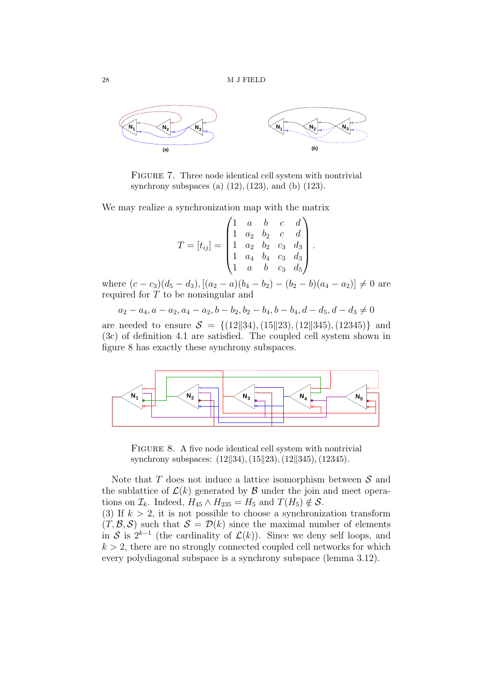

FIGURE 7. Three node identical cell system with nontrivial synchrony subspaces (a)  $(12)$ ,  $(123)$ , and  $(b)$   $(123)$ .

We may realize a synchronization map with the matrix

$$
T = [t_{ij}] = \begin{pmatrix} 1 & a & b & c & d \\ 1 & a_2 & b_2 & c & d \\ 1 & a_2 & b_2 & c_3 & d_3 \\ 1 & a_4 & b_4 & c_3 & d_3 \\ 1 & a & b & c_3 & d_5 \end{pmatrix}.
$$

where  $(c - c_3)(d_5 - d_3)$ ,  $[(a_2 - a)(b_4 - b_2) - (b_2 - b)(a_4 - a_2)] \neq 0$  are required for T to be nonsingular and

 $a_2 - a_4, a - a_2, a_4 - a_2, b - b_2, b_2 - b_4, b - b_4, d - d_5, d - d_3 \neq 0$ are needed to ensure  $S = \{(12||34), (15||23), (12||345), (12345)\}\$  and (3c) of definition 4.1 are satisfied. The coupled cell system shown in figure 8 has exactly these synchrony subspaces.



FIGURE 8. A five node identical cell system with nontrivial synchrony subspaces:  $(12||34), (15||23), (12||345), (12345).$ 

Note that  $T$  does not induce a lattice isomorphism between  $S$  and the sublattice of  $\mathcal{L}(k)$  generated by  $\mathcal B$  under the join and meet operations on  $\mathcal{I}_k$ . Indeed,  $H_{45} \wedge H_{235} = H_5$  and  $T(H_5) \notin \mathcal{S}$ .

(3) If  $k > 2$ , it is not possible to choose a synchronization transform  $(T, \mathcal{B}, \mathcal{S})$  such that  $\mathcal{S} = \mathcal{D}(k)$  since the maximal number of elements in S is  $2^{k-1}$  (the cardinality of  $\mathcal{L}(k)$ ). Since we deny self loops, and  $k > 2$ , there are no strongly connected coupled cell networks for which every polydiagonal subspace is a synchrony subspace (lemma 3.12).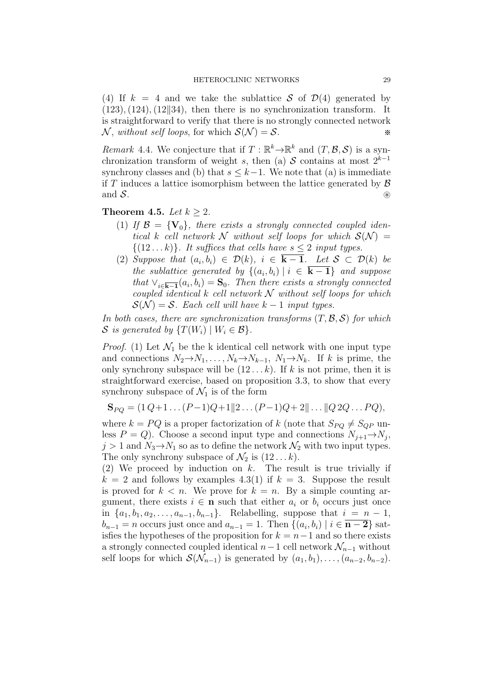(4) If  $k = 4$  and we take the sublattice S of  $\mathcal{D}(4)$  generated by  $(123), (124), (12||34),$  then there is no synchronization transform. It is straightforward to verify that there is no strongly connected network N, without self loops, for which  $S(N) = S$ .

Remark 4.4. We conjecture that if  $T: \mathbb{R}^k \to \mathbb{R}^k$  and  $(T, \mathcal{B}, \mathcal{S})$  is a synchronization transform of weight s, then (a) S contains at most  $2^{k-1}$ synchrony classes and (b) that  $s \leq k-1$ . We note that (a) is immediate if T induces a lattice isomorphism between the lattice generated by  $\mathcal{B}$  and  $\mathcal{S}$ . and  $S$ . ⊗

Theorem 4.5. Let  $k \geq 2$ .

- (1) If  $\mathcal{B} = \{V_0\}$ , there exists a strongly connected coupled identical k cell network N without self loops for which  $S(N) =$  $\{(12...k)\}\.$  It suffices that cells have  $s \leq 2$  input types.
- (2) Suppose that  $(a_i, b_i) \in \mathcal{D}(k)$ ,  $i \in \mathbf{k} 1$ . Let  $\mathcal{S} \subset \mathcal{D}(k)$  be the sublattice generated by  $\{(a_i, b_i) | i \in \mathbf{k} - 1\}$  and suppose that  $\vee_{i\in\overline{\mathbf{k}-\mathbf{1}}}(a_i,b_i)=\mathbf{S}_0$ . Then there exists a strongly connected coupled identical k cell network  $\mathcal N$  without self loops for which  $S(\mathcal{N}) = S$ . Each cell will have  $k-1$  input types.

In both cases, there are synchronization transforms  $(T, \mathcal{B}, \mathcal{S})$  for which S is generated by  $\{T(W_i) \mid W_i \in \mathcal{B}\}.$ 

*Proof.* (1) Let  $\mathcal{N}_1$  be the k identical cell network with one input type and connections  $N_2 \to N_1, \ldots, N_k \to N_{k-1}, N_1 \to N_k$ . If k is prime, the only synchrony subspace will be  $(12...k)$ . If k is not prime, then it is straightforward exercise, based on proposition 3.3, to show that every synchrony subspace of  $\mathcal{N}_1$  is of the form

$$
\mathbf{S}_{PQ} = (1 \, Q + 1 \dots (P - 1)Q + 1 || 2 \dots (P - 1)Q + 2 || \dots || Q \, 2Q \dots PQ),
$$

where  $k = PQ$  is a proper factorization of k (note that  $S_{PQ} \neq S_{QP}$  unless  $P = Q$ . Choose a second input type and connections  $N_{j+1} \to N_j$ ,  $j > 1$  and  $N_3 \rightarrow N_1$  so as to define the network  $\mathcal{N}_2$  with two input types. The only synchrony subspace of  $\mathcal{N}_2$  is  $(12 \dots k)$ .

(2) We proceed by induction on  $k$ . The result is true trivially if  $k = 2$  and follows by examples 4.3(1) if  $k = 3$ . Suppose the result is proved for  $k < n$ . We prove for  $k = n$ . By a simple counting argument, there exists  $i \in \mathbf{n}$  such that either  $a_i$  or  $b_i$  occurs just once in  $\{a_1, b_1, a_2, \ldots, a_{n-1}, b_{n-1}\}.$  Relabelling, suppose that  $i = n - 1$ ,  $b_{n-1} = n$  occurs just once and  $a_{n-1} = 1$ . Then  $\{(a_i, b_i) \mid i \in \mathbf{n-2}\}\)$  satisfies the hypotheses of the proposition for  $k = n-1$  and so there exists a strongly connected coupled identical  $n-1$  cell network  $\mathcal{N}_{n-1}$  without self loops for which  $\mathcal{S}(\mathcal{N}_{n-1})$  is generated by  $(a_1, b_1), \ldots, (a_{n-2}, b_{n-2})$ .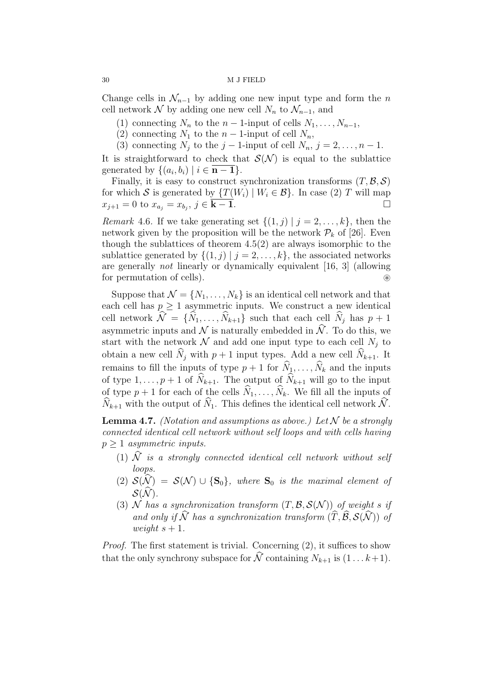Change cells in  $\mathcal{N}_{n-1}$  by adding one new input type and form the n cell network N by adding one new cell  $N_n$  to  $\mathcal{N}_{n-1}$ , and

- (1) connecting  $N_n$  to the  $n-1$ -input of cells  $N_1, \ldots, N_{n-1}$ ,
- (2) connecting  $N_1$  to the  $n-1$ -input of cell  $N_n$ ,
- (3) connecting  $N_j$  to the  $j-1$ -input of cell  $N_n$ ,  $j=2,\ldots,n-1$ .

It is straightforward to check that  $\mathcal{S}(\mathcal{N})$  is equal to the sublattice generated by  $\{(a_i, b_i) \mid i \in \mathbf{n-1}\}.$ 

Finally, it is easy to construct synchronization transforms  $(T, \mathcal{B}, \mathcal{S})$ for which S is generated by  $\{T(W_i) | W_i \in \mathcal{B}\}\)$ . In case (2) T will map  $x_{i+1} = 0$  to  $x_a = x_b$ .  $i \in \mathbf{k} - \mathbf{1}$ .  $x_{j+1} = 0$  to  $x_{a_j} = x_{b_j}, j \in \overline{\mathbf{k-1}}.$ 

Remark 4.6. If we take generating set  $\{(1, j) | j = 2, \ldots, k\}$ , then the network given by the proposition will be the network  $\mathcal{P}_k$  of [26]. Even though the sublattices of theorem  $4.5(2)$  are always isomorphic to the sublattice generated by  $\{(1, j) | j = 2, \ldots, k\}$ , the associated networks are generally not linearly or dynamically equivalent [16, 3] (allowing for permutation of cells). ⊛

Suppose that  $\mathcal{N} = \{N_1, \ldots, N_k\}$  is an identical cell network and that each cell has  $p \geq 1$  asymmetric inputs. We construct a new identical cell network  $\widehat{\mathcal{N}} = {\{\widehat{N}_1, \ldots, \widehat{N}_{k+1}\}}$  such that each cell  $\widehat{N}_j$  has  $p + 1$ asymmetric inputs and  $\mathcal N$  is naturally embedded in  $\widehat{\mathcal N}$ . To do this, we start with the network  $N$  and add one input type to each cell  $N_j$  to obtain a new cell  $\widehat{N}_j$  with  $p + 1$  input types. Add a new cell  $\widehat{N}_{k+1}$ . It remains to fill the inputs of type  $p + 1$  for  $\widehat{N}_1, \ldots, \widehat{N}_k$  and the inputs of type  $1, \ldots, p+1$  of  $\widehat{N}_{k+1}$ . The output of  $\widehat{N}_{k+1}$  will go to the input of type  $p + 1$  for each of the cells  $\widehat{N}_1, \ldots, \widehat{N}_k$ . We fill all the inputs of  $\widehat{N}_{k+1}$  with the output of  $\widehat{N}_1$ . This defines the identical cell network  $\widehat{N}$ .

**Lemma 4.7.** (Notation and assumptions as above.) Let  $N$  be a strongly connected identical cell network without self loops and with cells having  $p \geq 1$  asymmetric inputs.

- (1)  $\widehat{N}$  is a strongly connected identical cell network without self loops.
- (2)  $S(\widehat{N}) = S(N) \cup \{S_0\}$ , where  $S_0$  is the maximal element of  $\mathcal{S}(\widehat{\mathcal{N}})$ .
- (3) N has a synchronization transform  $(T, \mathcal{B}, \mathcal{S}(\mathcal{N}))$  of weight s if and only if  $\widehat{\mathcal{N}}$  has a synchronization transform  $(\widehat{T}, \widehat{\mathcal{B}}, \mathcal{S}(\widehat{\mathcal{N}}))$  of weight  $s + 1$ .

Proof. The first statement is trivial. Concerning (2), it suffices to show that the only synchrony subspace for  $\widehat{\mathcal{N}}$  containing  $N_{k+1}$  is  $(1 \dots k+1)$ .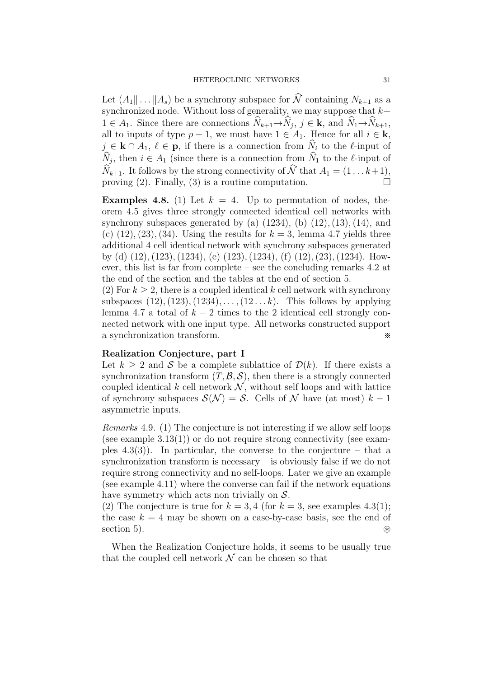Let  $(A_1 \| ... \| A_s)$  be a synchrony subspace for  $\widehat{\mathcal{N}}$  containing  $N_{k+1}$  as a synchronized node. Without loss of generality, we may suppose that  $k+$  $1 \in A_1$ . Since there are connections  $N_{k+1} \to N_j$ ,  $j \in \mathbf{k}$ , and  $N_1 \to N_{k+1}$ , all to inputs of type  $p + 1$ , we must have  $1 \in A_1$ . Hence for all  $i \in \mathbf{k}$ ,  $j \in \mathbf{k} \cap A_1, \ell \in \mathbf{p}$ , if there is a connection from  $\widehat{N}_i$  to the  $\ell$ -input of  $N_j$ , then  $i \in A_1$  (since there is a connection from  $N_1$  to the  $\ell$ -input of  $\widehat{N}_{k+1}$ . It follows by the strong connectivity of  $\widehat{\mathcal{N}}$  that  $A_1 = (1 \dots k+1)$ , proving (2). Finally, (3) is a routine computation. proving (2). Finally, (3) is a routine computation.

**Examples 4.8.** (1) Let  $k = 4$ . Up to permutation of nodes, theorem 4.5 gives three strongly connected identical cell networks with synchrony subspaces generated by (a)  $(1234)$ ,  $(b)$   $(12)$ ,  $(13)$ ,  $(14)$ , and (c)  $(12), (23), (34)$ . Using the results for  $k = 3$ , lemma 4.7 yields three additional 4 cell identical network with synchrony subspaces generated by (d) (12),(123),(1234), (e) (123),(1234), (f) (12),(23),(1234). However, this list is far from complete – see the concluding remarks 4.2 at the end of the section and the tables at the end of section 5.

(2) For  $k \geq 2$ , there is a coupled identical k cell network with synchrony subspaces  $(12)$ ,  $(123)$ ,  $(1234)$ ,  $\dots$ ,  $(12...k)$ . This follows by applying lemma 4.7 a total of  $k - 2$  times to the 2 identical cell strongly connected network with one input type. All networks constructed support a synchronization transform. ※

## Realization Conjecture, part I

Let  $k > 2$  and S be a complete sublattice of  $\mathcal{D}(k)$ . If there exists a synchronization transform  $(T, \mathcal{B}, \mathcal{S})$ , then there is a strongly connected coupled identical  $k$  cell network  $N$ , without self loops and with lattice of synchrony subspaces  $\mathcal{S}(\mathcal{N}) = \mathcal{S}$ . Cells of  $\mathcal N$  have (at most)  $k-1$ asymmetric inputs.

Remarks 4.9. (1) The conjecture is not interesting if we allow self loops (see example  $3.13(1)$ ) or do not require strong connectivity (see examples  $(4.3(3))$ . In particular, the converse to the conjecture – that a synchronization transform is necessary – is obviously false if we do not require strong connectivity and no self-loops. Later we give an example (see example 4.11) where the converse can fail if the network equations have symmetry which acts non trivially on  $S$ .

(2) The conjecture is true for  $k = 3, 4$  (for  $k = 3$ , see examples 4.3(1); the case  $k = 4$  may be shown on a case-by-case basis, see the end of section 5). <br>
⊗

When the Realization Conjecture holds, it seems to be usually true that the coupled cell network  $\mathcal N$  can be chosen so that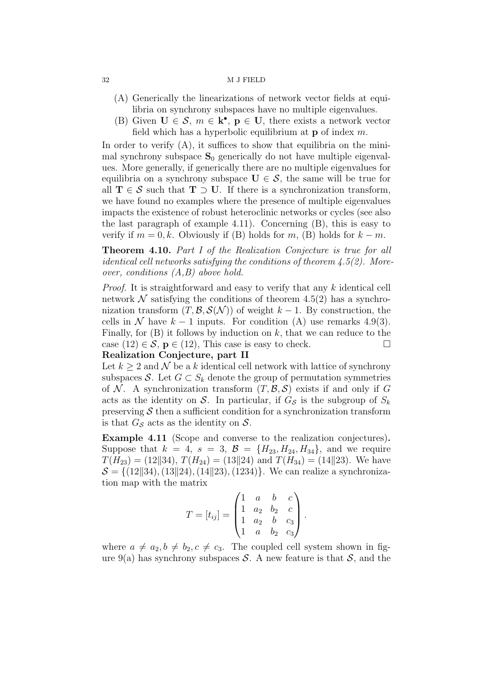- (A) Generically the linearizations of network vector fields at equilibria on synchrony subspaces have no multiple eigenvalues.
- (B) Given  $\mathbf{U} \in \mathcal{S}$ ,  $m \in \mathbf{k}^{\bullet}$ ,  $\mathbf{p} \in \mathbf{U}$ , there exists a network vector field which has a hyperbolic equilibrium at  $\bf{p}$  of index m.

In order to verify  $(A)$ , it suffices to show that equilibria on the minimal synchrony subspace  $S_0$  generically do not have multiple eigenvalues. More generally, if generically there are no multiple eigenvalues for equilibria on a synchrony subspace  $U \in \mathcal{S}$ , the same will be true for all  $T \in S$  such that  $T \supset U$ . If there is a synchronization transform, we have found no examples where the presence of multiple eigenvalues impacts the existence of robust heteroclinic networks or cycles (see also the last paragraph of example 4.11). Concerning (B), this is easy to verify if  $m = 0, k$ . Obviously if (B) holds for  $m$ , (B) holds for  $k - m$ .

Theorem 4.10. Part I of the Realization Conjecture is true for all *identical cell networks satisfying the conditions of theorem 4.5(2). More*over, conditions (A,B) above hold.

Proof. It is straightforward and easy to verify that any k identical cell network  $\mathcal N$  satisfying the conditions of theorem 4.5(2) has a synchronization transform  $(T, \mathcal{B}, \mathcal{S}(\mathcal{N}))$  of weight  $k-1$ . By construction, the cells in N have  $k-1$  inputs. For condition (A) use remarks 4.9(3). Finally, for  $(B)$  it follows by induction on k, that we can reduce to the case  $(12) \in \mathcal{S}$ ,  $p \in (12)$ , This case is easy to check.

## Realization Conjecture, part II

Let  $k \geq 2$  and  $\mathcal N$  be a k identical cell network with lattice of synchrony subspaces S. Let  $G \subset S_k$  denote the group of permutation symmetries of N. A synchronization transform  $(T, \mathcal{B}, \mathcal{S})$  exists if and only if G acts as the identity on S. In particular, if  $G<sub>S</sub>$  is the subgroup of  $S<sub>k</sub>$ preserving  $S$  then a sufficient condition for a synchronization transform is that  $G_{\mathcal{S}}$  acts as the identity on  $\mathcal{S}$ .

Example 4.11 (Scope and converse to the realization conjectures). Suppose that  $k = 4$ ,  $s = 3$ ,  $\mathcal{B} = \{H_{23}, H_{24}, H_{34}\}$ , and we require  $T(H_{23}) = (12||34), T(H_{24}) = (13||24)$  and  $T(H_{34}) = (14||23)$ . We have  $S = \{(12||34), (13||24), (14||23), (1234)\}.$  We can realize a synchronization map with the matrix

$$
T = [t_{ij}] = \begin{pmatrix} 1 & a & b & c \\ 1 & a_2 & b_2 & c \\ 1 & a_2 & b & c_3 \\ 1 & a & b_2 & c_3 \end{pmatrix}.
$$

where  $a \neq a_2, b \neq b_2, c \neq c_3$ . The coupled cell system shown in figure 9(a) has synchrony subspaces S. A new feature is that  $S$ , and the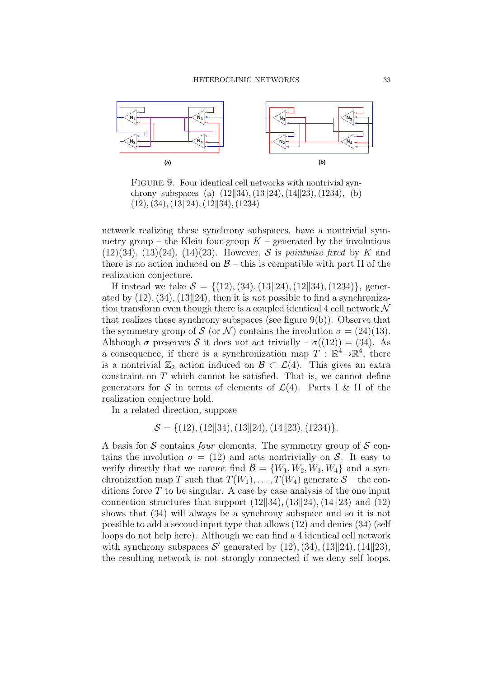

FIGURE 9. Four identical cell networks with nontrivial synchrony subspaces (a)  $(12||34)$ ,  $(13||24)$ ,  $(14||23)$ ,  $(1234)$ , (b)  $(12), (34), (13||24), (12||34), (1234)$ 

network realizing these synchrony subspaces, have a nontrivial symmetry group – the Klein four-group  $K$  – generated by the involutions  $(12)(34)$ ,  $(13)(24)$ ,  $(14)(23)$ . However, S is *pointwise fixed* by K and there is no action induced on  $\mathcal{B}$  – this is compatible with part II of the realization conjecture.

If instead we take  $S = \{(12), (34), (13||24), (12||34), (1234)\}\$ , generated by  $(12),(34),(13||24)$ , then it is *not* possible to find a synchronization transform even though there is a coupled identical 4 cell network  $\mathcal N$ that realizes these synchrony subspaces (see figure  $9(b)$ ). Observe that the symmetry group of S (or N) contains the involution  $\sigma = (24)(13)$ . Although  $\sigma$  preserves S it does not act trivially –  $\sigma((12)) = (34)$ . As a consequence, if there is a synchronization map  $T : \mathbb{R}^4 \to \mathbb{R}^4$ , there is a nontrivial  $\mathbb{Z}_2$  action induced on  $\mathcal{B} \subset \mathcal{L}(4)$ . This gives an extra constraint on T which cannot be satisfied. That is, we cannot define generators for S in terms of elements of  $\mathcal{L}(4)$ . Parts I & II of the realization conjecture hold.

In a related direction, suppose

$$
S = \{(12), (12||34), (13||24), (14||23), (1234)\}.
$$

A basis for S contains *four* elements. The symmetry group of S contains the involution  $\sigma = (12)$  and acts nontrivially on S. It easy to verify directly that we cannot find  $\mathcal{B} = \{W_1, W_2, W_3, W_4\}$  and a synchronization map T such that  $T(W_1), \ldots, T(W_4)$  generate  $S$  – the conditions force  $T$  to be singular. A case by case analysis of the one input connection structures that support  $(12||34)$ ,  $(13||24)$ ,  $(14||23)$  and  $(12)$ shows that (34) will always be a synchrony subspace and so it is not possible to add a second input type that allows (12) and denies (34) (self loops do not help here). Although we can find a 4 identical cell network with synchrony subspaces  $\mathcal{S}'$  generated by  $(12), (34), (13||24), (14||23),$ the resulting network is not strongly connected if we deny self loops.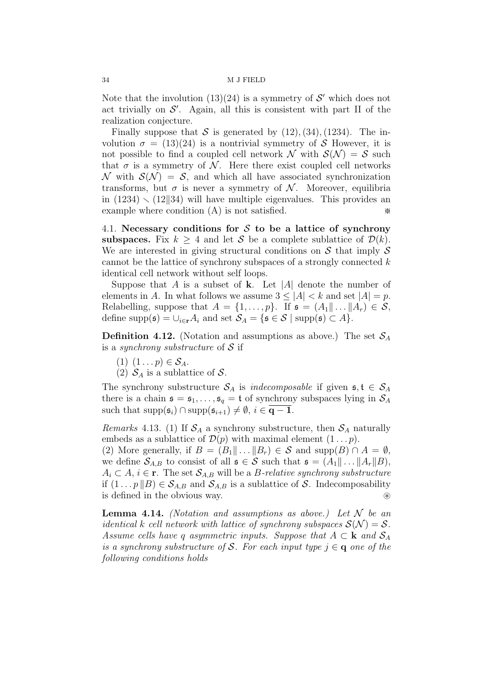Note that the involution  $(13)(24)$  is a symmetry of  $\mathcal{S}'$  which does not act trivially on  $\mathcal{S}'$ . Again, all this is consistent with part II of the realization conjecture.

Finally suppose that S is generated by  $(12)$ ,  $(34)$ ,  $(1234)$ . The involution  $\sigma = (13)(24)$  is a nontrivial symmetry of S However, it is not possible to find a coupled cell network  $\mathcal N$  with  $\mathcal S(\mathcal N) = \mathcal S$  such that  $\sigma$  is a symmetry of N. Here there exist coupled cell networks  $\mathcal N$  with  $\mathcal S(\mathcal N) = \mathcal S$ , and which all have associated synchronization transforms, but  $\sigma$  is never a symmetry of N. Moreover, equilibria in  $(1234) \setminus (12||34)$  will have multiple eigenvalues. This provides an example where condition  $(A)$  is not satisfied. example where condition  $(A)$  is not satisfied.

4.1. Necessary conditions for  $S$  to be a lattice of synchrony subspaces. Fix  $k \geq 4$  and let S be a complete sublattice of  $\mathcal{D}(k)$ . We are interested in giving structural conditions on  $\mathcal S$  that imply  $\mathcal S$ cannot be the lattice of synchrony subspaces of a strongly connected  $k$ identical cell network without self loops.

Suppose that A is a subset of k. Let |A| denote the number of elements in A. In what follows we assume  $3 \leq |A| < k$  and set  $|A| = p$ . Relabelling, suppose that  $A = \{1, \ldots, p\}$ . If  $\mathfrak{s} = (A_1 \| \ldots \| A_r) \in \mathcal{S}$ , define supp( $\mathfrak{s}$ ) =  $\cup_{i\in \mathbf{r}} A_i$  and set  $\mathcal{S}_A = {\mathfrak{s} \in \mathcal{S} \mid \text{supp}(\mathfrak{s}) \subset A}.$ 

**Definition 4.12.** (Notation and assumptions as above.) The set  $S_A$ is a *synchrony substructure* of  $S$  if

- (1)  $(1 \dots p) \in S_A$ .
- (2)  $S_A$  is a sublattice of S.

The synchrony substructure  $\mathcal{S}_A$  is *indecomposable* if given  $\mathfrak{s}, \mathfrak{t} \in \mathcal{S}_A$ there is a chain  $\mathfrak{s} = \mathfrak{s}_1, \ldots, \mathfrak{s}_q = \mathfrak{t}$  of synchrony subspaces lying in  $\mathcal{S}_A$ such that  $\text{supp}(\mathfrak{s}_i) \cap \text{supp}(\mathfrak{s}_{i+1}) \neq \emptyset, i \in \overline{q-1}.$ 

Remarks 4.13. (1) If  $S_A$  a synchrony substructure, then  $S_A$  naturally embeds as a sublattice of  $\mathcal{D}(p)$  with maximal element  $(1 \dots p)$ .

(2) More generally, if  $B = (B_1 \| \dots \| B_r) \in \mathcal{S}$  and supp $(B) \cap A = \emptyset$ , we define  $S_{A,B}$  to consist of all  $\mathfrak{s} \in \mathcal{S}$  such that  $\mathfrak{s} = (A_1 \| \dots \| A_r \| B)$ ,  $A_i \subset A, i \in \mathbf{r}$ . The set  $\mathcal{S}_{A,B}$  will be a *B*-relative synchrony substructure if  $(1 \tildes p||B) \in \mathcal{S}_{A,B}$  and  $\mathcal{S}_{A,B}$  is a sublattice of S. Indecomposability is defined in the obvious way.

**Lemma 4.14.** (Notation and assumptions as above.) Let  $N$  be an identical k cell network with lattice of synchrony subspaces  $\mathcal{S}(\mathcal{N}) = \mathcal{S}$ . Assume cells have q asymmetric inputs. Suppose that  $A \subset \mathbf{k}$  and  $S_A$ is a synchrony substructure of S. For each input type  $j \in \mathbf{q}$  one of the following conditions holds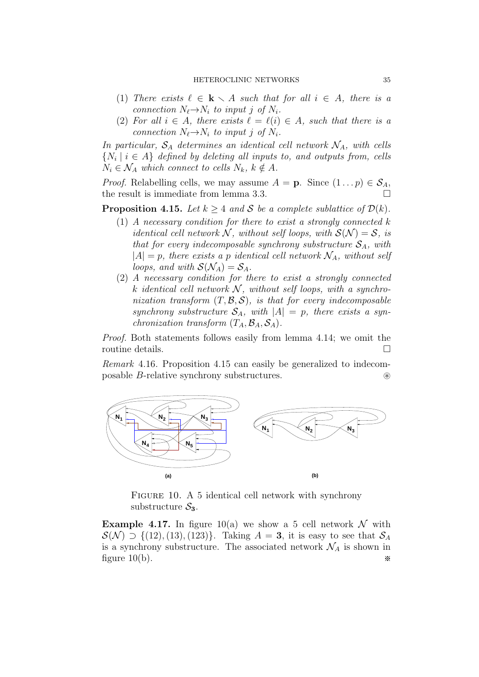- (1) There exists  $\ell \in \mathbf{k} \setminus A$  such that for all  $i \in A$ , there is a connection  $N_{\ell} \rightarrow N_i$  to input j of  $N_i$ .
- (2) For all  $i \in A$ , there exists  $\ell = \ell(i) \in A$ , such that there is a connection  $N_{\ell} \rightarrow N_i$  to input j of  $N_i$ .

In particular,  $S_A$  determines an identical cell network  $\mathcal{N}_A$ , with cells  $\{N_i \mid i \in A\}$  defined by deleting all inputs to, and outputs from, cells  $N_i \in \mathcal{N}_A$  which connect to cells  $N_k$ ,  $k \notin A$ .

*Proof.* Relabelling cells, we may assume  $A = \mathbf{p}$ . Since  $(1 \dots p) \in \mathcal{S}_A$ , the result is immediate from lemma 3.3.

**Proposition 4.15.** Let  $k > 4$  and S be a complete sublattice of  $\mathcal{D}(k)$ .

- $(1)$  A necessary condition for there to exist a strongly connected k identical cell network N, without self loops, with  $S(N) = S$ , is that for every indecomposable synchrony substructure  $S_A$ , with  $|A| = p$ , there exists a p identical cell network  $\mathcal{N}_A$ , without self loops, and with  $\mathcal{S}(\mathcal{N}_A) = \mathcal{S}_A$ .
- (2) A necessary condition for there to exist a strongly connected k identical cell network  $N$ , without self loops, with a synchronization transform  $(T, \mathcal{B}, \mathcal{S})$ , is that for every indecomposable synchrony substructure  $S_A$ , with  $|A| = p$ , there exists a synchronization transform  $(T_A, \mathcal{B}_A, \mathcal{S}_A)$ .

Proof. Both statements follows easily from lemma 4.14; we omit the routine details.

Remark 4.16. Proposition 4.15 can easily be generalized to indecomposable B-relative synchrony substructures. ⊛



FIGURE 10. A 5 identical cell network with synchrony substructure  $S_3$ .

**Example 4.17.** In figure 10(a) we show a 5 cell network  $\mathcal N$  with  $\mathcal{S}(\mathcal{N}) \supset \{ (12), (13), (123) \}.$  Taking  $A = 3$ , it is easy to see that  $\mathcal{S}_A$ is a synchrony substructure. The associated network  $\mathcal{N}_A$  is shown in figure 10(b). figure  $10(b)$ .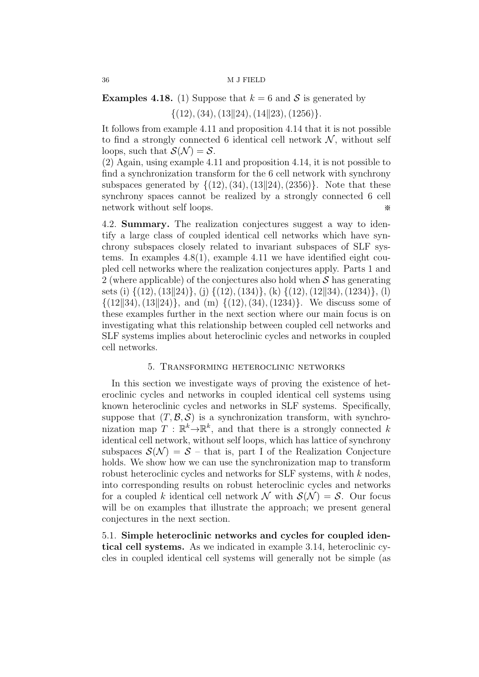# **Examples 4.18.** (1) Suppose that  $k = 6$  and S is generated by  $\{(12), (34), (13||24), (14||23), (1256)\}.$

It follows from example 4.11 and proposition 4.14 that it is not possible to find a strongly connected 6 identical cell network  $\mathcal N$ , without self loops, such that  $\mathcal{S}(\mathcal{N}) = \mathcal{S}$ .

(2) Again, using example 4.11 and proposition 4.14, it is not possible to find a synchronization transform for the 6 cell network with synchrony subspaces generated by  $\{(12), (34), (13||24), (2356)\}.$  Note that these synchrony spaces cannot be realized by a strongly connected 6 cell network without self loops.  $\bullet$ 

4.2. Summary. The realization conjectures suggest a way to identify a large class of coupled identical cell networks which have synchrony subspaces closely related to invariant subspaces of SLF systems. In examples 4.8(1), example 4.11 we have identified eight coupled cell networks where the realization conjectures apply. Parts 1 and 2 (where applicable) of the conjectures also hold when  $\mathcal S$  has generating sets (i)  $\{(12),(13||24)\},$  (j)  $\{(12),(134)\},$  (k)  $\{(12),(12||34),(1234)\},$  (l)  $\{(12||34), (13||24)\}\$ , and (m)  $\{(12), (34), (1234)\}\$ . We discuss some of these examples further in the next section where our main focus is on investigating what this relationship between coupled cell networks and SLF systems implies about heteroclinic cycles and networks in coupled cell networks.

## 5. Transforming heteroclinic networks

In this section we investigate ways of proving the existence of heteroclinic cycles and networks in coupled identical cell systems using known heteroclinic cycles and networks in SLF systems. Specifically, suppose that  $(T, \mathcal{B}, \mathcal{S})$  is a synchronization transform, with synchronization map  $T : \mathbb{R}^k \to \mathbb{R}^k$ , and that there is a strongly connected k identical cell network, without self loops, which has lattice of synchrony subspaces  $\mathcal{S}(\mathcal{N}) = \mathcal{S}$  – that is, part I of the Realization Conjecture holds. We show how we can use the synchronization map to transform robust heteroclinic cycles and networks for SLF systems, with k nodes, into corresponding results on robust heteroclinic cycles and networks for a coupled k identical cell network  $\mathcal N$  with  $\mathcal S(\mathcal N) = \mathcal S$ . Our focus will be on examples that illustrate the approach; we present general conjectures in the next section.

5.1. Simple heteroclinic networks and cycles for coupled identical cell systems. As we indicated in example 3.14, heteroclinic cycles in coupled identical cell systems will generally not be simple (as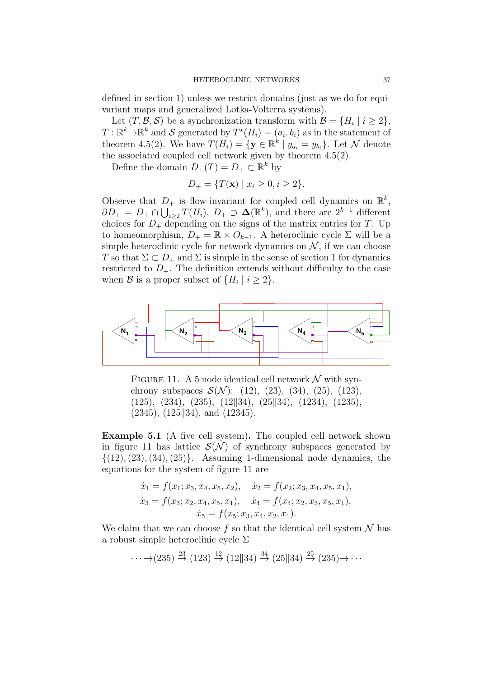defined in section 1) unless we restrict domains (just as we do for equivariant maps and generalized Lotka-Volterra systems).

Let  $(T, \mathcal{B}, \mathcal{S})$  be a synchronization transform with  $\mathcal{B} = \{H_i \mid i \geq 2\},\$  $T: \mathbb{R}^k \to \mathbb{R}^k$  and S generated by  $T^*(H_i) = (a_i, b_i)$  as in the statement of theorem 4.5(2). We have  $T(H_i) = \{ \mathbf{y} \in \mathbb{R}^k \mid y_{a_i} = y_{b_i} \}$ . Let N denote the associated coupled cell network given by theorem 4.5(2).

Define the domain  $D_+(T) = D_+ \subset \mathbb{R}^k$  by

$$
D_{+} = \{ T(\mathbf{x}) \mid x_i \ge 0, i \ge 2 \}.
$$

Observe that  $D_+$  is flow-invariant for coupled cell dynamics on  $\mathbb{R}^k$ ,  $\partial D_+ = D_+ \cap \bigcup_{i \geq 2} T(H_i), D_+ \supset \Delta(\mathbb{R}^k)$ , and there are  $2^{k-1}$  different choices for  $D_+$  depending on the signs of the matrix entries for T. Up to homeomorphism,  $D_+ = \mathbb{R} \times O_{k-1}$ . A heteroclinic cycle  $\Sigma$  will be a simple heteroclinic cycle for network dynamics on  $\mathcal{N}$ , if we can choose T so that  $\Sigma \subset D_+$  and  $\Sigma$  is simple in the sense of section 1 for dynamics restricted to  $D_{+}$ . The definition extends without difficulty to the case when  $\mathcal{B}$  is a proper subset of  $\{H_i \mid i \geq 2\}.$ 



FIGURE 11. A 5 node identical cell network  $\mathcal N$  with synchrony subspaces  $\mathcal{S}(\mathcal{N})$ : (12), (23), (34), (25), (123),  $(125), (234), (235), (12||34), (25||34), (1234), (1235),$  $(2345)$ ,  $(125||34)$ , and  $(12345)$ .

Example 5.1 (A five cell system). The coupled cell network shown in figure 11 has lattice  $\mathcal{S}(\mathcal{N})$  of synchrony subspaces generated by  $\{(12),(23),(34),(25)\}.$  Assuming 1-dimensional node dynamics, the equations for the system of figure 11 are

$$
\dot{x}_1 = f(x_1; x_3, x_4, x_5, x_2), \quad \dot{x}_2 = f(x_2; x_3, x_4, x_5, x_1),
$$
  
\n
$$
\dot{x}_3 = f(x_3; x_2, x_4, x_5, x_1), \quad \dot{x}_4 = f(x_4; x_2, x_3, x_5, x_1),
$$
  
\n
$$
\dot{x}_5 = f(x_5; x_3, x_4, x_2, x_1).
$$

We claim that we can choose f so that the identical cell system  $\mathcal N$  has a robust simple heteroclinic cycle  $\Sigma$ 

$$
\cdots \rightarrow (235) \stackrel{23}{\rightarrow} (123) \stackrel{12}{\rightarrow} (12 \parallel 34) \stackrel{34}{\rightarrow} (25 \parallel 34) \stackrel{25}{\rightarrow} (235) \rightarrow \cdots
$$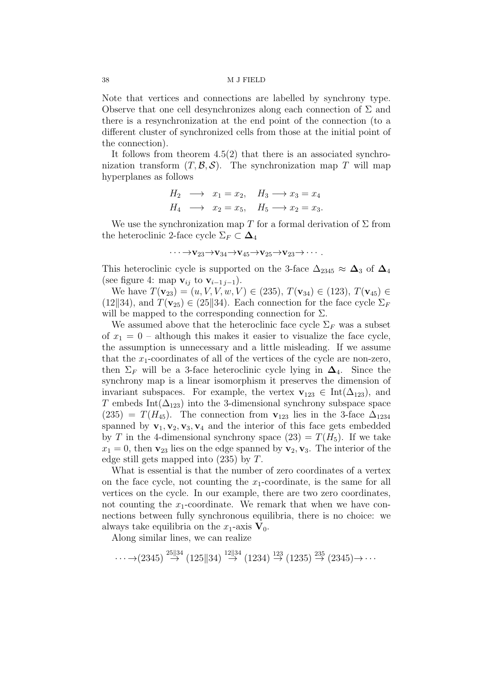Note that vertices and connections are labelled by synchrony type. Observe that one cell desynchronizes along each connection of  $\Sigma$  and there is a resynchronization at the end point of the connection (to a different cluster of synchronized cells from those at the initial point of the connection).

It follows from theorem  $4.5(2)$  that there is an associated synchronization transform  $(T, \mathcal{B}, \mathcal{S})$ . The synchronization map T will map hyperplanes as follows

$$
H_2 \longrightarrow x_1 = x_2, \quad H_3 \longrightarrow x_3 = x_4
$$
  

$$
H_4 \longrightarrow x_2 = x_5, \quad H_5 \longrightarrow x_2 = x_3.
$$

We use the synchronization map T for a formal derivation of  $\Sigma$  from the heteroclinic 2-face cycle  $\Sigma_F \subset \Delta_4$ 

$$
\cdots \rightarrow \mathbf{v}_{23} \rightarrow \mathbf{v}_{34} \rightarrow \mathbf{v}_{45} \rightarrow \mathbf{v}_{25} \rightarrow \mathbf{v}_{23} \rightarrow \cdots
$$

This heteroclinic cycle is supported on the 3-face  $\Delta_{2345} \approx \Delta_3$  of  $\Delta_4$ (see figure 4: map  $\mathbf{v}_{ij}$  to  $\mathbf{v}_{i-1 j-1}$ ).

We have  $T(\mathbf{v}_{23}) = (u, V, V, w, V) \in (235), T(\mathbf{v}_{34}) \in (123), T(\mathbf{v}_{45}) \in$ (12||34), and  $T(\mathbf{v}_{25}) \in (25||34)$ . Each connection for the face cycle  $\Sigma_F$ will be mapped to the corresponding connection for  $\Sigma$ .

We assumed above that the heteroclinic face cycle  $\Sigma_F$  was a subset of  $x_1 = 0$  – although this makes it easier to visualize the face cycle, the assumption is unnecessary and a little misleading. If we assume that the  $x_1$ -coordinates of all of the vertices of the cycle are non-zero, then  $\Sigma_F$  will be a 3-face heteroclinic cycle lying in  $\Delta_4$ . Since the synchrony map is a linear isomorphism it preserves the dimension of invariant subspaces. For example, the vertex  $\mathbf{v}_{123} \in \text{Int}(\Delta_{123})$ , and T embeds Int( $\Delta_{123}$ ) into the 3-dimensional synchrony subspace space  $(235) = T(H_{45})$ . The connection from  $\mathbf{v}_{123}$  lies in the 3-face  $\Delta_{1234}$ spanned by  $\mathbf{v}_1, \mathbf{v}_2, \mathbf{v}_3, \mathbf{v}_4$  and the interior of this face gets embedded by T in the 4-dimensional synchrony space  $(23) = T(H_5)$ . If we take  $x_1 = 0$ , then  $v_{23}$  lies on the edge spanned by  $v_2$ ,  $v_3$ . The interior of the edge still gets mapped into (235) by T.

What is essential is that the number of zero coordinates of a vertex on the face cycle, not counting the  $x_1$ -coordinate, is the same for all vertices on the cycle. In our example, there are two zero coordinates, not counting the  $x_1$ -coordinate. We remark that when we have connections between fully synchronous equilibria, there is no choice: we always take equilibria on the  $x_1$ -axis  $V_0$ .

Along similar lines, we can realize

$$
\cdots \rightarrow (2345) \stackrel{25\parallel 34}{\rightarrow} (125\parallel 34) \stackrel{12\parallel 34}{\rightarrow} (1234) \stackrel{123}{\rightarrow} (1235) \stackrel{235}{\rightarrow} (2345) \rightarrow \cdots
$$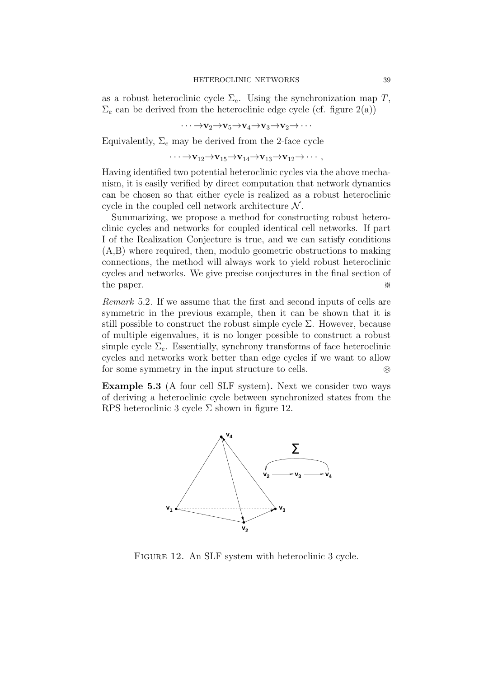as a robust heteroclinic cycle  $\Sigma_e$ . Using the synchronization map T,  $\Sigma_e$  can be derived from the heteroclinic edge cycle (cf. figure 2(a))

$$
\cdots \rightarrow v_2 \rightarrow v_5 \rightarrow v_4 \rightarrow v_3 \rightarrow v_2 \rightarrow \cdots
$$

Equivalently,  $\Sigma_e$  may be derived from the 2-face cycle

 $\cdots \rightarrow v_{12} \rightarrow v_{15} \rightarrow v_{14} \rightarrow v_{13} \rightarrow v_{12} \rightarrow \cdots$ 

Having identified two potential heteroclinic cycles via the above mechanism, it is easily verified by direct computation that network dynamics can be chosen so that either cycle is realized as a robust heteroclinic cycle in the coupled cell network architecture  $\mathcal N$ .

Summarizing, we propose a method for constructing robust heteroclinic cycles and networks for coupled identical cell networks. If part I of the Realization Conjecture is true, and we can satisfy conditions (A,B) where required, then, modulo geometric obstructions to making connections, the method will always work to yield robust heteroclinic cycles and networks. We give precise conjectures in the final section of the paper. ※

Remark 5.2. If we assume that the first and second inputs of cells are symmetric in the previous example, then it can be shown that it is still possible to construct the robust simple cycle  $\Sigma$ . However, because of multiple eigenvalues, it is no longer possible to construct a robust simple cycle  $\Sigma_e$ . Essentially, synchrony transforms of face heteroclinic cycles and networks work better than edge cycles if we want to allow for some symmetry in the input structure to cells. ⊛

Example 5.3 (A four cell SLF system). Next we consider two ways of deriving a heteroclinic cycle between synchronized states from the RPS heteroclinic 3 cycle  $\Sigma$  shown in figure 12.



Figure 12. An SLF system with heteroclinic 3 cycle.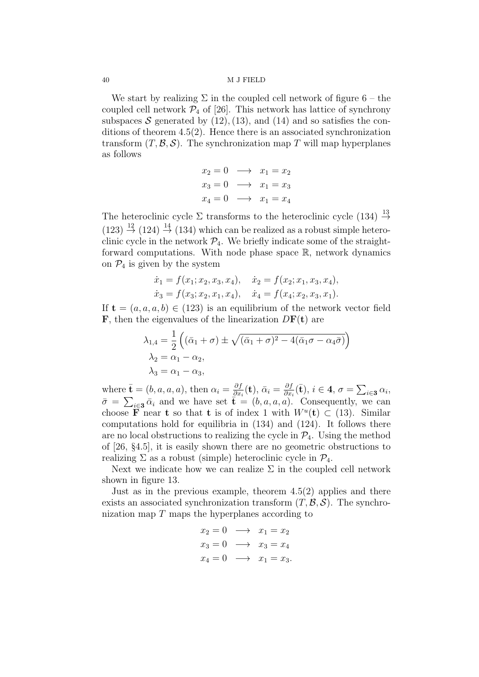We start by realizing  $\Sigma$  in the coupled cell network of figure 6 – the coupled cell network  $\mathcal{P}_4$  of [26]. This network has lattice of synchrony subspaces S generated by  $(12)$ ,  $(13)$ , and  $(14)$  and so satisfies the conditions of theorem 4.5(2). Hence there is an associated synchronization transform  $(T, \mathcal{B}, \mathcal{S})$ . The synchronization map T will map hyperplanes as follows

$$
x_2 = 0 \longrightarrow x_1 = x_2
$$
  
\n
$$
x_3 = 0 \longrightarrow x_1 = x_3
$$
  
\n
$$
x_4 = 0 \longrightarrow x_1 = x_4
$$

The heteroclinic cycle  $\Sigma$  transforms to the heteroclinic cycle (134)  $\stackrel{13}{\rightarrow}$  $(123) \stackrel{12}{\rightarrow} (124) \stackrel{14}{\rightarrow} (134)$  which can be realized as a robust simple heteroclinic cycle in the network  $\mathcal{P}_4$ . We briefly indicate some of the straightforward computations. With node phase space R, network dynamics on  $\mathcal{P}_4$  is given by the system

$$
\dot{x}_1 = f(x_1; x_2, x_3, x_4), \quad \dot{x}_2 = f(x_2; x_1, x_3, x_4), \n\dot{x}_3 = f(x_3; x_2, x_1, x_4), \quad \dot{x}_4 = f(x_4; x_2, x_3, x_1).
$$

If  $\mathbf{t} = (a, a, a, b) \in (123)$  is an equilibrium of the network vector field **F**, then the eigenvalues of the linearization  $D\mathbf{F}(\mathbf{t})$  are

$$
\lambda_{1,4} = \frac{1}{2} \left( (\bar{\alpha}_1 + \sigma) \pm \sqrt{(\bar{\alpha}_1 + \sigma)^2 - 4(\bar{\alpha}_1 \sigma - \alpha_4 \bar{\sigma})} \right)
$$
  
\n
$$
\lambda_2 = \alpha_1 - \alpha_2,
$$
  
\n
$$
\lambda_3 = \alpha_1 - \alpha_3,
$$

where  $\bar{\mathbf{t}} = (b, a, a, a)$ , then  $\alpha_i = \frac{\partial f}{\partial x_i}$  $\frac{\partial f}{\partial x_i}({\bf t}),\, \bar{\alpha}_i = \frac{\partial f}{\partial x_i}$  $\frac{\partial f}{\partial x_i}(\bar{\mathbf{t}}), i \in 4, \sigma = \sum_{i \in \mathbf{3}} \alpha_i,$  $\bar{\sigma} = \sum_{i \in \mathbf{3}} \bar{\alpha}_i$  and we have set  $\bar{\mathbf{t}} = (b, a, a, a)$ . Consequently, we can choose **F** near **t** so that **t** is of index 1 with  $W^u(\mathbf{t}) \subset (13)$ . Similar computations hold for equilibria in (134) and (124). It follows there are no local obstructions to realizing the cycle in  $\mathcal{P}_4$ . Using the method of [26, §4.5], it is easily shown there are no geometric obstructions to realizing  $\Sigma$  as a robust (simple) heteroclinic cycle in  $\mathcal{P}_4$ .

Next we indicate how we can realize  $\Sigma$  in the coupled cell network shown in figure 13.

Just as in the previous example, theorem  $4.5(2)$  applies and there exists an associated synchronization transform  $(T, \mathcal{B}, \mathcal{S})$ . The synchronization map  $T$  maps the hyperplanes according to

$$
x_2 = 0 \longrightarrow x_1 = x_2
$$
  
\n
$$
x_3 = 0 \longrightarrow x_3 = x_4
$$
  
\n
$$
x_4 = 0 \longrightarrow x_1 = x_3.
$$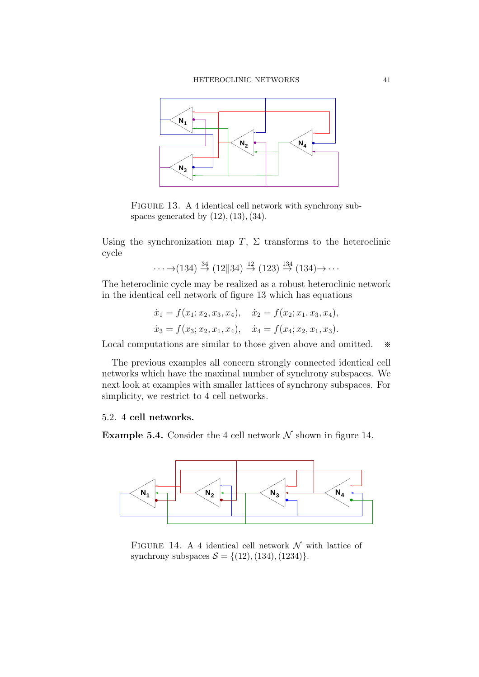

FIGURE 13. A 4 identical cell network with synchrony subspaces generated by  $(12)$ ,  $(13)$ ,  $(34)$ .

Using the synchronization map T,  $\Sigma$  transforms to the heteroclinic cycle

$$
\cdots \rightarrow (134) \stackrel{34}{\rightarrow} (12||34) \stackrel{12}{\rightarrow} (123) \stackrel{134}{\rightarrow} (134) \rightarrow \cdots
$$

The heteroclinic cycle may be realized as a robust heteroclinic network in the identical cell network of figure 13 which has equations

$$
\dot{x}_1 = f(x_1; x_2, x_3, x_4), \quad \dot{x}_2 = f(x_2; x_1, x_3, x_4),
$$
  

$$
\dot{x}_3 = f(x_3; x_2, x_1, x_4), \quad \dot{x}_4 = f(x_4; x_2, x_1, x_3).
$$

Local computations are similar to those given above and omitted.  $\ast$ 

The previous examples all concern strongly connected identical cell networks which have the maximal number of synchrony subspaces. We next look at examples with smaller lattices of synchrony subspaces. For simplicity, we restrict to 4 cell networks.

## 5.2. 4 cell networks.

**Example 5.4.** Consider the 4 cell network  $N$  shown in figure 14.



FIGURE 14. A 4 identical cell network  $\mathcal N$  with lattice of synchrony subspaces  $S = \{(12), (134), (1234)\}.$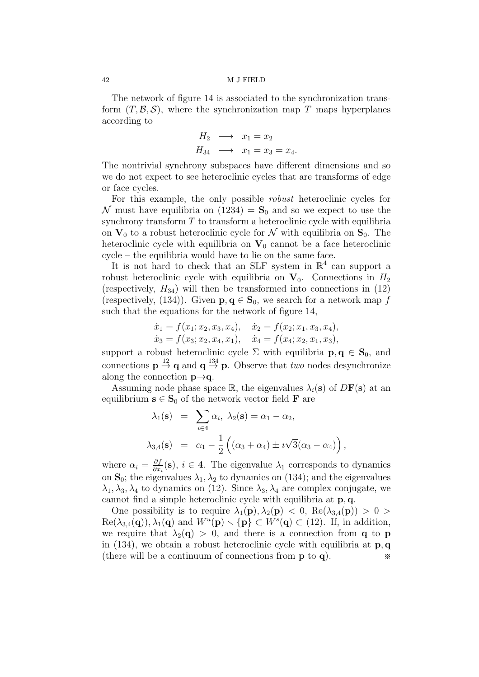The network of figure 14 is associated to the synchronization transform  $(T, \mathcal{B}, \mathcal{S})$ , where the synchronization map T maps hyperplanes according to

$$
H_2 \longrightarrow x_1 = x_2
$$
  
\n
$$
H_{34} \longrightarrow x_1 = x_3 = x_4.
$$

The nontrivial synchrony subspaces have different dimensions and so we do not expect to see heteroclinic cycles that are transforms of edge or face cycles.

For this example, the only possible robust heteroclinic cycles for N must have equilibria on  $(1234) = S_0$  and so we expect to use the synchrony transform  $T$  to transform a heteroclinic cycle with equilibria on  $V_0$  to a robust heteroclinic cycle for N with equilibria on  $S_0$ . The heteroclinic cycle with equilibria on  $V_0$  cannot be a face heteroclinic cycle – the equilibria would have to lie on the same face.

It is not hard to check that an SLF system in  $\mathbb{R}^4$  can support a robust heteroclinic cycle with equilibria on  $V_0$ . Connections in  $H_2$ (respectively,  $H_{34}$ ) will then be transformed into connections in (12) (respectively, (134)). Given  $p, q \in S_0$ , we search for a network map f such that the equations for the network of figure 14,

$$
\dot{x}_1 = f(x_1; x_2, x_3, x_4), \quad \dot{x}_2 = f(x_2; x_1, x_3, x_4), \n\dot{x}_3 = f(x_3; x_2, x_4, x_1), \quad \dot{x}_4 = f(x_4; x_2, x_1, x_3),
$$

support a robust heteroclinic cycle  $\Sigma$  with equilibria  $p, q \in S_0$ , and connections  $p \stackrel{12}{\rightarrow} q$  and  $q \stackrel{134}{\rightarrow} p$ . Observe that *two* nodes desynchronize along the connection  $p \rightarrow q$ .

Assuming node phase space R, the eigenvalues  $\lambda_i(\mathbf{s})$  of  $D\mathbf{F}(\mathbf{s})$  at an equilibrium  $s \in S_0$  of the network vector field **F** are

$$
\lambda_1(\mathbf{s}) = \sum_{i \in \mathbf{4}} \alpha_i, \ \lambda_2(\mathbf{s}) = \alpha_1 - \alpha_2,
$$
  

$$
\lambda_{3,4}(\mathbf{s}) = \alpha_1 - \frac{1}{2} ((\alpha_3 + \alpha_4) \pm i \sqrt{3} (\alpha_3 - \alpha_4)),
$$

where  $\alpha_i = \frac{\partial f}{\partial x_i}$  $\frac{\partial f}{\partial x_i}(\mathbf{s}), i \in \mathbf{4}$ . The eigenvalue  $\lambda_1$  corresponds to dynamics on  $S_0$ ; the eigenvalues  $\lambda_1, \lambda_2$  to dynamics on (134); and the eigenvalues  $\lambda_1, \lambda_3, \lambda_4$  to dynamics on (12). Since  $\lambda_3, \lambda_4$  are complex conjugate, we cannot find a simple heteroclinic cycle with equilibria at p, q.

One possibility is to require  $\lambda_1(\mathbf{p}), \lambda_2(\mathbf{p}) < 0$ ,  $\text{Re}(\lambda_{3,4}(\mathbf{p})) > 0 >$  $\text{Re}(\lambda_{3,4}(\mathbf{q})), \lambda_1(\mathbf{q})$  and  $W^u(\mathbf{p}) \setminus {\{\mathbf{p}\}} \subset W^s(\mathbf{q}) \subset (12)$ . If, in addition, we require that  $\lambda_2(\mathbf{q}) > 0$ , and there is a connection from **q** to **p** in (134), we obtain a robust heteroclinic cycle with equilibria at  $\mathbf{p}, \mathbf{q}$ (there will be a continuum of connections from  $p \to q$ ).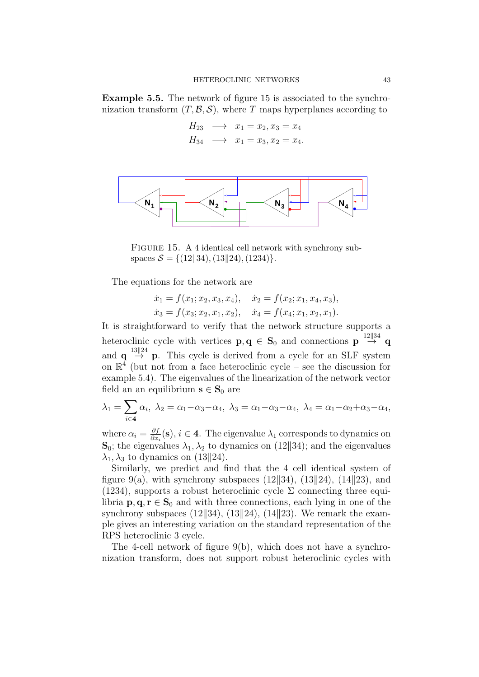Example 5.5. The network of figure 15 is associated to the synchronization transform  $(T, \mathcal{B}, \mathcal{S})$ , where T maps hyperplanes according to

$$
H_{23} \longrightarrow x_1 = x_2, x_3 = x_4
$$
  
\n
$$
H_{34} \longrightarrow x_1 = x_3, x_2 = x_4.
$$



FIGURE 15. A 4 identical cell network with synchrony subspaces  $S = \{(12||34), (13||24), (1234)\}.$ 

The equations for the network are

$$
\dot{x}_1 = f(x_1; x_2, x_3, x_4), \quad \dot{x}_2 = f(x_2; x_1, x_4, x_3),
$$
  

$$
\dot{x}_3 = f(x_3; x_2, x_1, x_2), \quad \dot{x}_4 = f(x_4; x_1, x_2, x_1).
$$

It is straightforward to verify that the network structure supports a heteroclinic cycle with vertices  $\mathbf{p}, \mathbf{q} \in \mathbf{S}_0$  and connections  $\mathbf{p} \stackrel{12||34}{\rightarrow} \mathbf{q}$ and  $\mathbf{q} \stackrel{13||24}{\rightarrow} \mathbf{p}$ . This cycle is derived from a cycle for an SLF system on  $\mathbb{R}^4$  (but not from a face heteroclinic cycle – see the discussion for example 5.4). The eigenvalues of the linearization of the network vector field an an equilibrium  $s \in S_0$  are

$$
\lambda_1 = \sum_{i \in \mathbf{4}} \alpha_i, \ \lambda_2 = \alpha_1 - \alpha_3 - \alpha_4, \ \lambda_3 = \alpha_1 - \alpha_3 - \alpha_4, \ \lambda_4 = \alpha_1 - \alpha_2 + \alpha_3 - \alpha_4,
$$

where  $\alpha_i = \frac{\partial f}{\partial x_i}$  $\frac{\partial f}{\partial x_i}(\mathbf{s}), i \in \mathbf{4}$ . The eigenvalue  $\lambda_1$  corresponds to dynamics on  $\mathbf{S}_0$ ; the eigenvalues  $\lambda_1, \lambda_2$  to dynamics on (12||34); and the eigenvalues  $\lambda_1, \lambda_3$  to dynamics on (13||24).

Similarly, we predict and find that the 4 cell identical system of figure 9(a), with synchrony subspaces (12\\, 34\, 34\, (14\\, 23\, and (1234), supports a robust heteroclinic cycle  $\Sigma$  connecting three equilibria  $p, q, r \in S_0$  and with three connections, each lying in one of the synchrony subspaces  $(12||34)$ ,  $(13||24)$ ,  $(14||23)$ . We remark the example gives an interesting variation on the standard representation of the RPS heteroclinic 3 cycle.

The 4-cell network of figure 9(b), which does not have a synchronization transform, does not support robust heteroclinic cycles with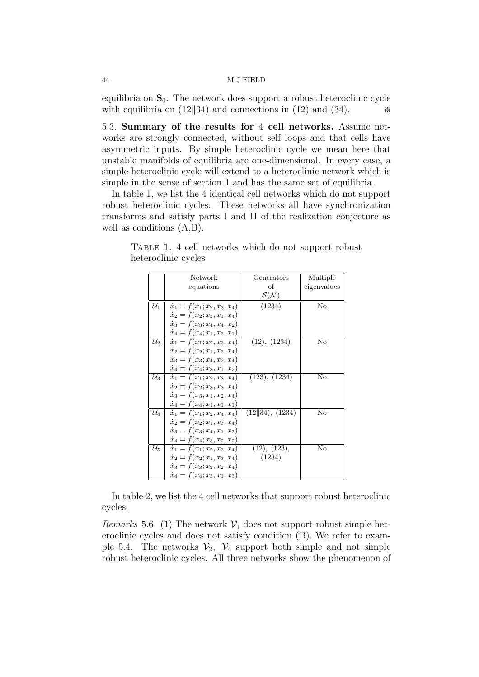equilibria on  $S_0$ . The network does support a robust heteroclinic cycle with equilibria on  $(12||34)$  and connections in  $(12)$  and  $(34)$ .

5.3. Summary of the results for 4 cell networks. Assume networks are strongly connected, without self loops and that cells have asymmetric inputs. By simple heteroclinic cycle we mean here that unstable manifolds of equilibria are one-dimensional. In every case, a simple heteroclinic cycle will extend to a heteroclinic network which is simple in the sense of section 1 and has the same set of equilibria.

In table 1, we list the 4 identical cell networks which do not support robust heteroclinic cycles. These networks all have synchronization transforms and satisfy parts I and II of the realization conjecture as well as conditions (A,B).

|                 | Network                             | Generators                 | Multiple    |
|-----------------|-------------------------------------|----------------------------|-------------|
|                 | equations                           | οf                         | eigenvalues |
|                 |                                     | $\mathcal{S}(\mathcal{N})$ |             |
| $\mathcal{U}_1$ | $\dot{x}_1 = f(x_1; x_2, x_3, x_4)$ | (1234)                     | No          |
|                 | $\dot{x}_2 = f(x_2; x_3, x_1, x_4)$ |                            |             |
|                 | $\dot{x}_3 = f(x_3; x_4, x_4, x_2)$ |                            |             |
|                 | $\dot{x}_4 = f(x_4; x_1, x_3, x_1)$ |                            |             |
| $\mathcal{U}_2$ | $\dot{x}_1 = f(x_1; x_2, x_3, x_4)$ | (12), (1234)               | No          |
|                 | $\dot{x}_2 = f(x_2; x_1, x_3, x_4)$ |                            |             |
|                 | $\dot{x}_3 = f(x_3; x_4, x_2, x_4)$ |                            |             |
|                 | $\dot{x}_4 = f(x_4; x_3, x_1, x_2)$ |                            |             |
| $\mathcal{U}_3$ | $\dot{x}_1 = f(x_1; x_2, x_3, x_4)$ | (123), (1234)              | No          |
|                 | $\dot{x}_2 = f(x_2; x_3, x_3, x_4)$ |                            |             |
|                 | $\dot{x}_3 = f(x_3; x_1, x_2, x_4)$ |                            |             |
|                 | $\dot{x}_4 = f(x_4; x_1, x_1, x_1)$ |                            |             |
| $\mathcal{U}_4$ | $\dot{x}_1 = f(x_1; x_2, x_4, x_4)$ | (12  34), (1234)           | No          |
|                 | $\dot{x}_2 = f(x_2; x_1, x_3, x_4)$ |                            |             |
|                 | $\dot{x}_3 = f(x_3; x_4, x_1, x_2)$ |                            |             |
|                 | $\dot{x}_4 = f(x_4; x_3, x_2, x_2)$ |                            |             |
| $\mathcal{U}_5$ | $\dot{x}_1 = f(x_1; x_2, x_3, x_4)$ | (12), (123),               | No          |
|                 | $\dot{x}_2 = f(x_2; x_1, x_3, x_4)$ | (1234)                     |             |
|                 | $\dot{x}_3 = f(x_3; x_2, x_2, x_4)$ |                            |             |
|                 | $\dot{x}_4 = f(x_4; x_3, x_1, x_3)$ |                            |             |

Table 1. 4 cell networks which do not support robust heteroclinic cycles

In table 2, we list the 4 cell networks that support robust heteroclinic cycles.

*Remarks* 5.6. (1) The network  $V_1$  does not support robust simple heteroclinic cycles and does not satisfy condition (B). We refer to example 5.4. The networks  $V_2$ ,  $V_4$  support both simple and not simple robust heteroclinic cycles. All three networks show the phenomenon of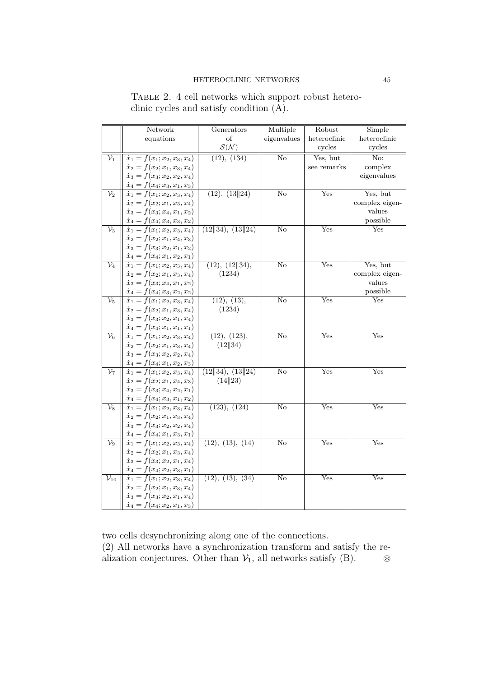|                            | Network                                                                    | Generators                 | Multiple               | Robust       | Simple         |
|----------------------------|----------------------------------------------------------------------------|----------------------------|------------------------|--------------|----------------|
|                            | equations                                                                  | οf                         | eigenvalues            | heteroclinic | heteroclinic   |
|                            |                                                                            | $\mathcal{S}(\mathcal{N})$ |                        | cycles       | cycles         |
| $\overline{\mathcal{V}_1}$ | $\dot{x}_1 = f(x_1; x_2, x_3, x_4)$                                        | (12), (134)                | $\overline{\text{No}}$ | Yes, but     | No:            |
|                            | $\dot{x}_2 = f(x_2; x_1, x_3, x_4)$                                        |                            |                        | see remarks  | complex        |
|                            | $\dot{x}_3 = f(x_3; x_2, x_2, x_4)$                                        |                            |                        |              | eigenvalues    |
|                            | $\dot{x}_4 = f(x_4; x_3, x_1, x_3)$                                        |                            |                        |              |                |
| $\mathcal{V}_2$            | $\dot{x}_1 = f(x_1; x_2, x_3, x_4)$                                        | (12), (13  24)             | $\rm No$               | Yes          | Yes, but       |
|                            | $\dot{x}_2 = f(x_2; x_1, x_3, x_4)$                                        |                            |                        |              | complex eigen- |
|                            | $\dot{x}_3 = f(x_3; x_4, x_1, x_2)$                                        |                            |                        |              | values         |
|                            | $\dot{x}_4 = f(x_4; x_3, x_3, x_2)$                                        |                            |                        |              | possible       |
| $\mathcal{V}_3$            | $\dot{x}_1 = f(x_1; x_2, x_3, x_4)$                                        | (12  34), (13  24)         | No                     | Yes          | Yes            |
|                            | $\dot{x}_2 = f(x_2; x_1, x_4, x_3)$                                        |                            |                        |              |                |
|                            | $\dot{x}_3 = f(x_3; x_2, x_1, x_2)$                                        |                            |                        |              |                |
|                            | $\dot{x}_4 = f(x_4; x_1, x_2, x_1)$                                        |                            |                        |              |                |
| $\mathcal{V}_4$            | $\dot{x}_1 = f(x_1; x_2, x_3, x_4)$                                        | (12), (12  34),            | $\rm No$               | Yes          | Yes, but       |
|                            | $\dot{x}_2 = f(x_2; x_1, x_3, x_4)$                                        | (1234)                     |                        |              | complex eigen- |
|                            | $\dot{x}_3 = f(x_3; x_4, x_1, x_2)$                                        |                            |                        |              | $\it values$   |
|                            | $\dot{x}_4 = f(x_4; x_3, x_2, x_2)$                                        |                            |                        |              | possible       |
| $\mathcal{V}_5$            | $\dot{x}_1 = f(x_1; x_2, x_3, x_4)$                                        | (12), (13),                | $\overline{\text{No}}$ | Yes          | $_{\rm Yes}$   |
|                            | $\dot{x}_2 = f(x_2; x_1, x_3, x_4)$                                        | (1234)                     |                        |              |                |
|                            | $\dot{x}_3 = f(x_3; x_2, x_1, x_4)$                                        |                            |                        |              |                |
|                            | $\dot{x}_4 = f(x_4; x_1, x_1, x_1)$                                        |                            |                        |              |                |
| $\mathcal{V}_6$            | $\dot{x}_1 = f(x_1; x_2, x_3, x_4)$                                        | (12), (123),               | $\rm No$               | Yes          | Yes            |
|                            | $\dot{x}_2 = f(x_2; x_1, x_3, x_4)$                                        | (12  34)                   |                        |              |                |
|                            | $\dot{x}_3 = f(x_3; x_2, x_2, x_4)$                                        |                            |                        |              |                |
|                            | $\dot{x}_4 = f(x_4; x_1, x_2, x_3)$                                        |                            |                        |              |                |
| $\mathcal{V}_7$            | $\dot{x}_1 = f(x_1; x_2, x_3, x_4)$                                        | (12  34), (13  24)         | $\overline{\text{No}}$ | Yes          | Yes            |
|                            | $\dot{x}_2 = f(x_2; x_1, x_4, x_3)$                                        | (14  23)                   |                        |              |                |
|                            | $\dot{x}_3 = f(x_3; x_4, x_2, x_1)$                                        |                            |                        |              |                |
|                            | $\dot{x}_4 = f(x_4; x_3, x_1, x_2)$                                        |                            |                        |              |                |
| $\mathcal{V}_8$            | $\dot{x}_1 = f(x_1; x_2, x_3, x_4)$                                        | (123), (124)               | $\rm No$               | Yes          | Yes            |
|                            | $\dot{x}_2 = f(x_2; x_1, x_3, x_4)$                                        |                            |                        |              |                |
|                            | $\dot{x}_3 = f(x_3; x_2, x_2, x_4)$                                        |                            |                        |              |                |
|                            | $\dot{x}_4 = f(x_4; x_1, x_3, x_1)$                                        |                            |                        |              | Yes            |
| $\mathcal{V}_9$            | $\dot{x}_1 = f(x_1; x_2, x_3, x_4)$                                        | (12), (13), (14)           | No                     | Yes          |                |
|                            | $\dot{x}_2 = f(x_2; x_1, x_3, x_4)$<br>$\dot{x}_3 = f(x_3; x_2, x_1, x_4)$ |                            |                        |              |                |
|                            |                                                                            |                            |                        |              |                |
| $\mathcal{V}_{10}$         | $\dot{x}_4 = f(x_4; x_2, x_3, x_1)$<br>$\dot{x}_1 = f(x_1; x_2, x_3, x_4)$ | (12), (13), (34)           | No                     | Yes          | Yes            |
|                            | $\dot{x}_2 = f(x_2; x_1, x_3, x_4)$                                        |                            |                        |              |                |
|                            | $\dot{x}_3 = f(x_3; x_2, x_1, x_4)$                                        |                            |                        |              |                |
|                            | $\dot{x}_4 = f(x_4; x_2, x_1, x_3)$                                        |                            |                        |              |                |
|                            |                                                                            |                            |                        |              |                |

TABLE 2. 4 cell networks which support robust heteroclinic cycles and satisfy condition (A).

two cells desynchronizing along one of the connections.

(2) All networks have a synchronization transform and satisfy the realization conjectures. Other than  $V_1$ , all networks satisfy (B). <sup>⊛</sup>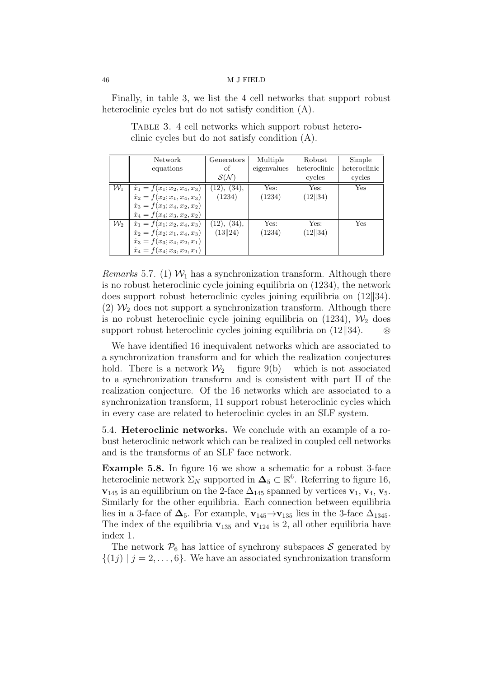Finally, in table 3, we list the 4 cell networks that support robust heteroclinic cycles but do not satisfy condition (A).

| Network                                                                                                           | Generators                 | Multiple    | Robust       | Simple       |
|-------------------------------------------------------------------------------------------------------------------|----------------------------|-------------|--------------|--------------|
| equations                                                                                                         | οf                         | eigenvalues | heteroclinic | heteroclinic |
|                                                                                                                   | $\mathcal{S}(\mathcal{N})$ |             | cycles       | cycles       |
|                                                                                                                   | (12), (34),                | Yes:        | Yes:         | Yes          |
| $\mathcal{W}_1 \parallel \dot{x}_1 = f(x_1; x_2, x_4, x_3) \parallel \dot{x}_2 = f(x_2; x_1, x_4, x_3) \parallel$ | (1234)                     | (1234)      | (12  34)     |              |
| $\dot{x}_3 = f(x_3; x_4, x_2, x_2)$                                                                               |                            |             |              |              |
| $\dot{x}_4 = f(x_4; x_3, x_2, x_2)$                                                                               |                            |             |              |              |
| $\mathcal{W}_2 \parallel \dot{x}_1 = f(x_1; x_2, x_4, x_3) \parallel \dot{x}_2 = f(x_2; x_1, x_4, x_3) \parallel$ | (12), (34),                | Yes:        | Yes:         | Yes          |
|                                                                                                                   | (13  24)                   | (1234)      | (12  34)     |              |
| $\dot{x}_3 = f(x_3; x_4, x_2, x_1)$                                                                               |                            |             |              |              |
| $\dot{x}_4 = f(x_4; x_3, x_2, x_1)$                                                                               |                            |             |              |              |

TABLE 3. 4 cell networks which support robust heteroclinic cycles but do not satisfy condition (A).

*Remarks* 5.7. (1)  $W_1$  has a synchronization transform. Although there is no robust heteroclinic cycle joining equilibria on (1234), the network does support robust heteroclinic cycles joining equilibria on  $(12||34)$ . (2)  $\mathcal{W}_2$  does not support a synchronization transform. Although there is no robust heteroclinic cycle joining equilibria on  $(1234)$ ,  $\mathcal{W}_2$  does support robust heteroclinic cycles joining equilibria on  $(12||34)$ . ⊛

We have identified 16 inequivalent networks which are associated to a synchronization transform and for which the realization conjectures hold. There is a network  $W_2$  – figure 9(b) – which is not associated to a synchronization transform and is consistent with part II of the realization conjecture. Of the 16 networks which are associated to a synchronization transform, 11 support robust heteroclinic cycles which in every case are related to heteroclinic cycles in an SLF system.

5.4. Heteroclinic networks. We conclude with an example of a robust heteroclinic network which can be realized in coupled cell networks and is the transforms of an SLF face network.

Example 5.8. In figure 16 we show a schematic for a robust 3-face heteroclinic network  $\Sigma_N$  supported in  $\Delta_5 \subset \mathbb{R}^6$ . Referring to figure 16,  $\mathbf{v}_{145}$  is an equilibrium on the 2-face  $\Delta_{145}$  spanned by vertices  $\mathbf{v}_1, \mathbf{v}_4, \mathbf{v}_5$ . Similarly for the other equilibria. Each connection between equilibria lies in a 3-face of  $\Delta_5$ . For example,  $\mathbf{v}_{145} \rightarrow \mathbf{v}_{135}$  lies in the 3-face  $\Delta_{1345}$ . The index of the equilibria  $\mathbf{v}_{135}$  and  $\mathbf{v}_{124}$  is 2, all other equilibria have index 1.

The network  $P_6$  has lattice of synchrony subspaces S generated by  $\{(1j) | j = 2, \ldots, 6\}$ . We have an associated synchronization transform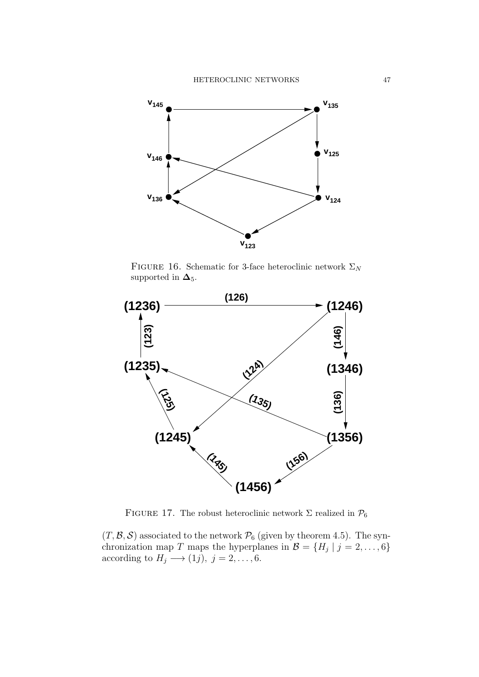

FIGURE 16. Schematic for 3-face heteroclinic network  $\Sigma_N$ supported in  $\Delta_5$ .



FIGURE 17. The robust heteroclinic network  $\Sigma$  realized in  $\mathcal{P}_6$ 

 $(T, \mathcal{B}, \mathcal{S})$  associated to the network  $\mathcal{P}_6$  (given by theorem 4.5). The synchronization map T maps the hyperplanes in  $\mathcal{B} = \{H_j \mid j = 2, \ldots, 6\}$ according to  $H_j \longrightarrow (1j)$ ,  $j = 2, \ldots, 6$ .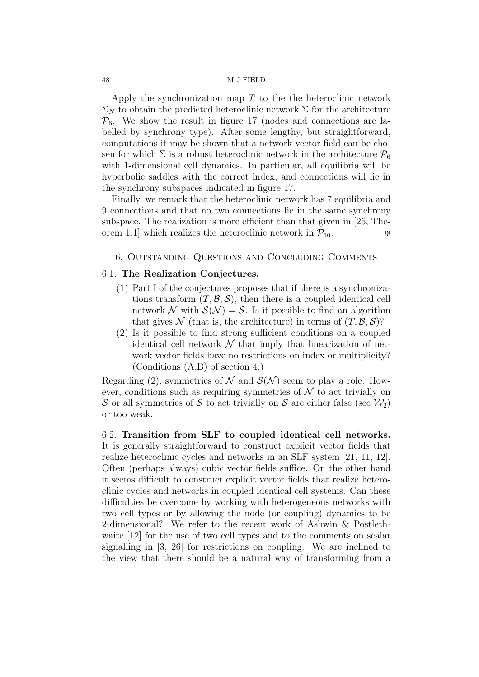Apply the synchronization map  $T$  to the the heteroclinic network  $\Sigma_N$  to obtain the predicted heteroclinic network  $\Sigma$  for the architecture  $\mathcal{P}_6$ . We show the result in figure 17 (nodes and connections are labelled by synchrony type). After some lengthy, but straightforward, computations it may be shown that a network vector field can be chosen for which  $\Sigma$  is a robust heteroclinic network in the architecture  $\mathcal{P}_6$ with 1-dimensional cell dynamics. In particular, all equilibria will be hyperbolic saddles with the correct index, and connections will lie in the synchrony subspaces indicated in figure 17.

Finally, we remark that the heteroclinic network has 7 equilibria and 9 connections and that no two connections lie in the same synchrony subspace. The realization is more efficient than that given in [26, Theorem 1.1] which realizes the heteroclinic network in  $\mathcal{P}_{10}$ .  $\quad \ast$ 

## 6. Outstanding Questions and Concluding Comments

## 6.1. The Realization Conjectures.

- (1) Part I of the conjectures proposes that if there is a synchronizations transform  $(T, \mathcal{B}, \mathcal{S})$ , then there is a coupled identical cell network N with  $S(N) = S$ . Is it possible to find an algorithm that gives N (that is, the architecture) in terms of  $(T, \mathcal{B}, \mathcal{S})$ ?
- (2) Is it possible to find strong sufficient conditions on a coupled identical cell network  $\mathcal N$  that imply that linearization of network vector fields have no restrictions on index or multiplicity? (Conditions (A,B) of section 4.)

Regarding (2), symmetries of N and  $\mathcal{S}(\mathcal{N})$  seem to play a role. However, conditions such as requiring symmetries of  $\mathcal N$  to act trivially on S or all symmetries of S to act trivially on S are either false (see  $\mathcal{W}_2$ ) or too weak.

6.2. Transition from SLF to coupled identical cell networks. It is generally straightforward to construct explicit vector fields that realize heteroclinic cycles and networks in an SLF system [21, 11, 12]. Often (perhaps always) cubic vector fields suffice. On the other hand it seems difficult to construct explicit vector fields that realize heteroclinic cycles and networks in coupled identical cell systems. Can these difficulties be overcome by working with heterogeneous networks with two cell types or by allowing the node (or coupling) dynamics to be 2-dimensional? We refer to the recent work of Ashwin & Postlethwaite [12] for the use of two cell types and to the comments on scalar signalling in [3, 26] for restrictions on coupling. We are inclined to the view that there should be a natural way of transforming from a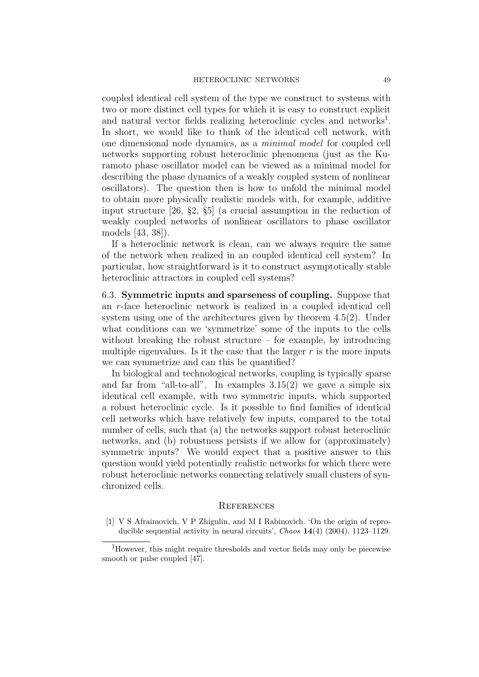coupled identical cell system of the type we construct to systems with two or more distinct cell types for which it is easy to construct explicit and natural vector fields realizing heteroclinic cycles and networks<sup>1</sup>. In short, we would like to think of the identical cell network, with one dimensional node dynamics, as a minimal model for coupled cell networks supporting robust heteroclinic phenomena (just as the Kuramoto phase oscillator model can be viewed as a minimal model for describing the phase dynamics of a weakly coupled system of nonlinear oscillators). The question then is how to unfold the minimal model to obtain more physically realistic models with, for example, additive input structure [26, §2, §5] (a crucial assumption in the reduction of weakly coupled networks of nonlinear oscillators to phase oscillator models [43, 38]).

If a heteroclinic network is clean, can we always require the same of the network when realized in an coupled identical cell system? In particular, how straightforward is it to construct asymptotically stable heteroclinic attractors in coupled cell systems?

6.3. Symmetric inputs and sparseness of coupling. Suppose that an r-face heteroclinic network is realized in a coupled identical cell system using one of the architectures given by theorem 4.5(2). Under what conditions can we 'symmetrize' some of the inputs to the cells without breaking the robust structure – for example, by introducing multiple eigenvalues. Is it the case that the larger  $r$  is the more inputs we can symmetrize and can this be quantified?

In biological and technological networks, coupling is typically sparse and far from "all-to-all". In examples  $3.15(2)$  we gave a simple six identical cell example, with two symmetric inputs, which supported a robust heteroclinic cycle. Is it possible to find families of identical cell networks which have relatively few inputs, compared to the total number of cells, such that (a) the networks support robust heteroclinic networks, and (b) robustness persists if we allow for (approximately) symmetric inputs? We would expect that a positive answer to this question would yield potentially realistic networks for which there were robust heteroclinic networks connecting relatively small clusters of synchronized cells.

#### **REFERENCES**

[1] V S Afraimovich, V P Zhigulin, and M I Rabinovich. 'On the origin of reproducible sequential activity in neural circuits', Chaos 14(4) (2004), 1123–1129.

<sup>&</sup>lt;sup>1</sup>However, this might require thresholds and vector fields may only be piecewise smooth or pulse coupled [47].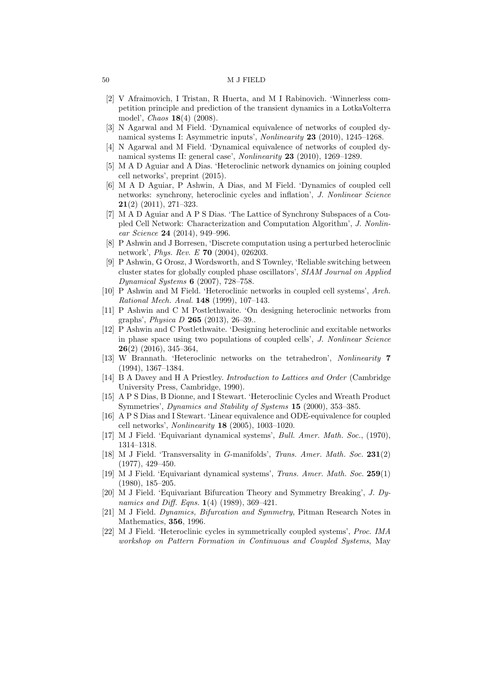- [2] V Afraimovich, I Tristan, R Huerta, and M I Rabinovich. 'Winnerless competition principle and prediction of the transient dynamics in a LotkaVolterra model', Chaos 18(4) (2008).
- [3] N Agarwal and M Field. 'Dynamical equivalence of networks of coupled dynamical systems I: Asymmetric inputs', Nonlinearity 23 (2010), 1245–1268.
- [4] N Agarwal and M Field. 'Dynamical equivalence of networks of coupled dynamical systems II: general case', Nonlinearity 23 (2010), 1269–1289.
- [5] M A D Aguiar and A Dias. 'Heteroclinic network dynamics on joining coupled cell networks', preprint (2015).
- [6] M A D Aguiar, P Ashwin, A Dias, and M Field. 'Dynamics of coupled cell networks: synchrony, heteroclinic cycles and inflation', J. Nonlinear Science 21(2) (2011), 271–323.
- [7] M A D Aguiar and A P S Dias. 'The Lattice of Synchrony Subspaces of a Coupled Cell Network: Characterization and Computation Algorithm', J. Nonlinear Science 24 (2014), 949–996.
- [8] P Ashwin and J Borresen, 'Discrete computation using a perturbed heteroclinic network', Phys. Rev. E 70 (2004), 026203.
- [9] P Ashwin, G Orosz, J Wordsworth, and S Townley, 'Reliable switching between cluster states for globally coupled phase oscillators', SIAM Journal on Applied Dynamical Systems 6 (2007), 728–758.
- [10] P Ashwin and M Field. 'Heteroclinic networks in coupled cell systems', Arch. Rational Mech. Anal. 148 (1999), 107–143.
- [11] P Ashwin and C M Postlethwaite. 'On designing heteroclinic networks from graphs', Physica D 265 (2013), 26–39..
- [12] P Ashwin and C Postlethwaite. 'Designing heteroclinic and excitable networks in phase space using two populations of coupled cells', J. Nonlinear Science 26(2) (2016), 345–364,
- [13] W Brannath. 'Heteroclinic networks on the tetrahedron', Nonlinearity 7 (1994), 1367–1384.
- [14] B A Davey and H A Priestley. Introduction to Lattices and Order (Cambridge University Press, Cambridge, 1990).
- [15] A P S Dias, B Dionne, and I Stewart. 'Heteroclinic Cycles and Wreath Product Symmetries', Dynamics and Stability of Systems 15 (2000), 353–385.
- [16] A P S Dias and I Stewart. 'Linear equivalence and ODE-equivalence for coupled cell networks', Nonlinearity 18 (2005), 1003–1020.
- [17] M J Field. 'Equivariant dynamical systems', Bull. Amer. Math. Soc., (1970), 1314–1318.
- [18] M J Field. 'Transversality in G-manifolds', Trans. Amer. Math. Soc. 231(2) (1977), 429–450.
- [19] M J Field. 'Equivariant dynamical systems', Trans. Amer. Math. Soc. 259(1) (1980), 185–205.
- [20] M J Field. 'Equivariant Bifurcation Theory and Symmetry Breaking', J. Dynamics and Diff. Eqns. **1**(4) (1989), 369-421.
- [21] M J Field. Dynamics, Bifurcation and Symmetry, Pitman Research Notes in Mathematics, 356, 1996.
- [22] M J Field. 'Heteroclinic cycles in symmetrically coupled systems', Proc. IMA workshop on Pattern Formation in Continuous and Coupled Systems, May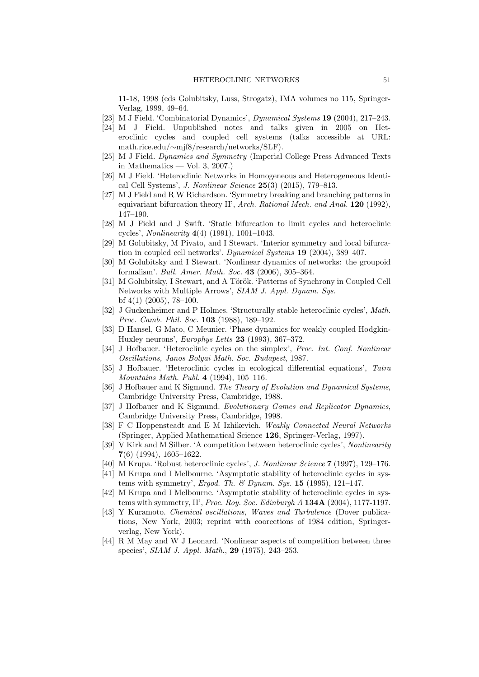11-18, 1998 (eds Golubitsky, Luss, Strogatz), IMA volumes no 115, Springer-Verlag, 1999, 49–64.

- [23] M J Field. 'Combinatorial Dynamics', *Dynamical Systems* **19** (2004), 217-243.
- [24] M J Field. Unpublished notes and talks given in 2005 on Heteroclinic cycles and coupled cell systems (talks accessible at URL: math.rice.edu/∼mjf8/research/networks/SLF).
- [25] M J Field. Dynamics and Symmetry (Imperial College Press Advanced Texts in Mathematics — Vol. 3, 2007.)
- [26] M J Field. 'Heteroclinic Networks in Homogeneous and Heterogeneous Identical Cell Systems', J. Nonlinear Science 25(3) (2015), 779–813.
- [27] M J Field and R W Richardson. 'Symmetry breaking and branching patterns in equivariant bifurcation theory II', Arch. Rational Mech. and Anal. **120** (1992), 147–190.
- [28] M J Field and J Swift. 'Static bifurcation to limit cycles and heteroclinic cycles', Nonlinearity 4(4) (1991), 1001–1043.
- [29] M Golubitsky, M Pivato, and I Stewart. 'Interior symmetry and local bifurcation in coupled cell networks'. Dynamical Systems 19 (2004), 389-407.
- [30] M Golubitsky and I Stewart. 'Nonlinear dynamics of networks: the groupoid formalism'. Bull. Amer. Math. Soc. 43 (2006), 305–364.
- [31] M Golubitsky, I Stewart, and A Török. 'Patterns of Synchrony in Coupled Cell Networks with Multiple Arrows', SIAM J. Appl. Dynam. Sys. bf 4(1) (2005), 78–100.
- [32] J Guckenheimer and P Holmes. 'Structurally stable heteroclinic cycles', Math. Proc. Camb. Phil. Soc. 103 (1988), 189–192.
- [33] D Hansel, G Mato, C Meunier. 'Phase dynamics for weakly coupled Hodgkin-Huxley neurons', Europhys Letts 23 (1993), 367–372.
- [34] J Hofbauer. 'Heteroclinic cycles on the simplex', Proc. Int. Conf. Nonlinear Oscillations, Janos Bolyai Math. Soc. Budapest, 1987.
- [35] J Hofbauer. 'Heteroclinic cycles in ecological differential equations', Tatra Mountains Math. Publ. 4 (1994), 105–116.
- [36] J Hofbauer and K Sigmund. The Theory of Evolution and Dynamical Systems, Cambridge University Press, Cambridge, 1988.
- [37] J Hofbauer and K Sigmund. Evolutionary Games and Replicator Dynamics, Cambridge University Press, Cambridge, 1998.
- [38] F C Hoppensteadt and E M Izhikevich. Weakly Connected Neural Networks (Springer, Applied Mathematical Science 126, Springer-Verlag, 1997).
- [39] V Kirk and M Silber. 'A competition between heteroclinic cycles', Nonlinearity 7(6) (1994), 1605–1622.
- [40] M Krupa. 'Robust heteroclinic cycles', J. Nonlinear Science 7 (1997), 129–176.
- [41] M Krupa and I Melbourne. 'Asymptotic stability of heteroclinic cycles in systems with symmetry', *Ergod. Th. & Dynam. Sys.* **15** (1995), 121-147.
- [42] M Krupa and I Melbourne. 'Asymptotic stability of heteroclinic cycles in systems with symmetry, II', Proc. Roy. Soc. Edinburgh  $A$  134A (2004), 1177-1197.
- [43] Y Kuramoto. Chemical oscillations, Waves and Turbulence (Dover publications, New York, 2003; reprint with coorections of 1984 edition, Springerverlag, New York).
- [44] R M May and W J Leonard. 'Nonlinear aspects of competition between three species', SIAM J. Appl. Math., 29 (1975), 243–253.